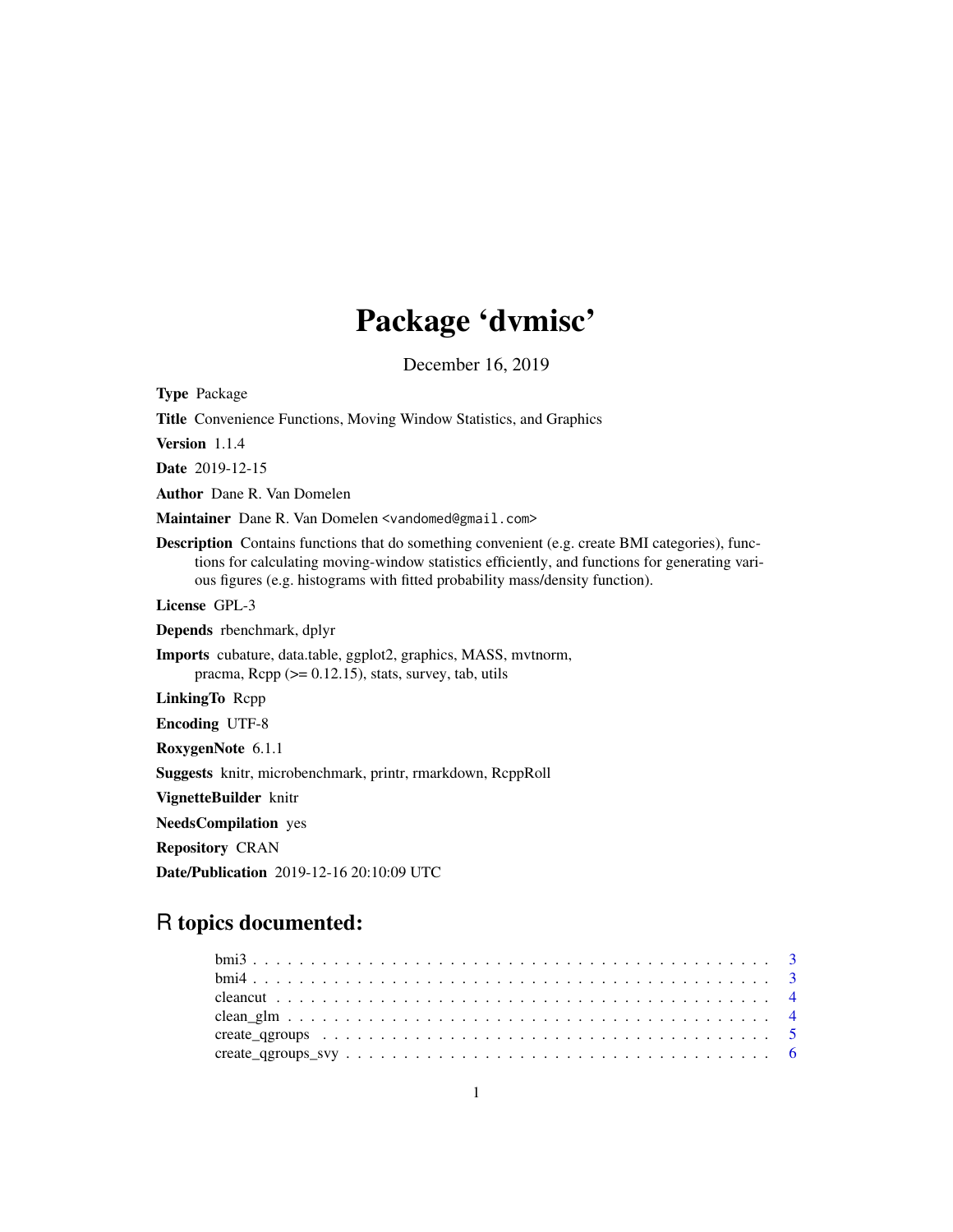# Package 'dvmisc'

December 16, 2019

<span id="page-0-0"></span>Type Package Title Convenience Functions, Moving Window Statistics, and Graphics Version 1.1.4 Date 2019-12-15 Author Dane R. Van Domelen Maintainer Dane R. Van Domelen <vandomed@gmail.com> Description Contains functions that do something convenient (e.g. create BMI categories), functions for calculating moving-window statistics efficiently, and functions for generating various figures (e.g. histograms with fitted probability mass/density function). License GPL-3 Depends rbenchmark, dplyr Imports cubature, data.table, ggplot2, graphics, MASS, mvtnorm, pracma,  $\text{Rcpp}$  ( $>= 0.12.15$ ), stats, survey, tab, utils LinkingTo Rcpp Encoding UTF-8 RoxygenNote 6.1.1 Suggests knitr, microbenchmark, printr, rmarkdown, RcppRoll VignetteBuilder knitr NeedsCompilation yes Repository CRAN Date/Publication 2019-12-16 20:10:09 UTC

# R topics documented: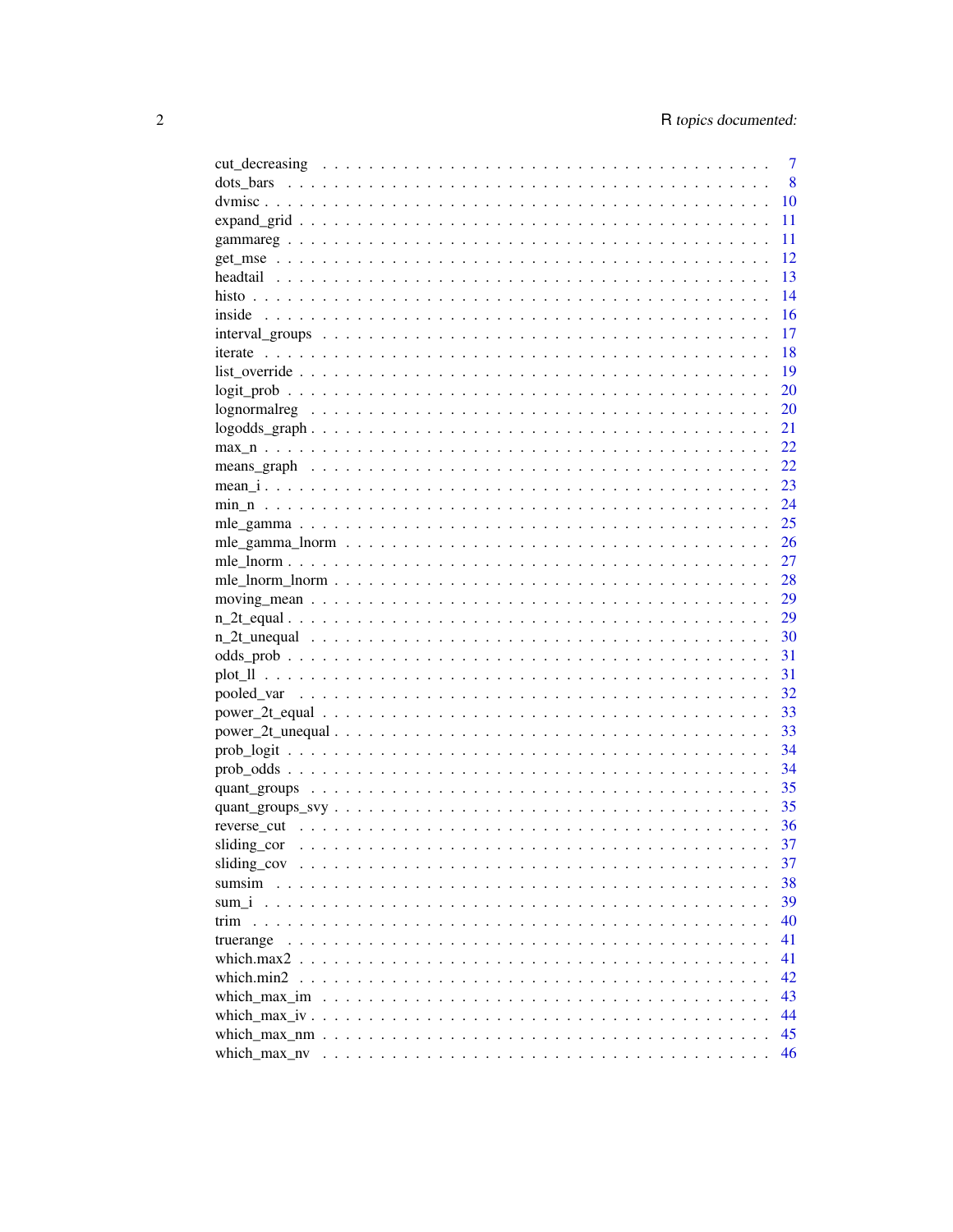| 7                |
|------------------|
| 8                |
| 10               |
| 11               |
| 11               |
| 12               |
| 13               |
| 14               |
| 16               |
| 17               |
| 18               |
| 19               |
| 20               |
| <b>20</b>        |
| 21               |
| 22               |
| 22               |
| 23               |
| 24               |
| 25               |
| 26               |
| 27               |
|                  |
| 29               |
| 29               |
| - 30             |
| 31               |
| 31               |
| 32               |
| 33               |
|                  |
|                  |
| 34               |
| 35               |
| 35               |
| 36               |
| 37               |
| 37               |
| 38               |
| 39               |
| 40<br>trim       |
| 41<br>truerange  |
| 41               |
| 42<br>which.min2 |
| 43               |
| 44               |
| 45               |
| 46               |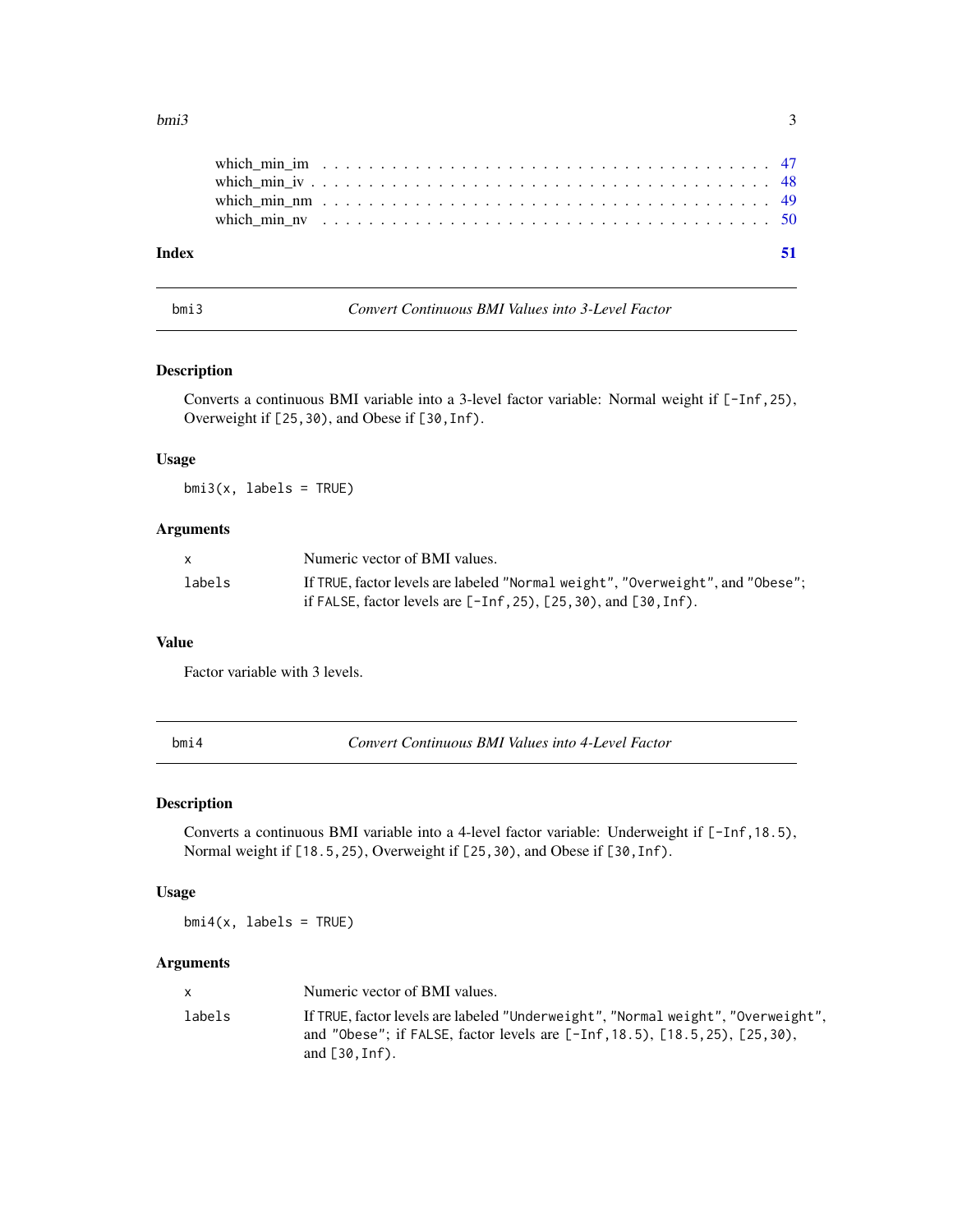#### <span id="page-2-0"></span> $bmi3$  3

| Index |  |  |  |  |  |  |  |  |  |  |  |  |  |  |  |  |  |  |  |
|-------|--|--|--|--|--|--|--|--|--|--|--|--|--|--|--|--|--|--|--|
|       |  |  |  |  |  |  |  |  |  |  |  |  |  |  |  |  |  |  |  |
|       |  |  |  |  |  |  |  |  |  |  |  |  |  |  |  |  |  |  |  |
|       |  |  |  |  |  |  |  |  |  |  |  |  |  |  |  |  |  |  |  |
|       |  |  |  |  |  |  |  |  |  |  |  |  |  |  |  |  |  |  |  |
|       |  |  |  |  |  |  |  |  |  |  |  |  |  |  |  |  |  |  |  |

bmi3 *Convert Continuous BMI Values into 3-Level Factor*

# Description

Converts a continuous BMI variable into a 3-level factor variable: Normal weight if [-Inf,25), Overweight if [25,30), and Obese if [30,Inf).

#### Usage

 $bmi3(x, labels = TRUE)$ 

# Arguments

|        | Numeric vector of BMI values.                                                  |
|--------|--------------------------------------------------------------------------------|
| labels | If TRUE, factor levels are labeled "Normal weight", "Overweight", and "Obese"; |
|        | if FALSE, factor levels are $[-Inf, 25)$ , $[25, 30)$ , and $[30, Inf)$ .      |

# Value

Factor variable with 3 levels.

| I<br>$\sim$ |  |  |
|-------------|--|--|
|             |  |  |

bmi4 *Convert Continuous BMI Values into 4-Level Factor*

# Description

Converts a continuous BMI variable into a 4-level factor variable: Underweight if [-Inf,18.5), Normal weight if [18.5,25), Overweight if [25,30), and Obese if [30, Inf).

# Usage

 $bmi4(x, labels = TRUE)$ 

# Arguments

| x.     | Numeric vector of BMI values.                                                                                                                                                                  |
|--------|------------------------------------------------------------------------------------------------------------------------------------------------------------------------------------------------|
| labels | If TRUE, factor levels are labeled "Underweight", "Normal weight", "Overweight",<br>and "Obese"; if FALSE, factor levels are $[-Inf, 18.5)$ , $[18.5, 25)$ , $[25, 30)$ ,<br>and $[30, Inf)$ . |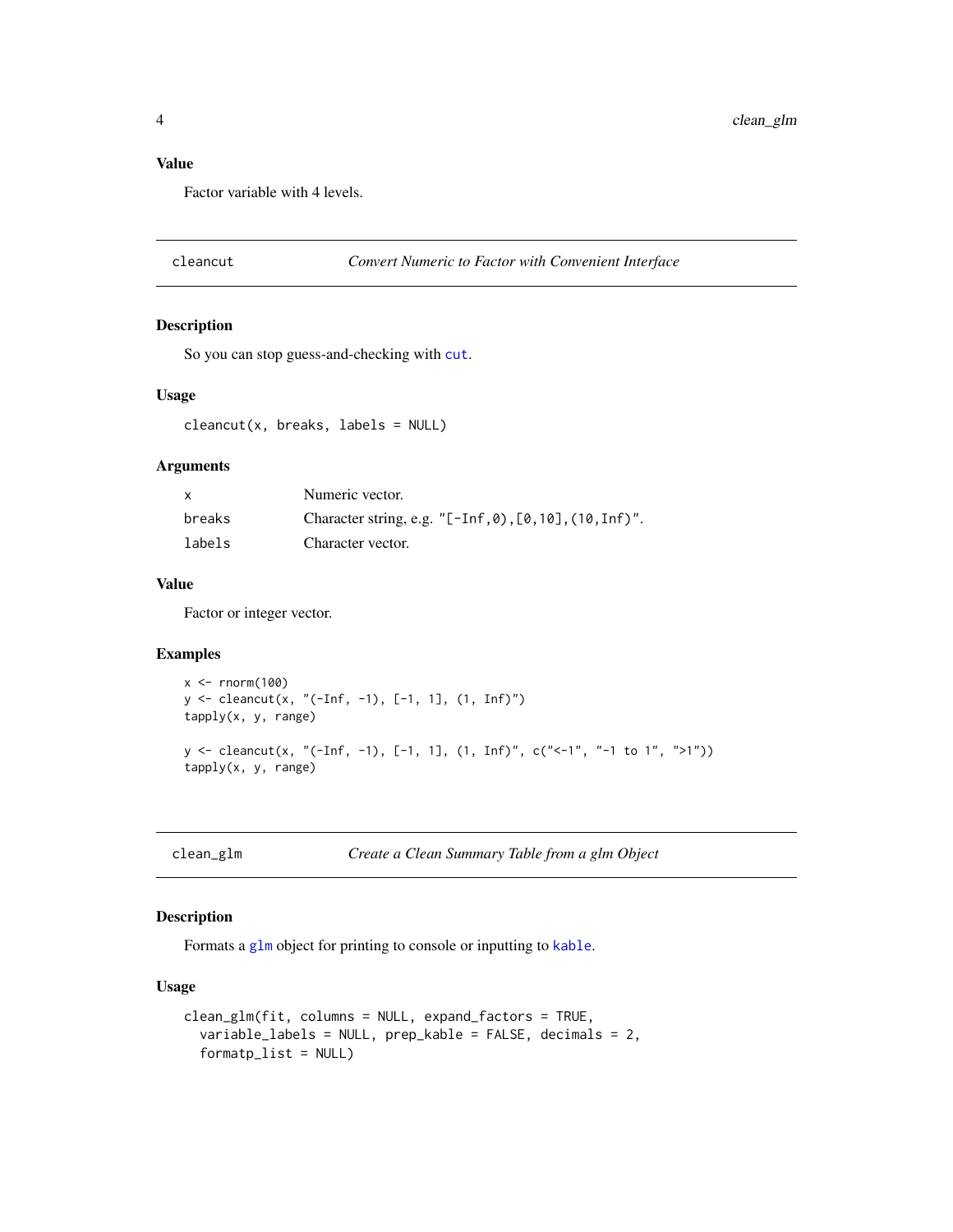# <span id="page-3-0"></span>Value

Factor variable with 4 levels.

# Description

So you can stop guess-and-checking with [cut](#page-0-0).

# Usage

 $cleancut(x, breaks, labels = NULL)$ 

# Arguments

| x      | Numeric vector.                                                   |
|--------|-------------------------------------------------------------------|
| breaks | Character string, e.g. " $[-Inf, 0)$ , $[0, 10]$ , $(10, Inf)'$ . |
| labels | Character vector.                                                 |

# Value

Factor or integer vector.

# Examples

```
x < - rnorm(100)
y <- cleancut(x, "(-Inf, -1), [-1, 1], (1, Inf)")
tapply(x, y, range)
y <- cleancut(x, "(-Inf, -1), [-1, 1], (1, Inf)", c("<-1", "-1 to 1", ">1"))
tapply(x, y, range)
```
clean\_glm *Create a Clean Summary Table from a glm Object*

# Description

Formats a [glm](#page-0-0) object for printing to console or inputting to [kable](#page-0-0).

```
clean_glm(fit, columns = NULL, expand_factors = TRUE,
  variable_labels = NULL, prep_kable = FALSE, decimals = 2,
  formatp_list = NULL)
```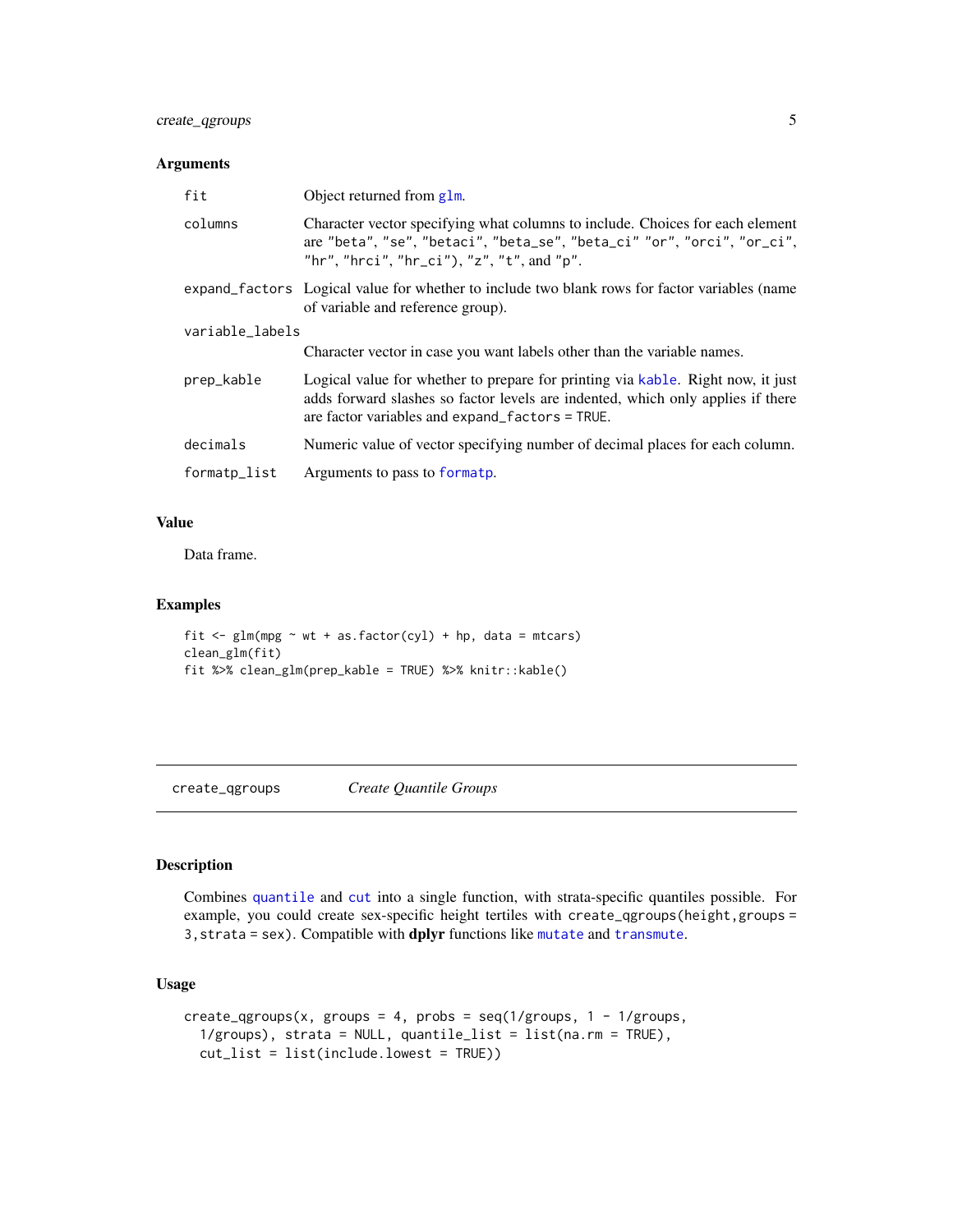# <span id="page-4-0"></span>create\_qgroups 5

# Arguments

| fit             | Object returned from g1m.                                                                                                                                                                                                |  |  |  |  |
|-----------------|--------------------------------------------------------------------------------------------------------------------------------------------------------------------------------------------------------------------------|--|--|--|--|
| columns         | Character vector specifying what columns to include. Choices for each element<br>are "beta", "se", "betaci", "beta_se", "beta_ci" "or", "orci", "or_ci",<br>"hr", "hrci", "hr_ci"), "z", "t", and "p".                   |  |  |  |  |
|                 | expand factors Logical value for whether to include two blank rows for factor variables (name<br>of variable and reference group).                                                                                       |  |  |  |  |
| variable_labels |                                                                                                                                                                                                                          |  |  |  |  |
|                 | Character vector in case you want labels other than the variable names.                                                                                                                                                  |  |  |  |  |
| prep_kable      | Logical value for whether to prepare for printing via kable. Right now, it just<br>adds forward slashes so factor levels are indented, which only applies if there<br>are factor variables and $expand_factors = TRUE$ . |  |  |  |  |
| decimals        | Numeric value of vector specifying number of decimal places for each column.                                                                                                                                             |  |  |  |  |
| formatp_list    | Arguments to pass to formatp.                                                                                                                                                                                            |  |  |  |  |

# Value

Data frame.

# Examples

```
fit \leq glm(mpg \sim wt + as.factor(cyl) + hp, data = mtcars)
clean_glm(fit)
fit %>% clean_glm(prep_kable = TRUE) %>% knitr::kable()
```
<span id="page-4-1"></span>create\_qgroups *Create Quantile Groups*

# Description

Combines [quantile](#page-0-0) and [cut](#page-0-0) into a single function, with strata-specific quantiles possible. For example, you could create sex-specific height tertiles with create\_qgroups(height,groups = 3,strata = sex). Compatible with dplyr functions like [mutate](#page-0-0) and [transmute](#page-0-0).

```
create_qgroups(x, groups = 4, probs = seq(1/groups, 1 - 1/groups,1/groups), strata = NULL, quantile_list = list(na.rm = TRUE),
  cut_list = list(include.lowest = TRUE))
```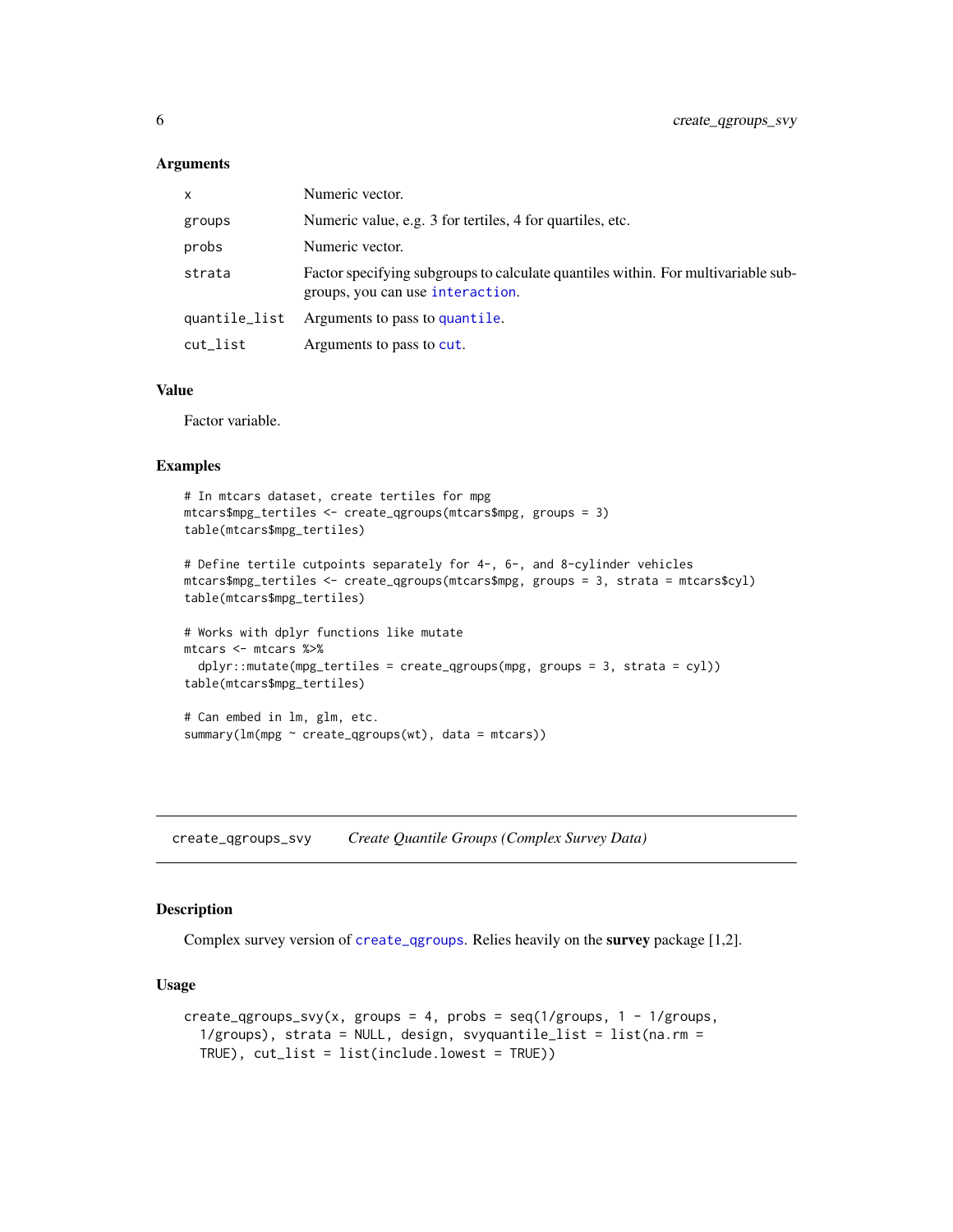#### <span id="page-5-0"></span>**Arguments**

| x             | Numeric vector.                                                                                                       |
|---------------|-----------------------------------------------------------------------------------------------------------------------|
| groups        | Numeric value, e.g. 3 for tertiles, 4 for quartiles, etc.                                                             |
| probs         | Numeric vector.                                                                                                       |
| strata        | Factor specifying subgroups to calculate quantiles within. For multivariable sub-<br>groups, you can use interaction. |
| quantile_list | Arguments to pass to quantile.                                                                                        |
| cut_list      | Arguments to pass to cut.                                                                                             |

#### Value

Factor variable.

#### Examples

```
# In mtcars dataset, create tertiles for mpg
mtcars$mpg_tertiles <- create_qgroups(mtcars$mpg, groups = 3)
table(mtcars$mpg_tertiles)
```

```
# Define tertile cutpoints separately for 4-, 6-, and 8-cylinder vehicles
mtcars$mpg_tertiles <- create_qgroups(mtcars$mpg, groups = 3, strata = mtcars$cyl)
table(mtcars$mpg_tertiles)
```

```
# Works with dplyr functions like mutate
mtcars <- mtcars %>%
  dplyr::mutate(mpg_tertiles = create_qgroups(mpg, groups = 3, strata = cyl))
table(mtcars$mpg_tertiles)
```

```
# Can embed in lm, glm, etc.
summary(lm(mpg \sim create\_qgroups(wt)), data = mtcars))
```
create\_qgroups\_svy *Create Quantile Groups (Complex Survey Data)*

#### Description

Complex survey version of [create\\_qgroups](#page-4-1). Relies heavily on the survey package [1,2].

```
create_qgroups_svy(x, groups = 4, probs = seq(1/groups, 1 - 1/groups,1/grows), strata = NULL, design, svyquantile_list = list(na.rm =
  TRUE), cut_list = list(include.lowest = TRUE))
```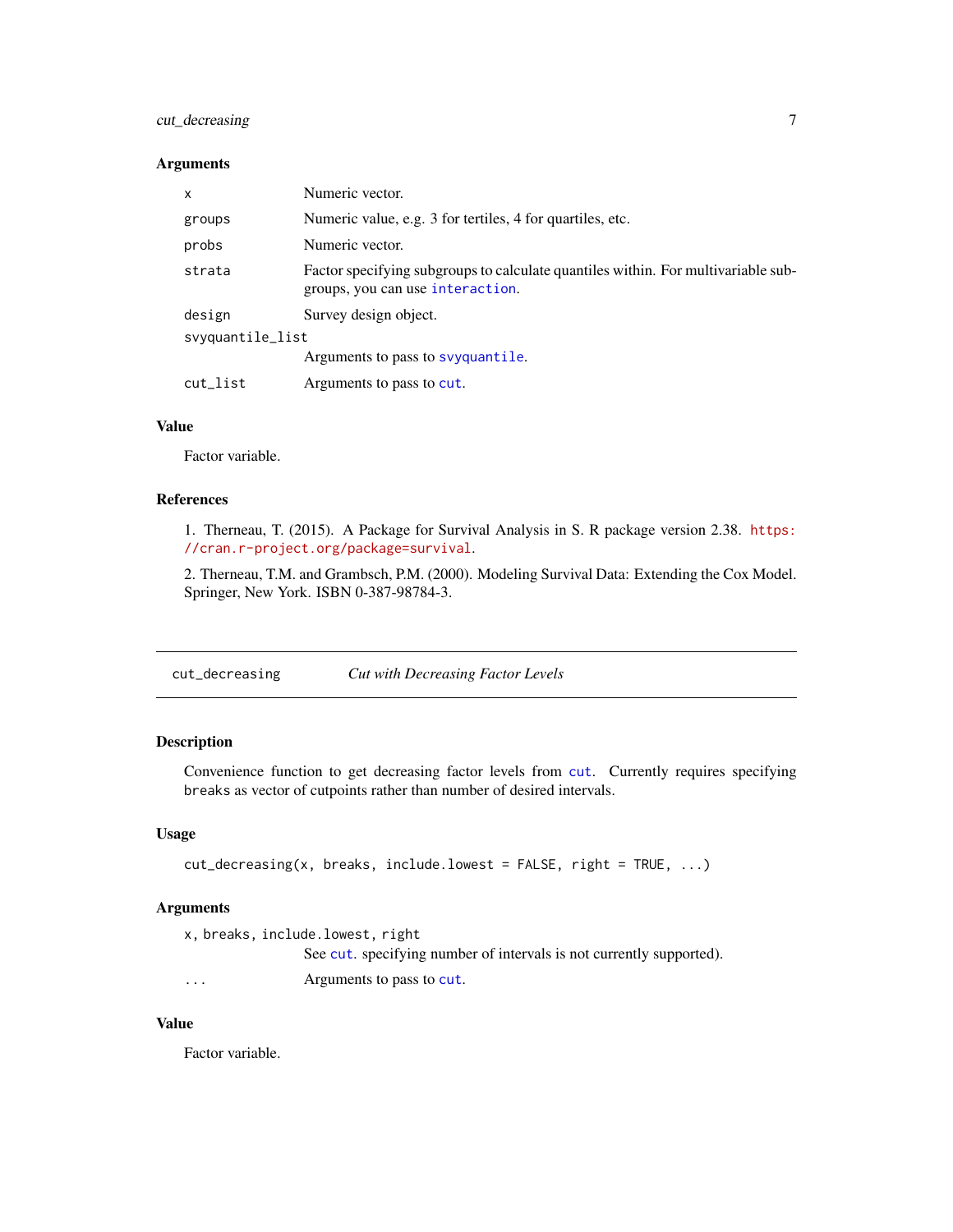# <span id="page-6-0"></span>cut\_decreasing 7

#### Arguments

| x                | Numeric vector.                                                                                                       |  |  |  |  |  |
|------------------|-----------------------------------------------------------------------------------------------------------------------|--|--|--|--|--|
| groups           | Numeric value, e.g. 3 for tertiles, 4 for quartiles, etc.                                                             |  |  |  |  |  |
| probs            | Numeric vector.                                                                                                       |  |  |  |  |  |
| strata           | Factor specifying subgroups to calculate quantiles within. For multivariable sub-<br>groups, you can use interaction. |  |  |  |  |  |
| design           | Survey design object.                                                                                                 |  |  |  |  |  |
| svyquantile_list |                                                                                                                       |  |  |  |  |  |
|                  | Arguments to pass to svyquantile.                                                                                     |  |  |  |  |  |
| cut_list         | Arguments to pass to cut.                                                                                             |  |  |  |  |  |

# Value

Factor variable.

# References

1. Therneau, T. (2015). A Package for Survival Analysis in S. R package version 2.38. [https:](https://cran.r-project.org/package=survival) [//cran.r-project.org/package=survival](https://cran.r-project.org/package=survival).

2. Therneau, T.M. and Grambsch, P.M. (2000). Modeling Survival Data: Extending the Cox Model. Springer, New York. ISBN 0-387-98784-3.

cut\_decreasing *Cut with Decreasing Factor Levels*

# Description

Convenience function to get decreasing factor levels from [cut](#page-0-0). Currently requires specifying breaks as vector of cutpoints rather than number of desired intervals.

#### Usage

```
cut\_decreasing(x, breaks, include.lower = FALSE, right = TRUE, ...)
```
# Arguments

```
x, breaks, include.lowest, right
                See cut. specifying number of intervals is not currently supported).
... Arguments to pass to cut.
```
#### Value

Factor variable.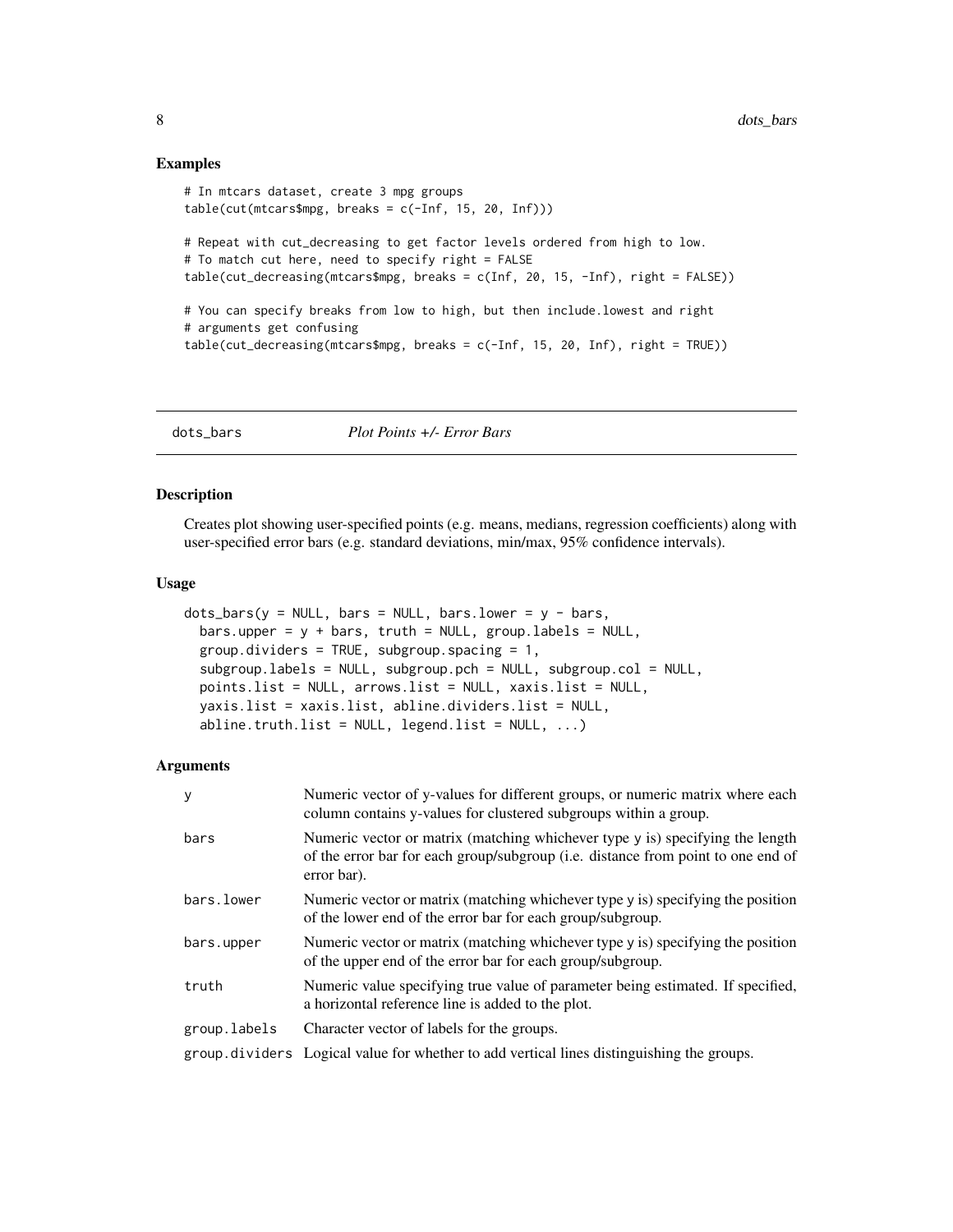#### Examples

```
# In mtcars dataset, create 3 mpg groups
table(cut(mtcars$mpg, breaks = c(-Inf, 15, 20, Inf)))
# Repeat with cut_decreasing to get factor levels ordered from high to low.
# To match cut here, need to specify right = FALSE
table(cut_decreasing(mtcars$mpg, breaks = c(Inf, 20, 15, -Inf), right = FALSE))
# You can specify breaks from low to high, but then include.lowest and right
# arguments get confusing
table(cut_decreasing(mtcars$mpg, breaks = c(-Inf, 15, 20, Inf), right = TRUE))
```
dots\_bars *Plot Points +/- Error Bars*

#### Description

Creates plot showing user-specified points (e.g. means, medians, regression coefficients) along with user-specified error bars (e.g. standard deviations, min/max, 95% confidence intervals).

#### Usage

```
dots_{\text{bars}}(y = \text{NULL}, \text{bars} = \text{NULL}, \text{bars}.\text{lower} = y - \text{bars},bars.upper = y + bars, truth = NULL, group.labels = NULL,
  group.dividers = TRUE, subgroup.spacing = 1,
  subgroup.labels = NULL, subgroup.pch = NULL, subgroup.col = NULL,
  points.list = NULL, arrows.list = NULL, xaxis.list = NULL,
  yaxis.list = xaxis.list, abline.dividers.list = NULL,
  abline.truth.list = NULL, legend.list = NULL, ...)
```
#### Arguments

| y            | Numeric vector of y-values for different groups, or numeric matrix where each<br>column contains y-values for clustered subgroups within a group.                                |
|--------------|----------------------------------------------------------------------------------------------------------------------------------------------------------------------------------|
| bars         | Numeric vector or matrix (matching whichever type y is) specifying the length<br>of the error bar for each group/subgroup (i.e. distance from point to one end of<br>error bar). |
| bars.lower   | Numeric vector or matrix (matching whichever type y is) specifying the position<br>of the lower end of the error bar for each group/subgroup.                                    |
| bars.upper   | Numeric vector or matrix (matching whichever type y is) specifying the position<br>of the upper end of the error bar for each group/subgroup.                                    |
| truth        | Numeric value specifying true value of parameter being estimated. If specified,<br>a horizontal reference line is added to the plot.                                             |
| group.labels | Character vector of labels for the groups.                                                                                                                                       |
|              | group dividers Logical value for whether to add vertical lines distinguishing the groups.                                                                                        |

<span id="page-7-0"></span>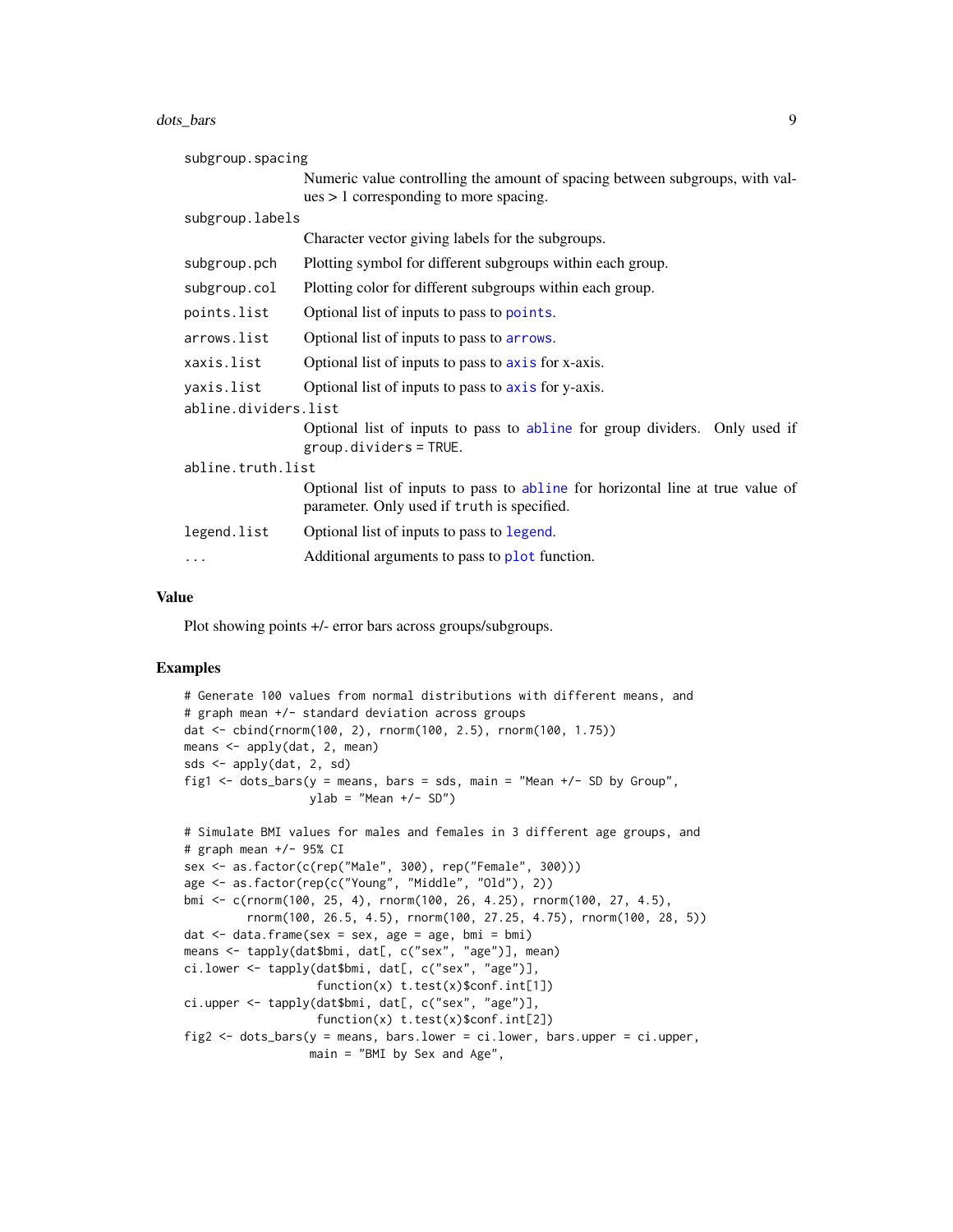<span id="page-8-0"></span>dots\_bars 9

| subgroup.spacing                                                  |                                                                                                                               |  |  |  |  |  |
|-------------------------------------------------------------------|-------------------------------------------------------------------------------------------------------------------------------|--|--|--|--|--|
|                                                                   | Numeric value controlling the amount of spacing between subgroups, with val-                                                  |  |  |  |  |  |
|                                                                   | $ues > 1$ corresponding to more spacing.                                                                                      |  |  |  |  |  |
| subgroup.labels                                                   |                                                                                                                               |  |  |  |  |  |
|                                                                   | Character vector giving labels for the subgroups.                                                                             |  |  |  |  |  |
| subgroup.pch                                                      | Plotting symbol for different subgroups within each group.                                                                    |  |  |  |  |  |
| subgroup.col                                                      | Plotting color for different subgroups within each group.                                                                     |  |  |  |  |  |
| points.list                                                       | Optional list of inputs to pass to points.                                                                                    |  |  |  |  |  |
| arrows.list                                                       | Optional list of inputs to pass to arrows.                                                                                    |  |  |  |  |  |
| xaxis.list                                                        | Optional list of inputs to pass to axis for x-axis.                                                                           |  |  |  |  |  |
| yaxis.list<br>Optional list of inputs to pass to axis for y-axis. |                                                                                                                               |  |  |  |  |  |
| abline.dividers.list                                              |                                                                                                                               |  |  |  |  |  |
|                                                                   | Optional list of inputs to pass to abline for group dividers. Only used if<br>$group.dividers = TRUE.$                        |  |  |  |  |  |
|                                                                   | abline.truth.list                                                                                                             |  |  |  |  |  |
|                                                                   | Optional list of inputs to pass to abline for horizontal line at true value of<br>parameter. Only used if truth is specified. |  |  |  |  |  |
| legend.list                                                       | Optional list of inputs to pass to legend.                                                                                    |  |  |  |  |  |
| $\cdots$                                                          | Additional arguments to pass to plot function.                                                                                |  |  |  |  |  |

# Value

Plot showing points +/- error bars across groups/subgroups.

```
# Generate 100 values from normal distributions with different means, and
# graph mean +/- standard deviation across groups
dat <- cbind(rnorm(100, 2), rnorm(100, 2.5), rnorm(100, 1.75))
means \leq apply(dat, 2, mean)
sds <- apply(dat, 2, sd)
fig1 \le dots_bars(y = means, bars = sds, main = "Mean +/- SD by Group",
                  ylab = "Mean +/- SD")# Simulate BMI values for males and females in 3 different age groups, and
# graph mean +/- 95% CI
sex <- as.factor(c(rep("Male", 300), rep("Female", 300)))
age <- as.factor(rep(c("Young", "Middle", "Old"), 2))
bmi <- c(rnorm(100, 25, 4), rnorm(100, 26, 4.25), rnorm(100, 27, 4.5),
         rnorm(100, 26.5, 4.5), rnorm(100, 27.25, 4.75), rnorm(100, 28, 5))
dat \le data.frame(sex = sex, age = age, bmi = bmi)
means <- tapply(dat$bmi, dat[, c("sex", "age")], mean)
ci.lower <- tapply(dat$bmi, dat[, c("sex", "age")],
                   function(x) t.test(x)$conf.int[1])
ci.upper <- tapply(dat$bmi, dat[, c("sex", "age")],
                   function(x) t.test(x)$conf.int[2])
fig2 \leq dots_bars(y = means, bars.lower = ci.lower, bars.upper = ci.upper,
                 main = "BMI by Sex and Age",
```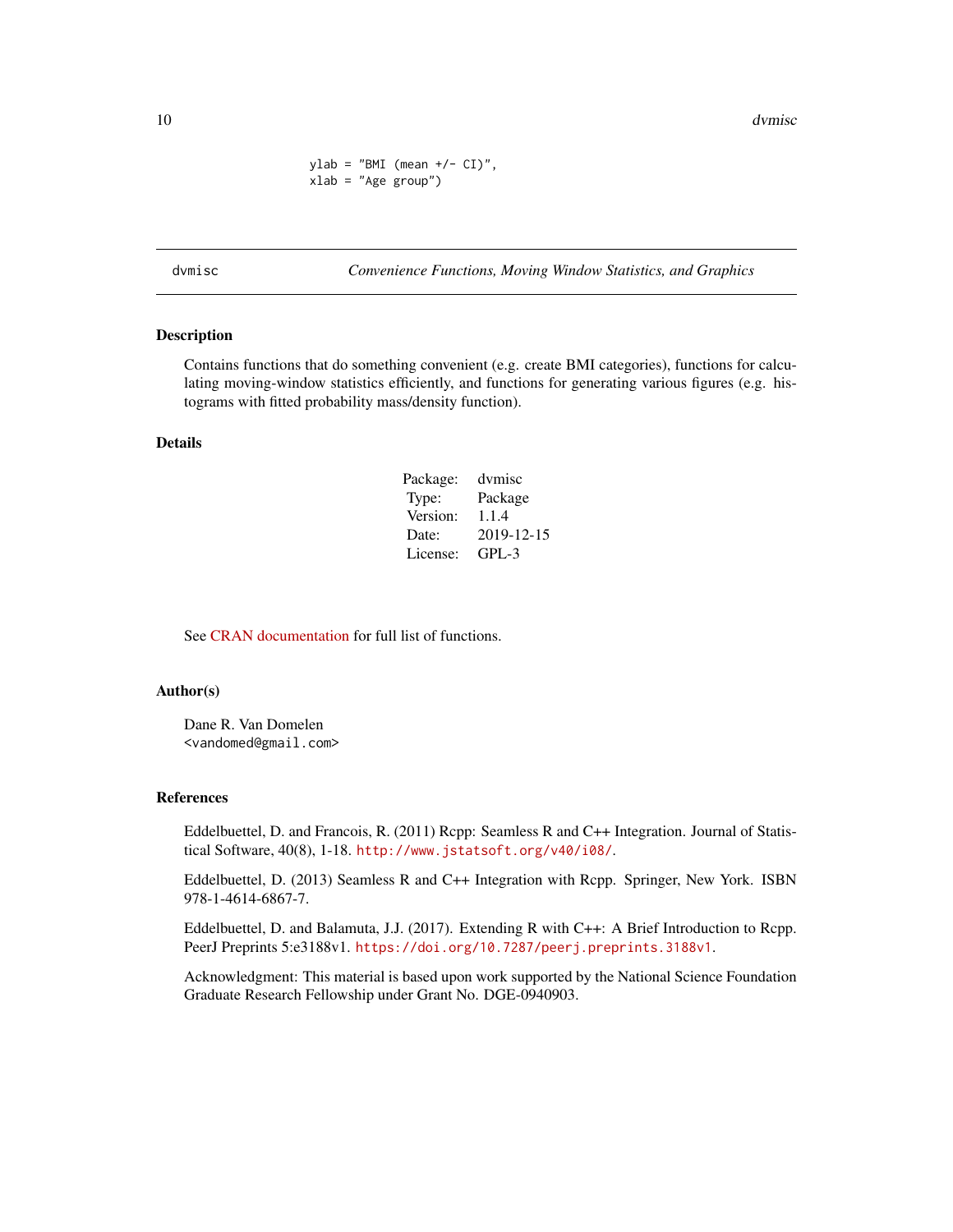<span id="page-9-0"></span> $ylab = "BMI (mean +/- CI)"$ , xlab = "Age group")

dvmisc *Convenience Functions, Moving Window Statistics, and Graphics*

#### Description

Contains functions that do something convenient (e.g. create BMI categories), functions for calculating moving-window statistics efficiently, and functions for generating various figures (e.g. histograms with fitted probability mass/density function).

#### Details

| Package: | dymisc     |
|----------|------------|
| Type:    | Package    |
| Version: | 1.1.4      |
| Date:    | 2019-12-15 |
| License: | $GPI - 3$  |

See [CRAN documentation](https://cran.r-project.org/package=dvmisc) for full list of functions.

#### Author(s)

Dane R. Van Domelen <vandomed@gmail.com>

#### References

Eddelbuettel, D. and Francois, R. (2011) Rcpp: Seamless R and C++ Integration. Journal of Statistical Software, 40(8), 1-18. <http://www.jstatsoft.org/v40/i08/>.

Eddelbuettel, D. (2013) Seamless R and C++ Integration with Rcpp. Springer, New York. ISBN 978-1-4614-6867-7.

Eddelbuettel, D. and Balamuta, J.J. (2017). Extending R with C++: A Brief Introduction to Rcpp. PeerJ Preprints 5:e3188v1. <https://doi.org/10.7287/peerj.preprints.3188v1>.

Acknowledgment: This material is based upon work supported by the National Science Foundation Graduate Research Fellowship under Grant No. DGE-0940903.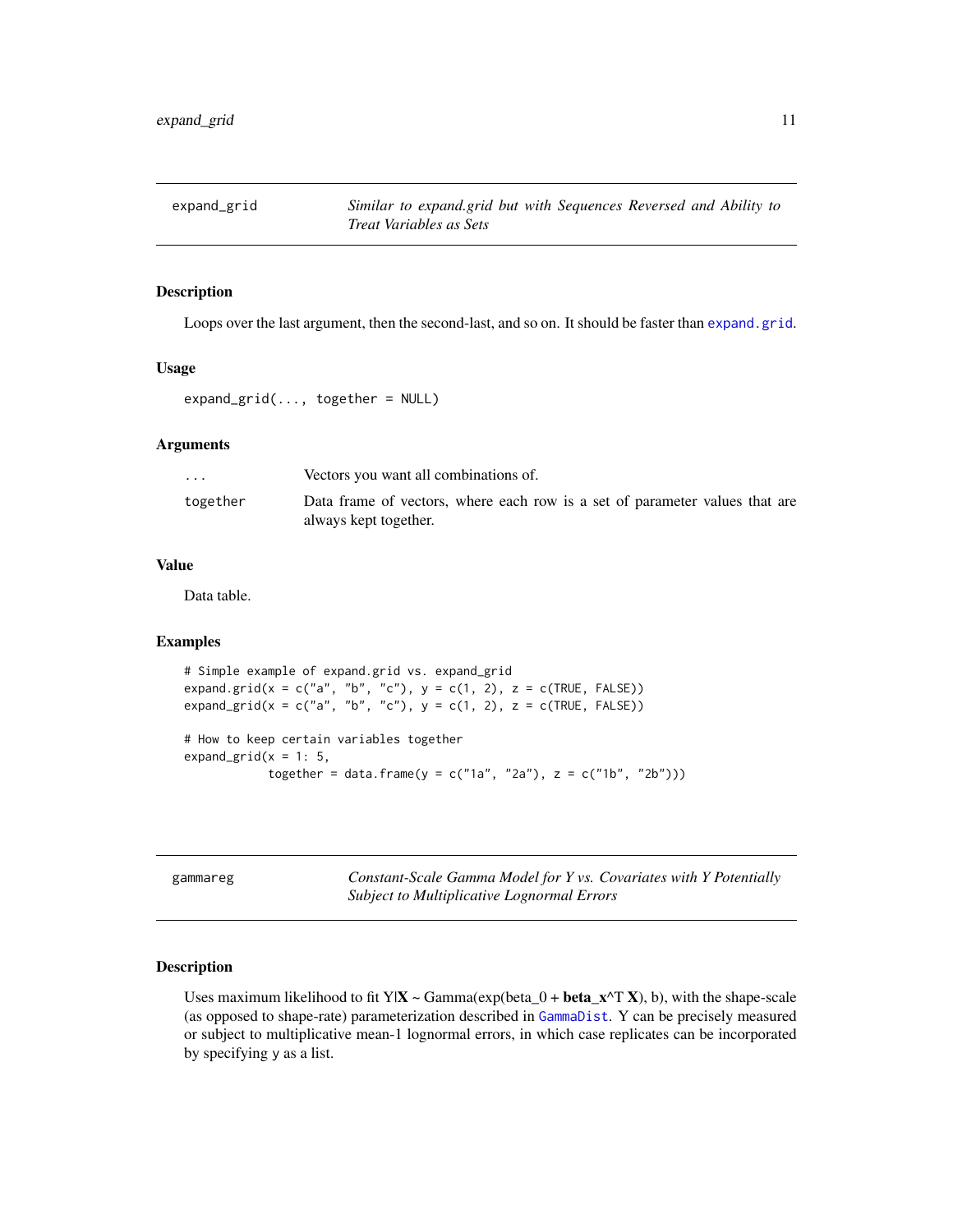<span id="page-10-0"></span>

Loops over the last argument, then the second-last, and so on. It should be faster than [expand.grid](#page-0-0).

#### Usage

 $expand\_grid(..., together = NULL)$ 

# Arguments

| $\ddot{\phantom{0}}$ | Vectors you want all combinations of.                                                                |
|----------------------|------------------------------------------------------------------------------------------------------|
| together             | Data frame of vectors, where each row is a set of parameter values that are<br>always kept together. |

# Value

Data table.

# Examples

```
# Simple example of expand.grid vs. expand_grid
expand.grid(x = c("a", "b", "c"), y = c(1, 2), z = c(TRUE, FALSE))expand\_grid(x = c("a", "b", "c"), y = c(1, 2), z = c(TRUE, FALSE))# How to keep certain variables together
expand_grid(x = 1: 5,
           together = data.frame(y = c("1a", "2a"), z = c("1b", "2b")))
```
gammareg *Constant-Scale Gamma Model for Y vs. Covariates with Y Potentially Subject to Multiplicative Lognormal Errors*

# Description

Uses maximum likelihood to fit Y| $X \sim \text{Gamma}(\text{exp}(\text{beta}_0 + \text{beta}_x \land T X))$ , b), with the shape-scale (as opposed to shape-rate) parameterization described in [GammaDist](#page-0-0). Y can be precisely measured or subject to multiplicative mean-1 lognormal errors, in which case replicates can be incorporated by specifying y as a list.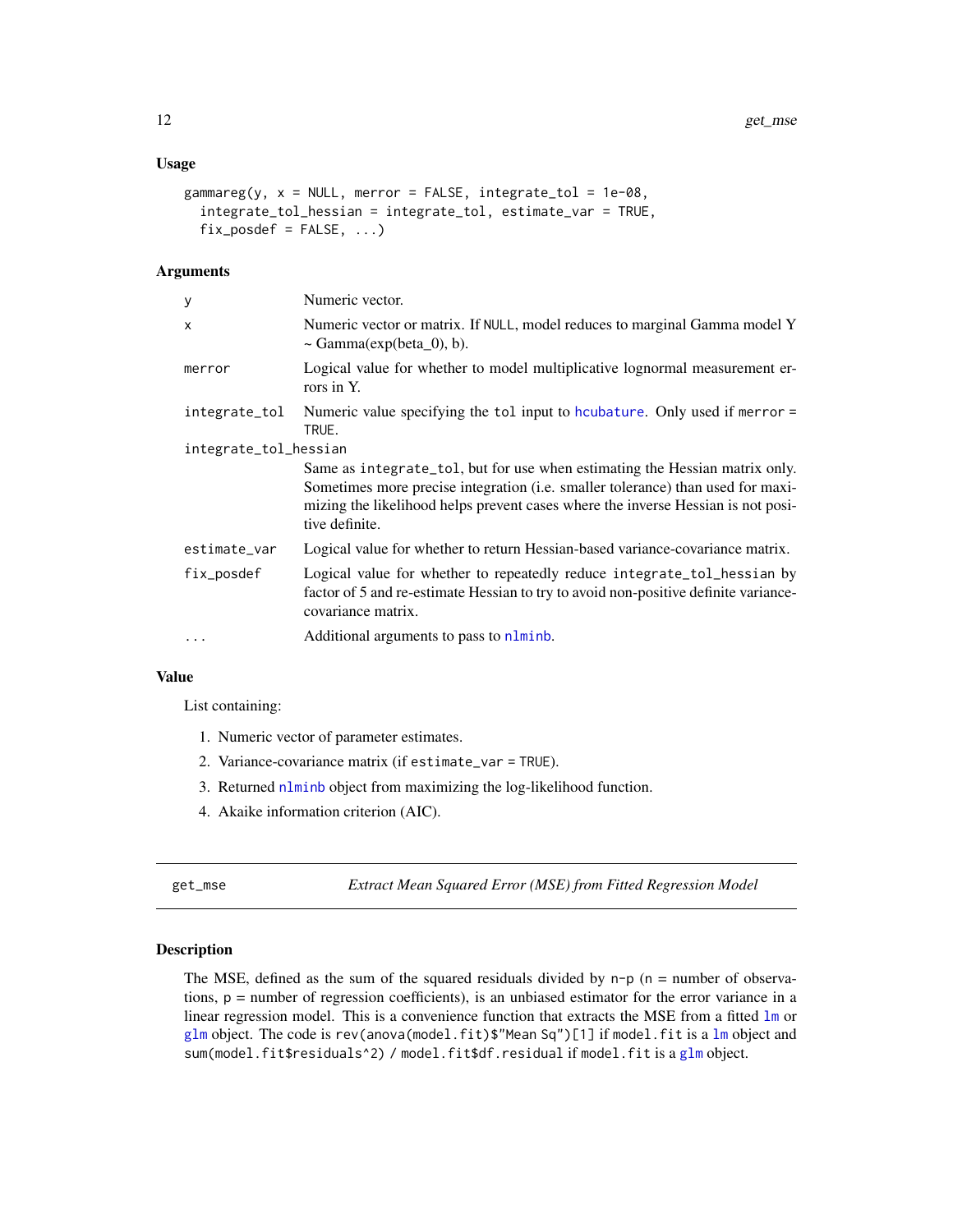#### <span id="page-11-0"></span>Usage

```
gammagammareg(y, x = NULL, merror = FALSE, integrate_tol = 1e-08,
  integrate_tol_hessian = integrate_tol, estimate_var = TRUE,
  fix\_posed = FALSE, ...)
```
#### Arguments

| У                     | Numeric vector.                                                                                                                                                                                                                                                      |
|-----------------------|----------------------------------------------------------------------------------------------------------------------------------------------------------------------------------------------------------------------------------------------------------------------|
| X                     | Numeric vector or matrix. If NULL, model reduces to marginal Gamma model Y<br>$\sim$ Gamma(exp(beta_0), b).                                                                                                                                                          |
| merror                | Logical value for whether to model multiplicative lognormal measurement er-<br>rors in Y.                                                                                                                                                                            |
| integrate_tol         | Numeric value specifying the tol input to houbature. Only used if merror =<br>TRUE.                                                                                                                                                                                  |
| integrate_tol_hessian |                                                                                                                                                                                                                                                                      |
|                       | Same as integrate_tol, but for use when estimating the Hessian matrix only.<br>Sometimes more precise integration (i.e. smaller tolerance) than used for maxi-<br>mizing the likelihood helps prevent cases where the inverse Hessian is not posi-<br>tive definite. |
| estimate_var          | Logical value for whether to return Hessian-based variance-covariance matrix.                                                                                                                                                                                        |
| fix_posdef            | Logical value for whether to repeatedly reduce integrate_tol_hessian by<br>factor of 5 and re-estimate Hessian to try to avoid non-positive definite variance-<br>covariance matrix.                                                                                 |
| $\ddotsc$             | Additional arguments to pass to nlminb.                                                                                                                                                                                                                              |
|                       |                                                                                                                                                                                                                                                                      |

# Value

List containing:

- 1. Numeric vector of parameter estimates.
- 2. Variance-covariance matrix (if estimate\_var = TRUE).
- 3. Returned [nlminb](#page-0-0) object from maximizing the log-likelihood function.
- 4. Akaike information criterion (AIC).

get\_mse *Extract Mean Squared Error (MSE) from Fitted Regression Model*

# Description

The MSE, defined as the sum of the squared residuals divided by  $n-p$  ( $n =$  number of observations,  $p =$  number of regression coefficients), is an unbiased estimator for the error variance in a linear regression model. This is a convenience function that extracts the MSE from a fitted  $1m$  or [glm](#page-0-0) object. The code is rev(anova(model.fit)\$"Mean Sq")[1] if model.fit is a [lm](#page-0-0) object and sum(model.fit\$residuals^2) / model.fit\$df.residual if model.fit is a [glm](#page-0-0) object.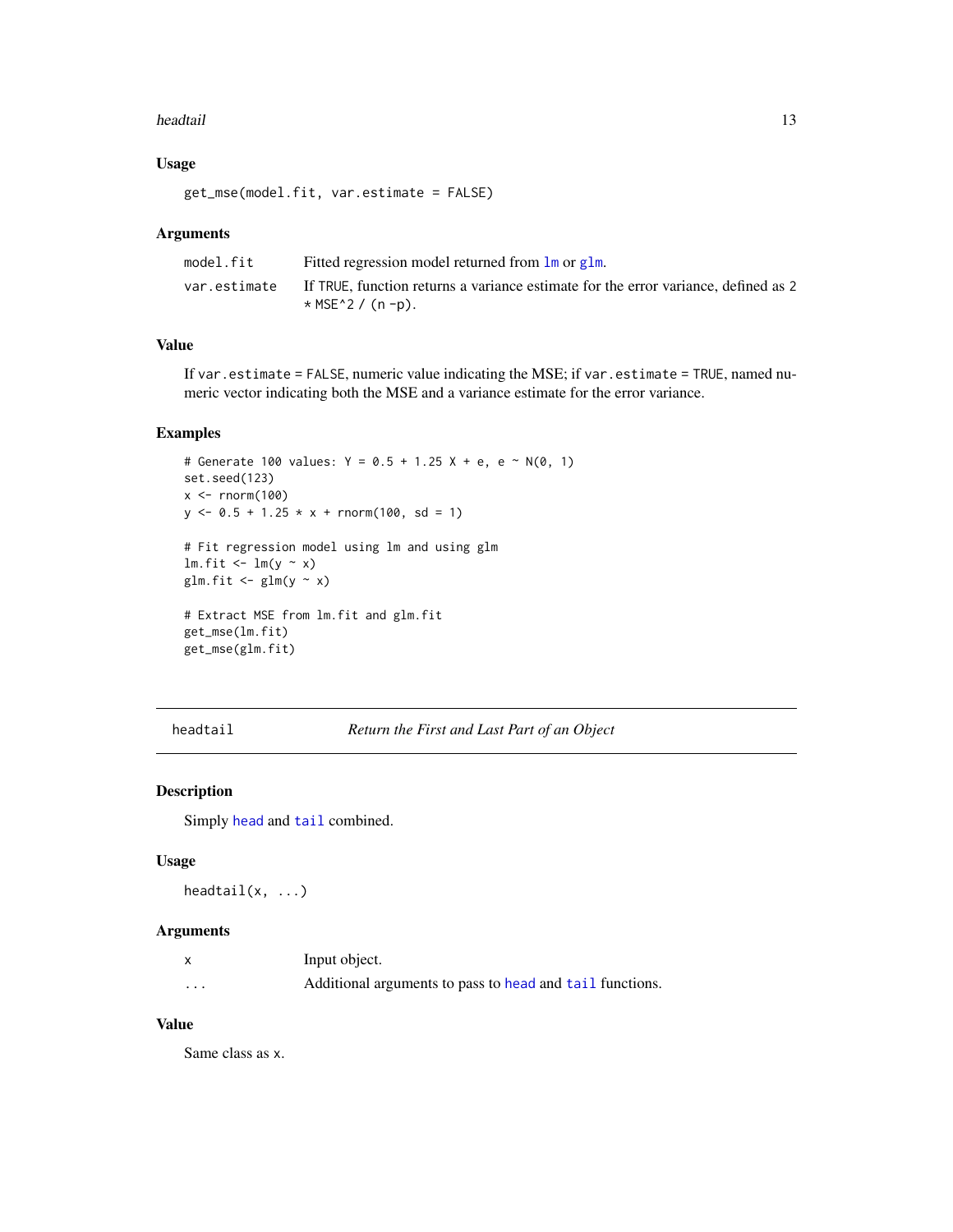#### <span id="page-12-0"></span>headtail **13**

# Usage

get\_mse(model.fit, var.estimate = FALSE)

#### Arguments

| model.fit    | Fitted regression model returned from $\text{Im}$ or $\text{glm}$ .                |
|--------------|------------------------------------------------------------------------------------|
| var.estimate | If TRUE, function returns a variance estimate for the error variance, defined as 2 |
|              | $*$ MSE $^{\wedge}$ 2 / (n -p).                                                    |

# Value

If var.estimate = FALSE, numeric value indicating the MSE; if var.estimate = TRUE, named numeric vector indicating both the MSE and a variance estimate for the error variance.

#### Examples

```
# Generate 100 values: Y = 0.5 + 1.25 X + e, e ~ N(0, 1)
set.seed(123)
x < - rnorm(100)
y \le -0.5 + 1.25 \times x + \text{norm}(100, \text{sd} = 1)# Fit regression model using lm and using glm
lm.fit \leftarrow lm(y \sim x)glm.fit \leftarrow glm(y \sim x)
# Extract MSE from lm.fit and glm.fit
get_mse(lm.fit)
get_mse(glm.fit)
```
headtail *Return the First and Last Part of an Object*

# Description

Simply [head](#page-0-0) and [tail](#page-0-0) combined.

#### Usage

headtail $(x, \ldots)$ 

# Arguments

|   | Input object.                                            |
|---|----------------------------------------------------------|
| . | Additional arguments to pass to head and tail functions. |

# Value

Same class as x.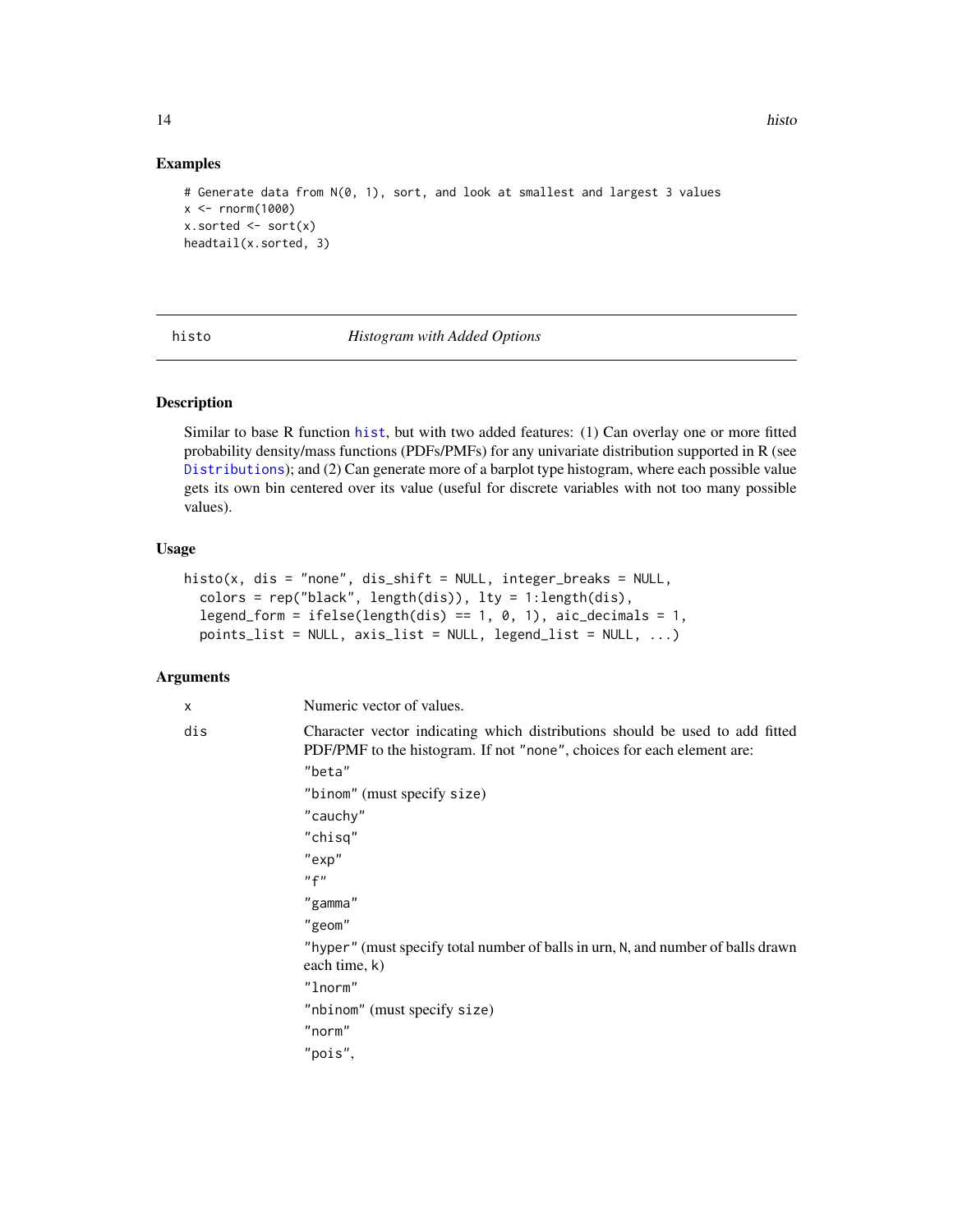#### Examples

```
# Generate data from N(0, 1), sort, and look at smallest and largest 3 values
x < - rnorm(1000)
x.sorted \leftarrow sort(x)headtail(x.sorted, 3)
```
histo *Histogram with Added Options*

# Description

Similar to base R function [hist](#page-0-0), but with two added features: (1) Can overlay one or more fitted probability density/mass functions (PDFs/PMFs) for any univariate distribution supported in R (see [Distributions](#page-0-0)); and (2) Can generate more of a barplot type histogram, where each possible value gets its own bin centered over its value (useful for discrete variables with not too many possible values).

#### Usage

```
histo(x, dis = "none", dis_shift = NULL, integer_breaks = NULL,
  colors = rep("black", length(dis)), lty = 1:length(dis),
  legend_form = ifelse(length(dis) == 1, 0, 1), aic_decimals = 1,points_list = NULL, axis_list = NULL, legend_list = NULL, ...)
```
# Arguments

| x   | Numeric vector of values.                                                                                                                              |
|-----|--------------------------------------------------------------------------------------------------------------------------------------------------------|
| dis | Character vector indicating which distributions should be used to add fitted<br>PDF/PMF to the histogram. If not "none", choices for each element are: |
|     | "beta"                                                                                                                                                 |
|     | "binom" (must specify size)                                                                                                                            |
|     | "cauchy"                                                                                                                                               |
|     | "chisq"                                                                                                                                                |
|     | "exp"                                                                                                                                                  |
|     | "f"                                                                                                                                                    |
|     | "gamma"                                                                                                                                                |
|     | "geom"                                                                                                                                                 |
|     | "hyper" (must specify total number of balls in urn, N, and number of balls drawn<br>each time, k)                                                      |
|     | "lnorm"                                                                                                                                                |
|     | "nbinom" (must specify size)                                                                                                                           |
|     | "norm"                                                                                                                                                 |
|     | "pois",                                                                                                                                                |
|     |                                                                                                                                                        |

<span id="page-13-0"></span>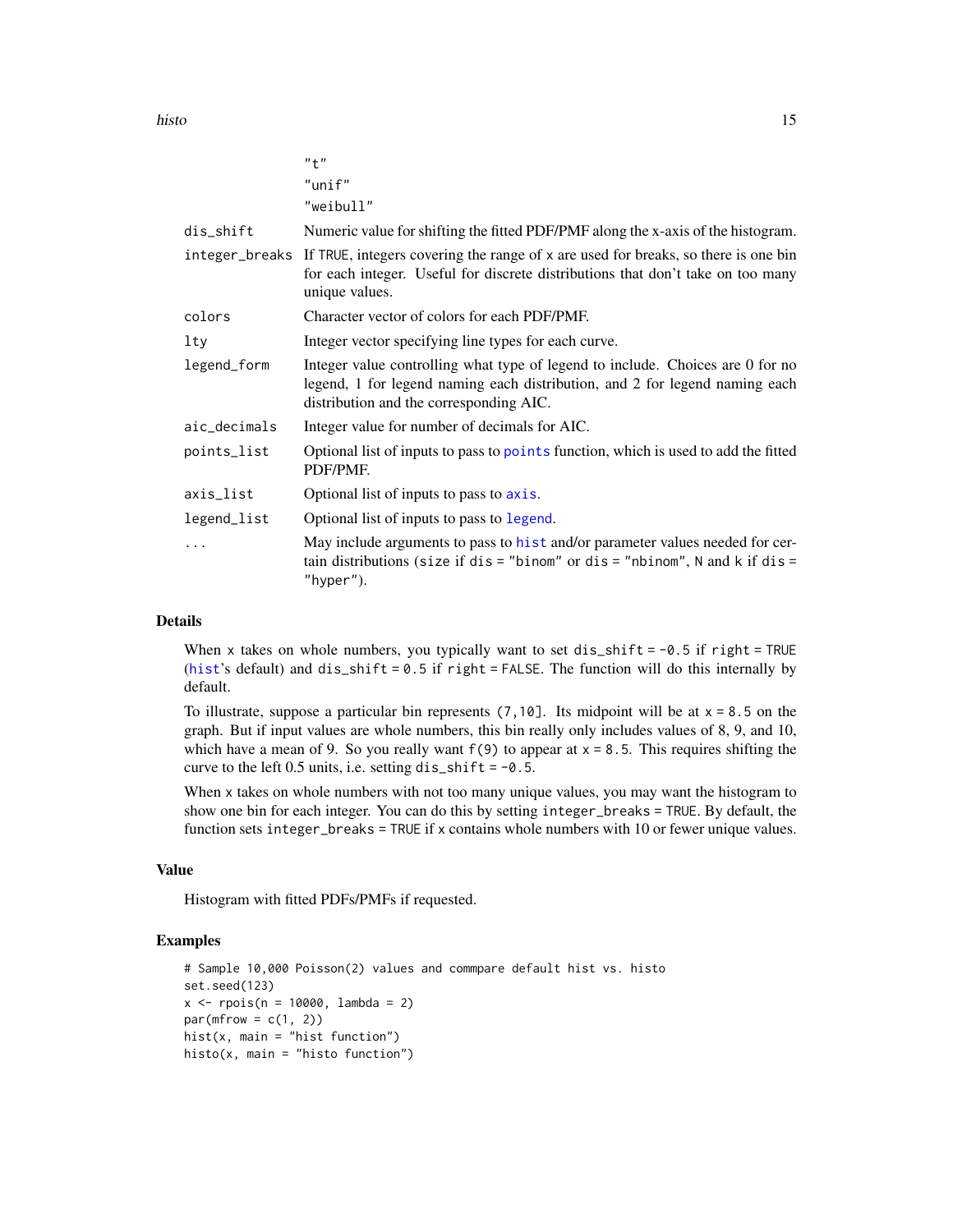<span id="page-14-0"></span>histo the contract of the contract of the contract of the contract of the contract of the contract of the contract of the contract of the contract of the contract of the contract of the contract of the contract of the cont

|              | $"$ + $"$                                                                                                                                                                                                |
|--------------|----------------------------------------------------------------------------------------------------------------------------------------------------------------------------------------------------------|
|              | $"$ unif"                                                                                                                                                                                                |
|              | "weibull"                                                                                                                                                                                                |
| dis_shift    | Numeric value for shifting the fitted PDF/PMF along the x-axis of the histogram.                                                                                                                         |
|              | integer_breaks If TRUE, integers covering the range of x are used for breaks, so there is one bin<br>for each integer. Useful for discrete distributions that don't take on too many<br>unique values.   |
| colors       | Character vector of colors for each PDF/PMF.                                                                                                                                                             |
| lty          | Integer vector specifying line types for each curve.                                                                                                                                                     |
| legend_form  | Integer value controlling what type of legend to include. Choices are 0 for no<br>legend, 1 for legend naming each distribution, and 2 for legend naming each<br>distribution and the corresponding AIC. |
| aic_decimals | Integer value for number of decimals for AIC.                                                                                                                                                            |
| points_list  | Optional list of inputs to pass to points function, which is used to add the fitted<br>PDF/PMF.                                                                                                          |
| axis_list    | Optional list of inputs to pass to axis.                                                                                                                                                                 |
| legend_list  | Optional list of inputs to pass to legend.                                                                                                                                                               |
| .            | May include arguments to pass to hist and/or parameter values needed for cer-<br>tain distributions (size if dis = "binom" or dis = "nbinom", N and k if dis =<br>"hyper").                              |

# Details

When x takes on whole numbers, you typically want to set dis\_shift =  $-0.5$  if right = TRUE ([hist](#page-0-0)'s default) and dis\_shift =  $0.5$  if right = FALSE. The function will do this internally by default.

To illustrate, suppose a particular bin represents  $(7,10]$ . Its midpoint will be at  $x = 8.5$  on the graph. But if input values are whole numbers, this bin really only includes values of 8, 9, and 10, which have a mean of 9. So you really want  $f(9)$  to appear at  $x = 8.5$ . This requires shifting the curve to the left 0.5 units, i.e. setting dis\_shift =  $-0.5$ .

When x takes on whole numbers with not too many unique values, you may want the histogram to show one bin for each integer. You can do this by setting integer\_breaks = TRUE. By default, the function sets integer\_breaks = TRUE if x contains whole numbers with 10 or fewer unique values.

#### Value

Histogram with fitted PDFs/PMFs if requested.

```
# Sample 10,000 Poisson(2) values and commpare default hist vs. histo
set.seed(123)
x \le - rpois(n = 10000, lambda = 2)
par(mfrow = c(1, 2))hist(x, main = "hist function")
histo(x, main = "histo function")
```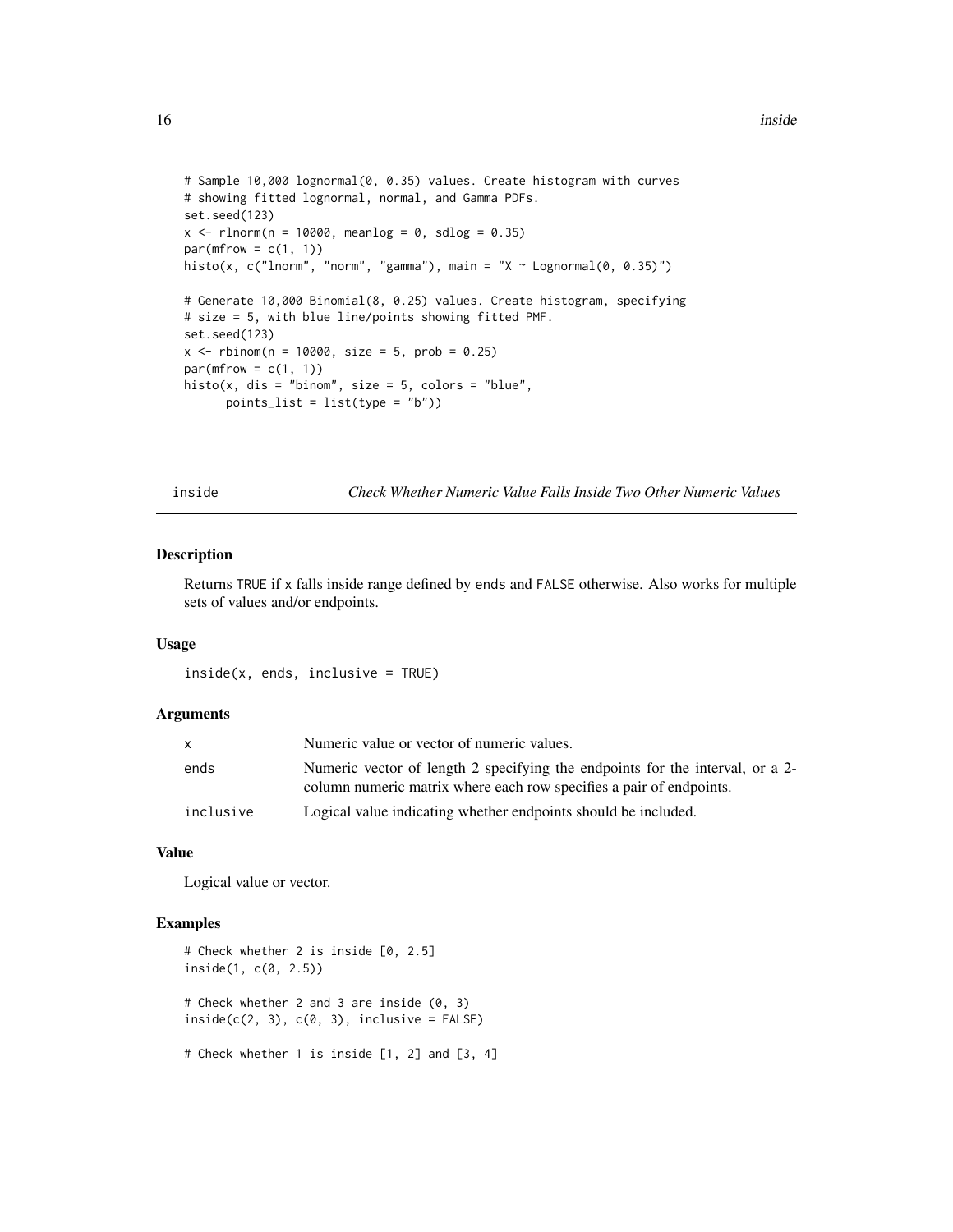```
# Sample 10,000 lognormal(0, 0.35) values. Create histogram with curves
# showing fitted lognormal, normal, and Gamma PDFs.
set.seed(123)
x \le - rlnorm(n = 10000, meanlog = 0, sdlog = 0.35)
par(mfrow = c(1, 1))histo(x, c("lnorm", "norm", "gamma"), main = "X ~ Lognormal(0, 0.35)")
# Generate 10,000 Binomial(8, 0.25) values. Create histogram, specifying
# size = 5, with blue line/points showing fitted PMF.
set.seed(123)
x < - rbinom(n = 10000, size = 5, prob = 0.25)
par(mfrow = c(1, 1))histo(x, dis = "binom", size = 5, colors = "blue",
      points_list = list(type = "b")
```
<span id="page-15-1"></span>inside *Check Whether Numeric Value Falls Inside Two Other Numeric Values*

# Description

Returns TRUE if x falls inside range defined by ends and FALSE otherwise. Also works for multiple sets of values and/or endpoints.

#### Usage

inside(x, ends, inclusive = TRUE)

#### Arguments

|           | Numeric value or vector of numeric values.                                                                                                           |
|-----------|------------------------------------------------------------------------------------------------------------------------------------------------------|
| ends      | Numeric vector of length 2 specifying the endpoints for the interval, or a 2-<br>column numeric matrix where each row specifies a pair of endpoints. |
| inclusive | Logical value indicating whether endpoints should be included.                                                                                       |

#### Value

Logical value or vector.

```
# Check whether 2 is inside [0, 2.5]
inside(1, c(0, 2.5))
# Check whether 2 and 3 are inside (0, 3)
inside(c(2, 3), c(0, 3), inclusive = FALSE)# Check whether 1 is inside [1, 2] and [3, 4]
```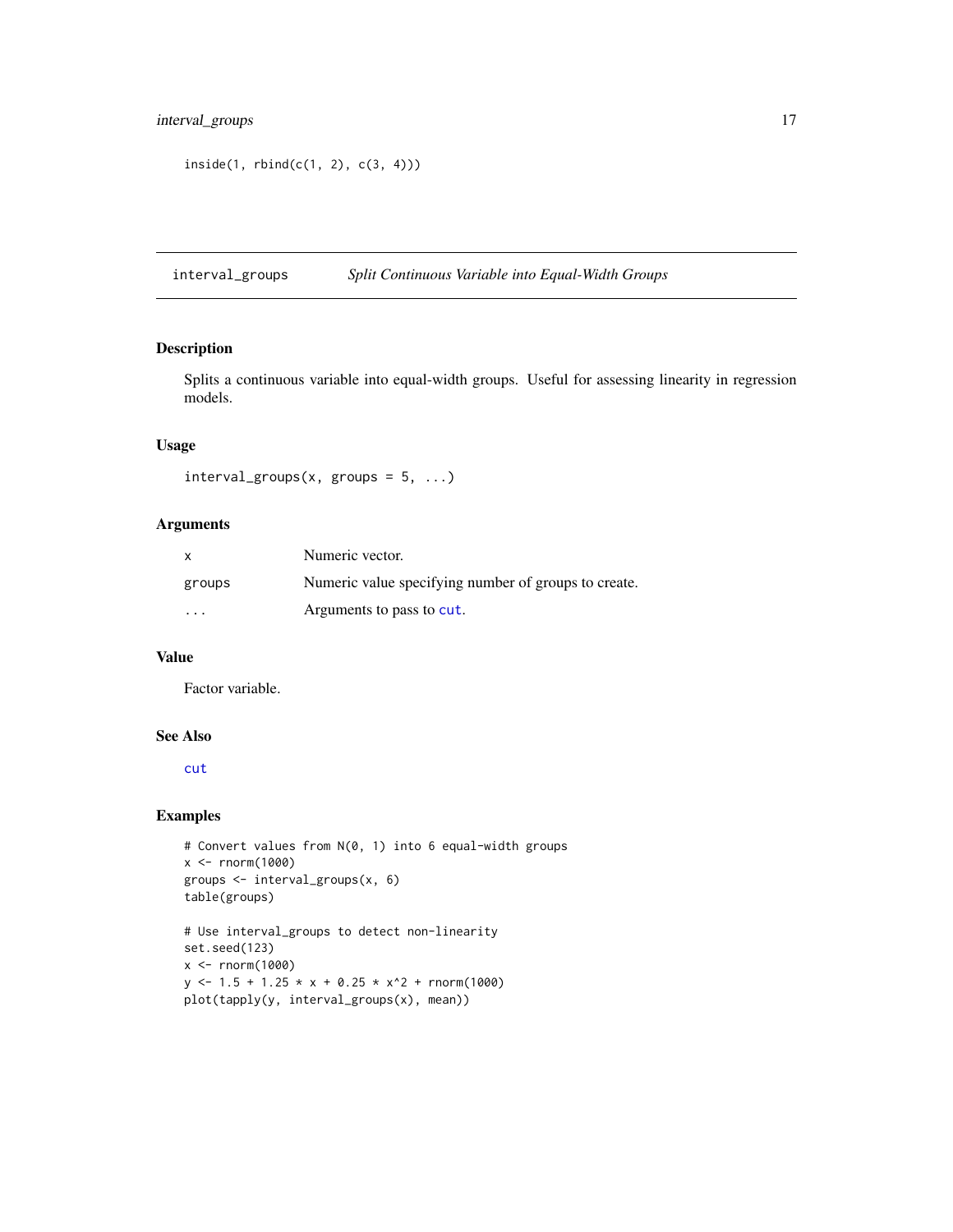# <span id="page-16-0"></span>interval\_groups 17

```
inside(1, <i>rbind</i>(c(1, 2), c(3, 4)))
```
interval\_groups *Split Continuous Variable into Equal-Width Groups*

#### Description

Splits a continuous variable into equal-width groups. Useful for assessing linearity in regression models.

# Usage

 $interval\_groups(x, groups = 5, ...)$ 

# Arguments

| $\mathsf{x}$ | Numeric vector.                                      |
|--------------|------------------------------------------------------|
| groups       | Numeric value specifying number of groups to create. |
| $\cdots$     | Arguments to pass to cut.                            |

# Value

Factor variable.

# See Also

[cut](#page-0-0)

```
# Convert values from N(0, 1) into 6 equal-width groups
x < - rnorm(1000)
groups <- interval_groups(x, 6)
table(groups)
# Use interval_groups to detect non-linearity
set.seed(123)
x <- rnorm(1000)
y \le -1.5 + 1.25 + x + 0.25 + x^2 + \text{norm}(1000)plot(tapply(y, interval_groups(x), mean))
```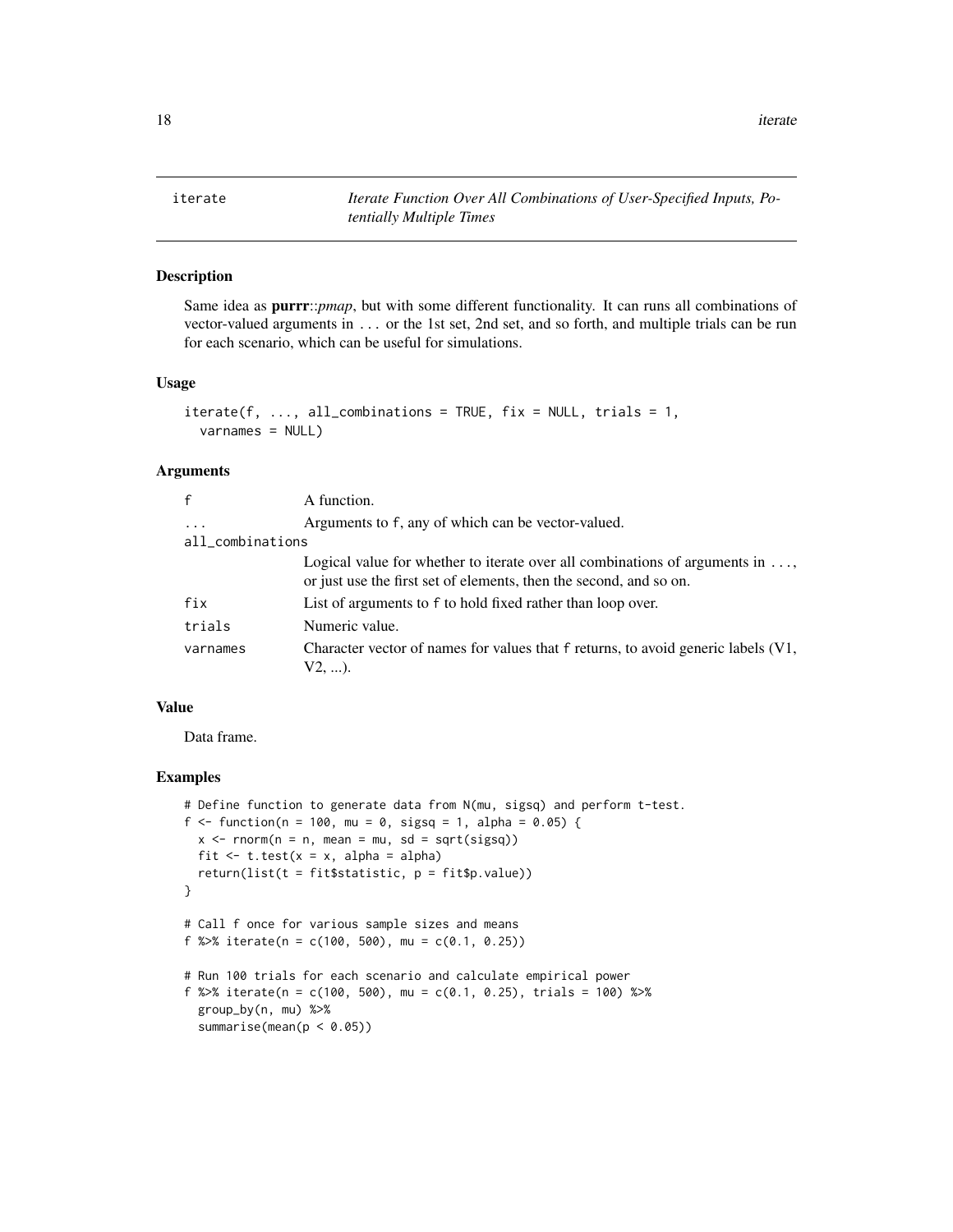<span id="page-17-0"></span>iterate *Iterate Function Over All Combinations of User-Specified Inputs, Potentially Multiple Times*

# Description

Same idea as purrr::*pmap*, but with some different functionality. It can runs all combinations of vector-valued arguments in ... or the 1st set, 2nd set, and so forth, and multiple trials can be run for each scenario, which can be useful for simulations.

# Usage

```
\text{iterate}(f, \ldots, \text{ all\_combinations} = \text{TRUE}, \text{ fix} = \text{NULL}, \text{ trials} = 1,varnames = NULL)
```
# Arguments

| $\mathsf{f}$     | A function.                                                                                                                                                |  |
|------------------|------------------------------------------------------------------------------------------------------------------------------------------------------------|--|
| $\cdots$         | Arguments to f, any of which can be vector-valued.                                                                                                         |  |
| all_combinations |                                                                                                                                                            |  |
|                  | Logical value for whether to iterate over all combinations of arguments in $\dots$ ,<br>or just use the first set of elements, then the second, and so on. |  |
| fix              | List of arguments to f to hold fixed rather than loop over.                                                                                                |  |
| trials           | Numeric value.                                                                                                                                             |  |
| varnames         | Character vector of names for values that f returns, to avoid generic labels (V1,<br>V2, ).                                                                |  |

# Value

Data frame.

```
# Define function to generate data from N(mu, sigsq) and perform t-test.
f <- function(n = 100, mu = 0, sigsq = 1, alpha = 0.05) {
 x \le rnorm(n = n, mean = mu, sd = sqrt(sigsq))
 fit \leq t.test(x = x, alpha = alpha)
 return(list(t = fit$statistic, p = fit$p.value))
}
# Call f once for various sample sizes and means
f %>% iterate(n = c(100, 500), mu = c(0.1, 0.25))
# Run 100 trials for each scenario and calculate empirical power
f %>% iterate(n = c(100, 500), mu = c(0.1, 0.25), trials = 100) %>%
 group_by(n, mu) %>%
 summarise(mean(p < 0.05))
```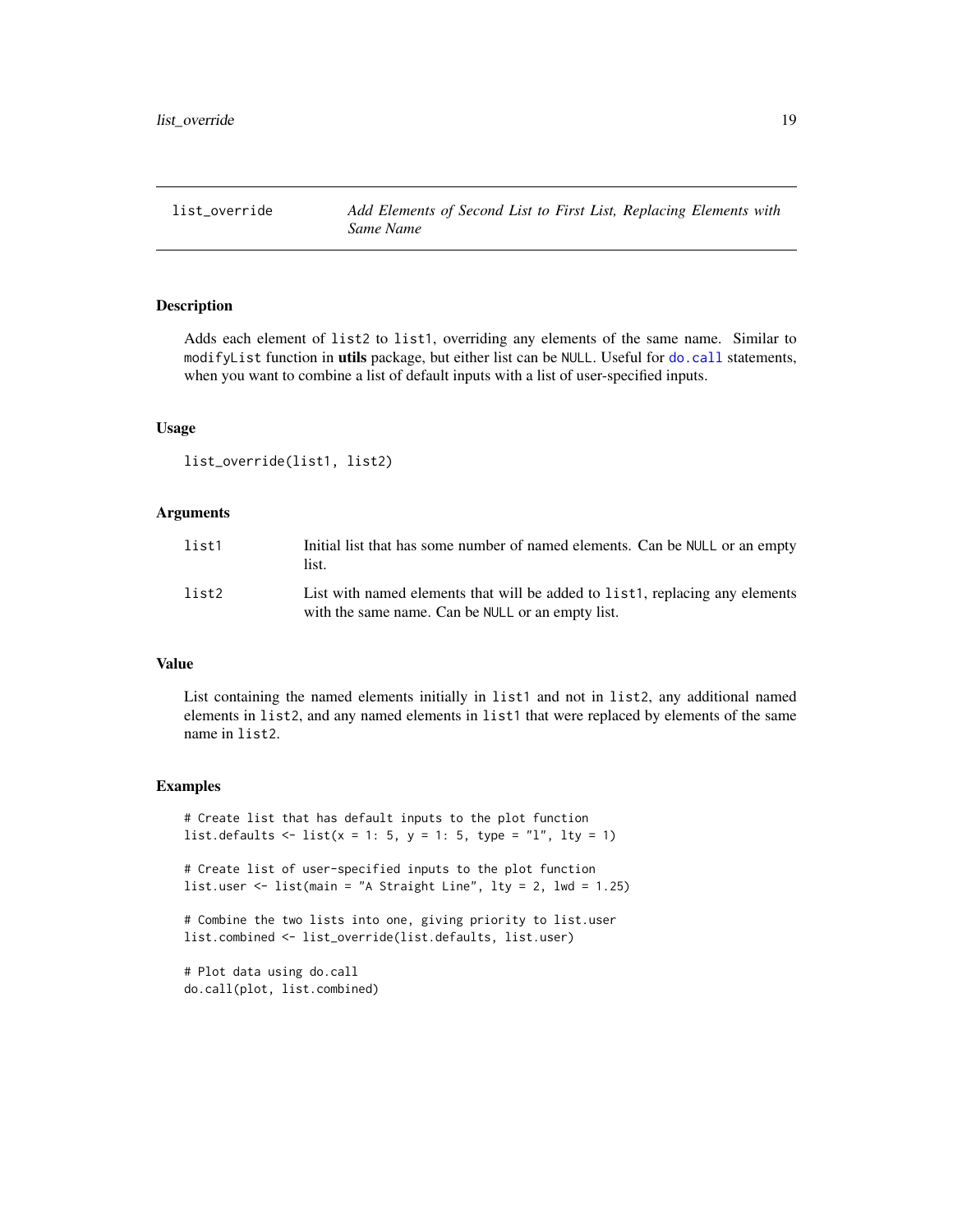<span id="page-18-0"></span>list\_override *Add Elements of Second List to First List, Replacing Elements with Same Name*

# Description

Adds each element of list2 to list1, overriding any elements of the same name. Similar to modifyList function in utils package, but either list can be NULL. Useful for [do.call](#page-0-0) statements, when you want to combine a list of default inputs with a list of user-specified inputs.

# Usage

```
list_override(list1, list2)
```
#### Arguments

| list1 | Initial list that has some number of named elements. Can be NULL or an empty<br>list.                                             |
|-------|-----------------------------------------------------------------------------------------------------------------------------------|
| list2 | List with named elements that will be added to list1, replacing any elements<br>with the same name. Can be NULL or an empty list. |

# Value

List containing the named elements initially in list1 and not in list2, any additional named elements in list2, and any named elements in list1 that were replaced by elements of the same name in list2.

# Examples

```
# Create list that has default inputs to the plot function
list.defaults <- list(x = 1: 5, y = 1: 5, type = "l", lty = 1)
```

```
# Create list of user-specified inputs to the plot function
list.user \le list(main = "A Straight Line", lty = 2, lwd = 1.25)
```

```
# Combine the two lists into one, giving priority to list.user
list.combined <- list_override(list.defaults, list.user)
```
# Plot data using do.call do.call(plot, list.combined)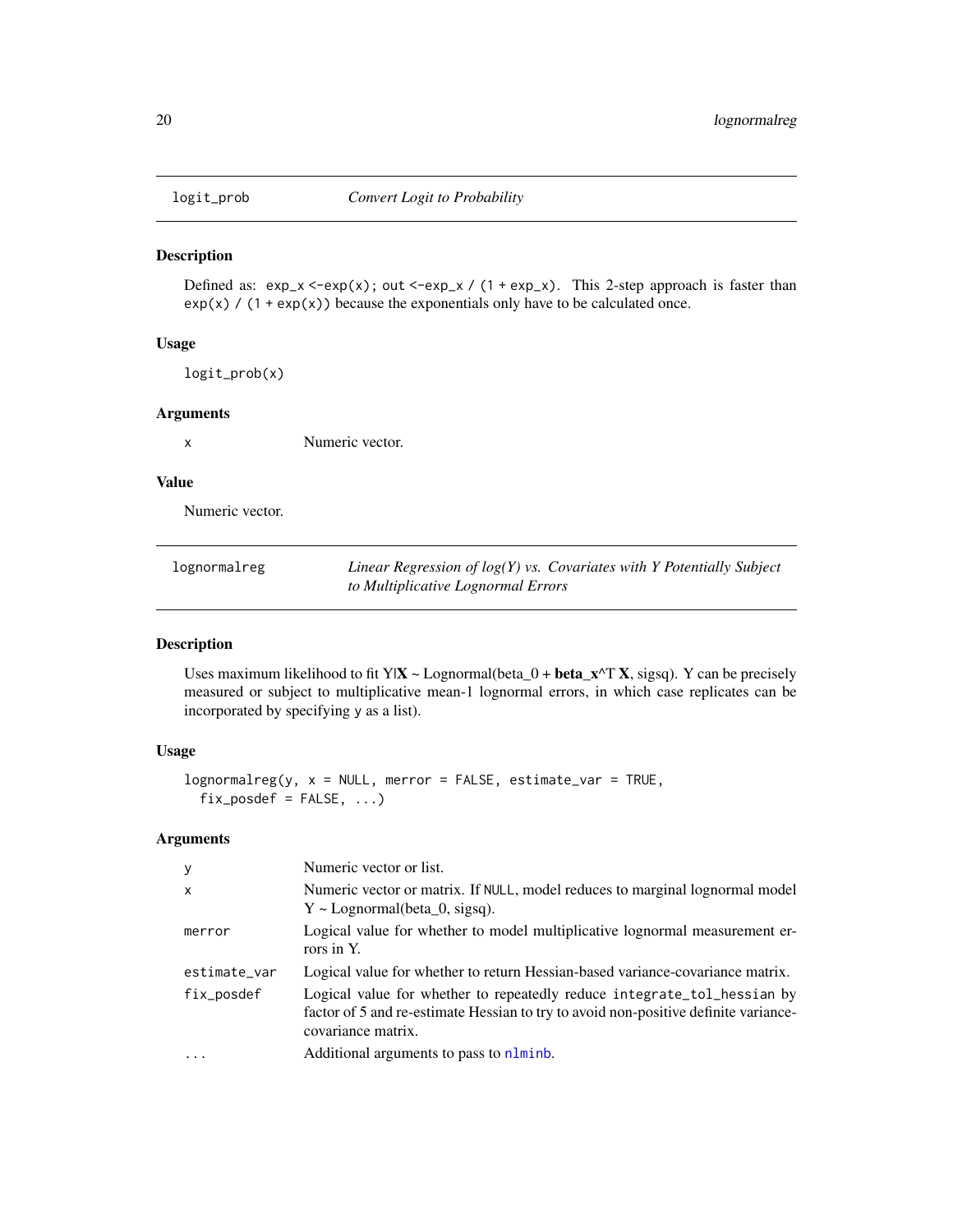<span id="page-19-0"></span>

Defined as:  $exp_x < -exp(x)$ ; out  $\langle -exp_x / (1 + exp_x)$ . This 2-step approach is faster than  $exp(x)$  / (1 +  $exp(x)$ ) because the exponentials only have to be calculated once.

# Usage

logit\_prob(x)

#### Arguments

x Numeric vector.

# Value

Numeric vector.

| lognormalreg | Linear Regression of $log(Y)$ vs. Covariates with Y Potentially Subject |
|--------------|-------------------------------------------------------------------------|
|              | to Multiplicative Lognormal Errors                                      |

#### Description

Uses maximum likelihood to fit Y|X ~ Lognormal(beta\_0 + beta\_x^T X, sigsq). Y can be precisely measured or subject to multiplicative mean-1 lognormal errors, in which case replicates can be incorporated by specifying y as a list).

# Usage

```
lognormalreg(y, x = NULL, merror = FALSE, estimate\_var = TRUE,fix\_posed = FALSE, ...)
```
# Arguments

| У            | Numeric vector or list.                                                                                                                                                              |
|--------------|--------------------------------------------------------------------------------------------------------------------------------------------------------------------------------------|
| $\mathsf{x}$ | Numeric vector or matrix. If NULL, model reduces to marginal lognormal model<br>$Y \sim$ Lognormal(beta 0, sigsq).                                                                   |
| merror       | Logical value for whether to model multiplicative lognormal measurement er-<br>rors in Y.                                                                                            |
| estimate_var | Logical value for whether to return Hessian-based variance-covariance matrix.                                                                                                        |
| fix_posdef   | Logical value for whether to repeatedly reduce integrate_tol_hessian by<br>factor of 5 and re-estimate Hessian to try to avoid non-positive definite variance-<br>covariance matrix. |
| $\ddotsc$    | Additional arguments to pass to nlminb.                                                                                                                                              |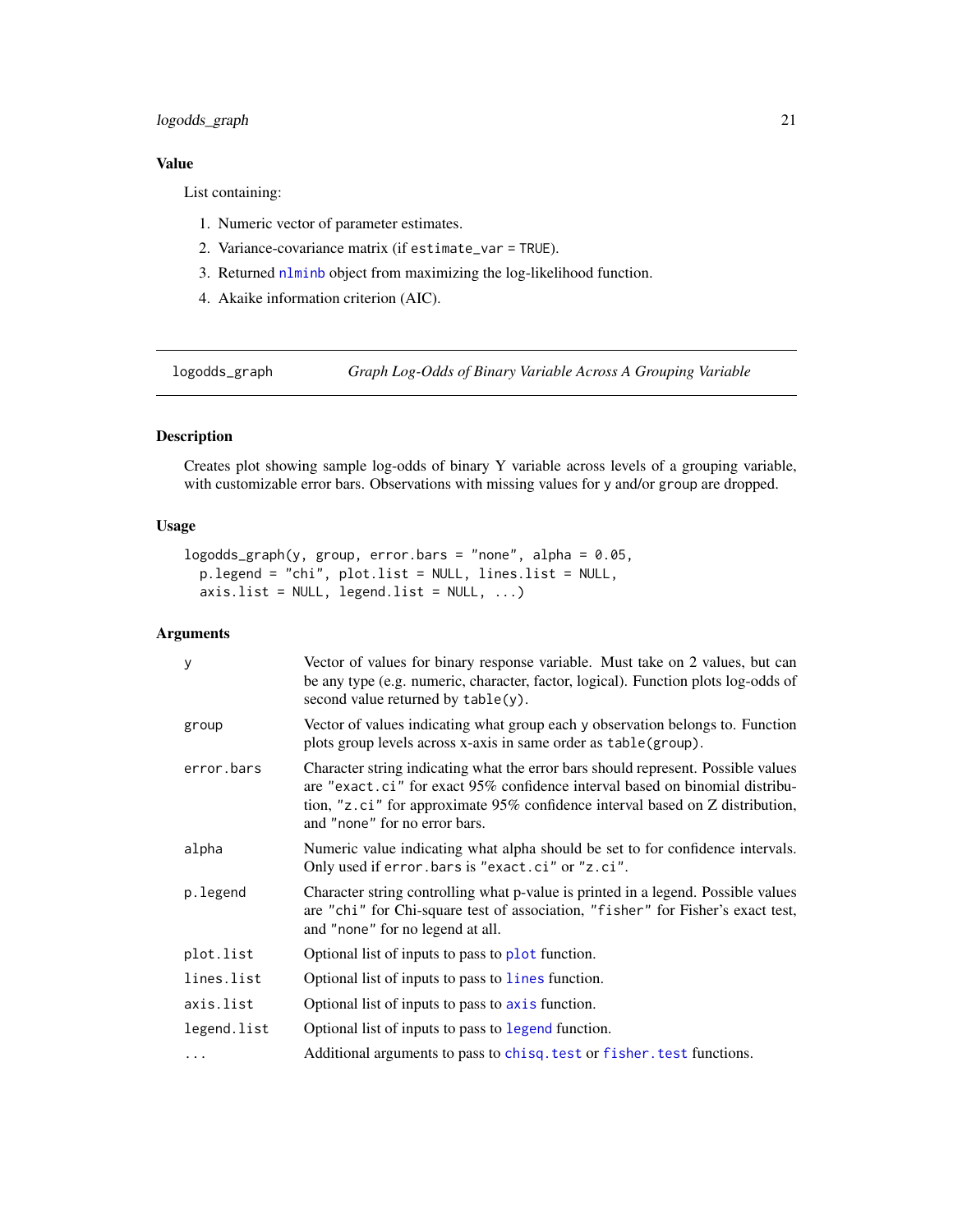# <span id="page-20-0"></span>logodds\_graph 21

# Value

List containing:

- 1. Numeric vector of parameter estimates.
- 2. Variance-covariance matrix (if estimate\_var = TRUE).
- 3. Returned [nlminb](#page-0-0) object from maximizing the log-likelihood function.
- 4. Akaike information criterion (AIC).

logodds\_graph *Graph Log-Odds of Binary Variable Across A Grouping Variable*

# Description

Creates plot showing sample log-odds of binary Y variable across levels of a grouping variable, with customizable error bars. Observations with missing values for y and/or group are dropped.

#### Usage

```
logodds_graph(y, group, error.bars = "none", alpha = 0.05,
 p.legend = "chi", plot.list = NULL, lines.list = NULL,
 axis. list = NULL, legend. list = NULL, ...)
```
# Arguments

| У           | Vector of values for binary response variable. Must take on 2 values, but can<br>be any type (e.g. numeric, character, factor, logical). Function plots log-odds of<br>second value returned by $table(y)$ .                                                                        |
|-------------|-------------------------------------------------------------------------------------------------------------------------------------------------------------------------------------------------------------------------------------------------------------------------------------|
| group       | Vector of values indicating what group each y observation belongs to. Function<br>plots group levels across x-axis in same order as table(group).                                                                                                                                   |
| error.bars  | Character string indicating what the error bars should represent. Possible values<br>are "exact.ci" for exact 95% confidence interval based on binomial distribu-<br>tion, "z.ci" for approximate 95% confidence interval based on Z distribution,<br>and "none" for no error bars. |
| alpha       | Numeric value indicating what alpha should be set to for confidence intervals.<br>Only used if error. bars is "exact.ci" or "z.ci".                                                                                                                                                 |
| p.legend    | Character string controlling what p-value is printed in a legend. Possible values<br>are "chi" for Chi-square test of association, "fisher" for Fisher's exact test,<br>and "none" for no legend at all.                                                                            |
| plot.list   | Optional list of inputs to pass to plot function.                                                                                                                                                                                                                                   |
| lines.list  | Optional list of inputs to pass to lines function.                                                                                                                                                                                                                                  |
| axis.list   | Optional list of inputs to pass to axis function.                                                                                                                                                                                                                                   |
| legend.list | Optional list of inputs to pass to legend function.                                                                                                                                                                                                                                 |
|             | Additional arguments to pass to chisq. test or fisher. test functions.                                                                                                                                                                                                              |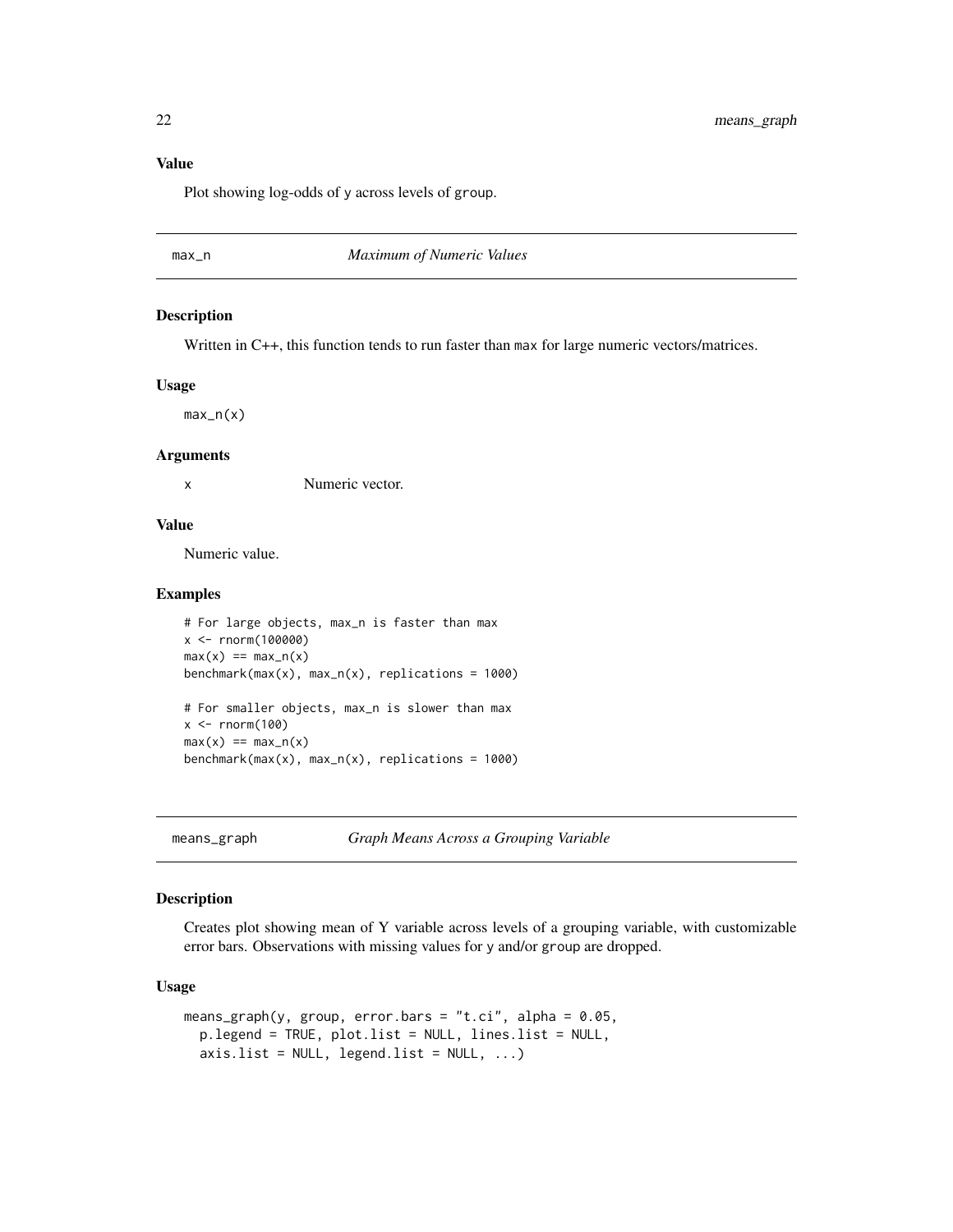# <span id="page-21-0"></span>Value

Plot showing log-odds of y across levels of group.

max\_n *Maximum of Numeric Values*

#### Description

Written in C++, this function tends to run faster than max for large numeric vectors/matrices.

#### Usage

max\_n(x)

#### Arguments

x Numeric vector.

#### Value

Numeric value.

#### Examples

```
# For large objects, max_n is faster than max
x <- rnorm(100000)
max(x) == max_n(x)benchmark(max(x), max_n(x), replications = 1000)
# For smaller objects, max_n is slower than max
x < - rnorm(100)
max(x) == max_n(x)benchmark(max(x), max_n(x), replications = 1000)
```
means\_graph *Graph Means Across a Grouping Variable*

# Description

Creates plot showing mean of Y variable across levels of a grouping variable, with customizable error bars. Observations with missing values for y and/or group are dropped.

```
means_graph(y, group, error.bars = "t.ci", alpha = 0.05,
 p.legend = TRUE, plot.list = NULL, lines.list = NULL,
 axis.list = NULL, legend.list = NULL, ...)
```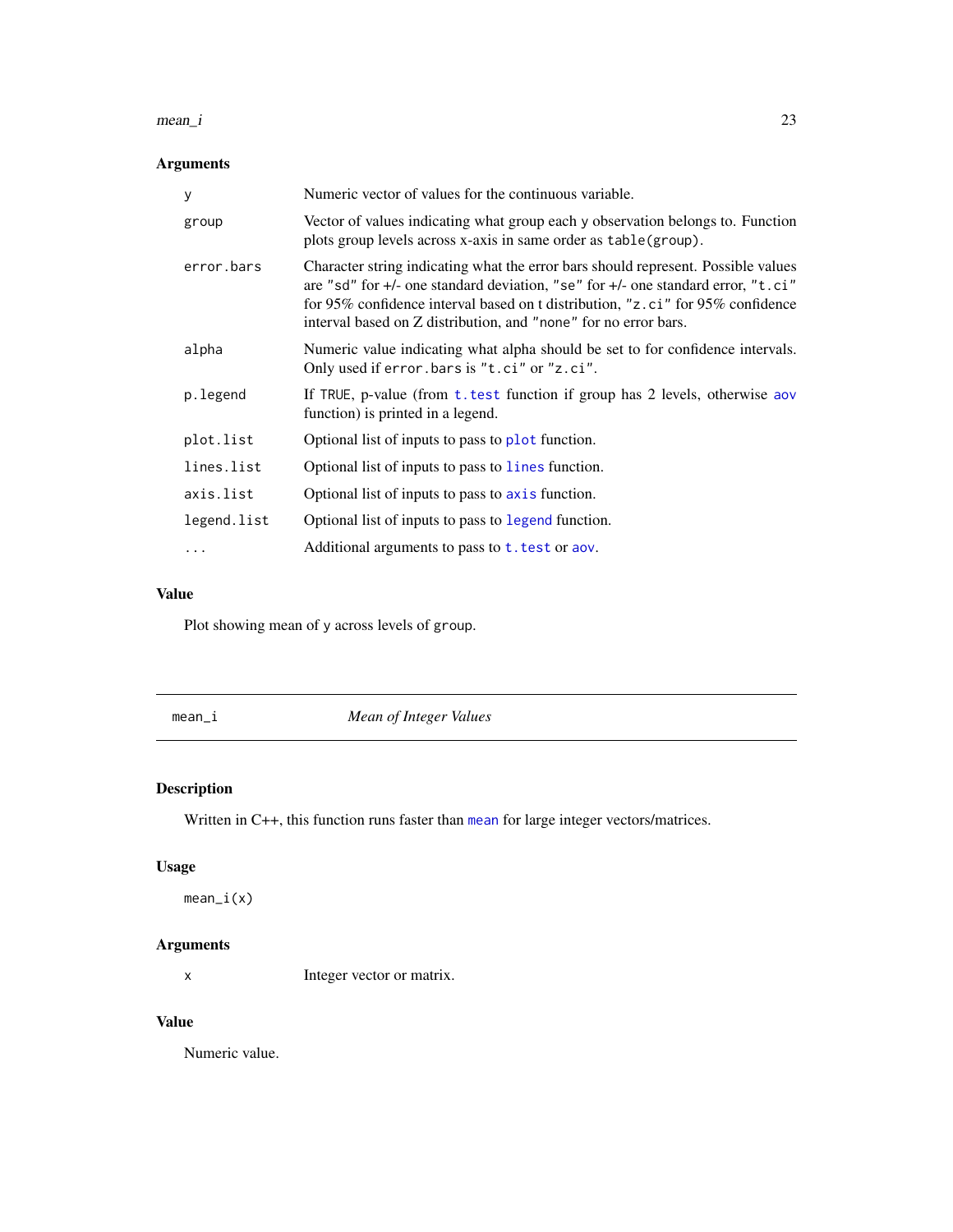#### <span id="page-22-0"></span> $mean_i$  23

# Arguments

| y           | Numeric vector of values for the continuous variable.                                                                                                                                                                                                                                                                      |
|-------------|----------------------------------------------------------------------------------------------------------------------------------------------------------------------------------------------------------------------------------------------------------------------------------------------------------------------------|
| group       | Vector of values indicating what group each y observation belongs to. Function<br>plots group levels across x-axis in same order as table (group).                                                                                                                                                                         |
| error.bars  | Character string indicating what the error bars should represent. Possible values<br>are "sd" for +/- one standard deviation, "se" for +/- one standard error, "t.ci"<br>for 95% confidence interval based on t distribution, "z.ci" for 95% confidence<br>interval based on Z distribution, and "none" for no error bars. |
| alpha       | Numeric value indicating what alpha should be set to for confidence intervals.<br>Only used if error.bars is "t.ci" or "z.ci".                                                                                                                                                                                             |
| p.legend    | If TRUE, p-value (from t. test function if group has 2 levels, otherwise aov<br>function) is printed in a legend.                                                                                                                                                                                                          |
| plot.list   | Optional list of inputs to pass to plot function.                                                                                                                                                                                                                                                                          |
| lines.list  | Optional list of inputs to pass to lines function.                                                                                                                                                                                                                                                                         |
| axis.list   | Optional list of inputs to pass to axis function.                                                                                                                                                                                                                                                                          |
| legend.list | Optional list of inputs to pass to legend function.                                                                                                                                                                                                                                                                        |
| $\cdots$    | Additional arguments to pass to $t$ . test or aov.                                                                                                                                                                                                                                                                         |

# Value

Plot showing mean of y across levels of group.

mean\_i *Mean of Integer Values*

# Description

Written in C++, this function runs faster than [mean](#page-0-0) for large integer vectors/matrices.

# Usage

mean\_i(x)

# Arguments

x Integer vector or matrix.

# Value

Numeric value.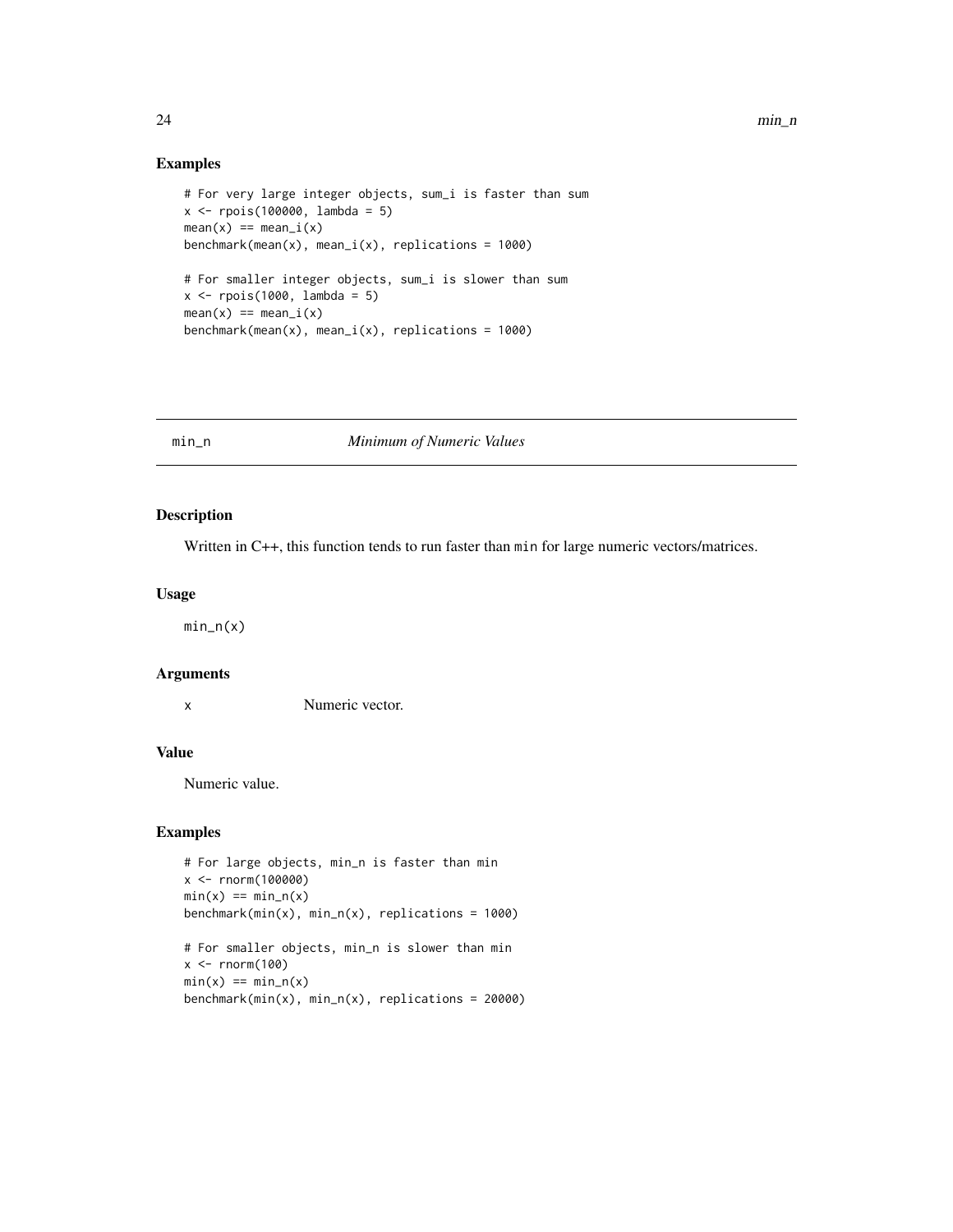#### Examples

```
# For very large integer objects, sum_i is faster than sum
x <- rpois(100000, lambda = 5)
mean(x) == mean_i(x)benchmark(mean(x), mean_i(x), replications = 1000)# For smaller integer objects, sum_i is slower than sum
x <- rpois(1000, lambda = 5)
mean(x) == mean_i(x)benchmark(mean(x), mean_i(x), replications = 1000)
```
min\_n *Minimum of Numeric Values*

# Description

Written in C++, this function tends to run faster than min for large numeric vectors/matrices.

#### Usage

 $min_n(x)$ 

# Arguments

x Numeric vector.

# Value

Numeric value.

```
# For large objects, min_n is faster than min
x <- rnorm(100000)
min(x) == min_n(x)benchmark(min(x), min_n(x), replications = 1000)
```

```
# For smaller objects, min_n is slower than min
x < - rnorm(100)
min(x) == min_n(x)benchmark(min(x), min_n(x), replica), replications = 20000)
```
<span id="page-23-0"></span>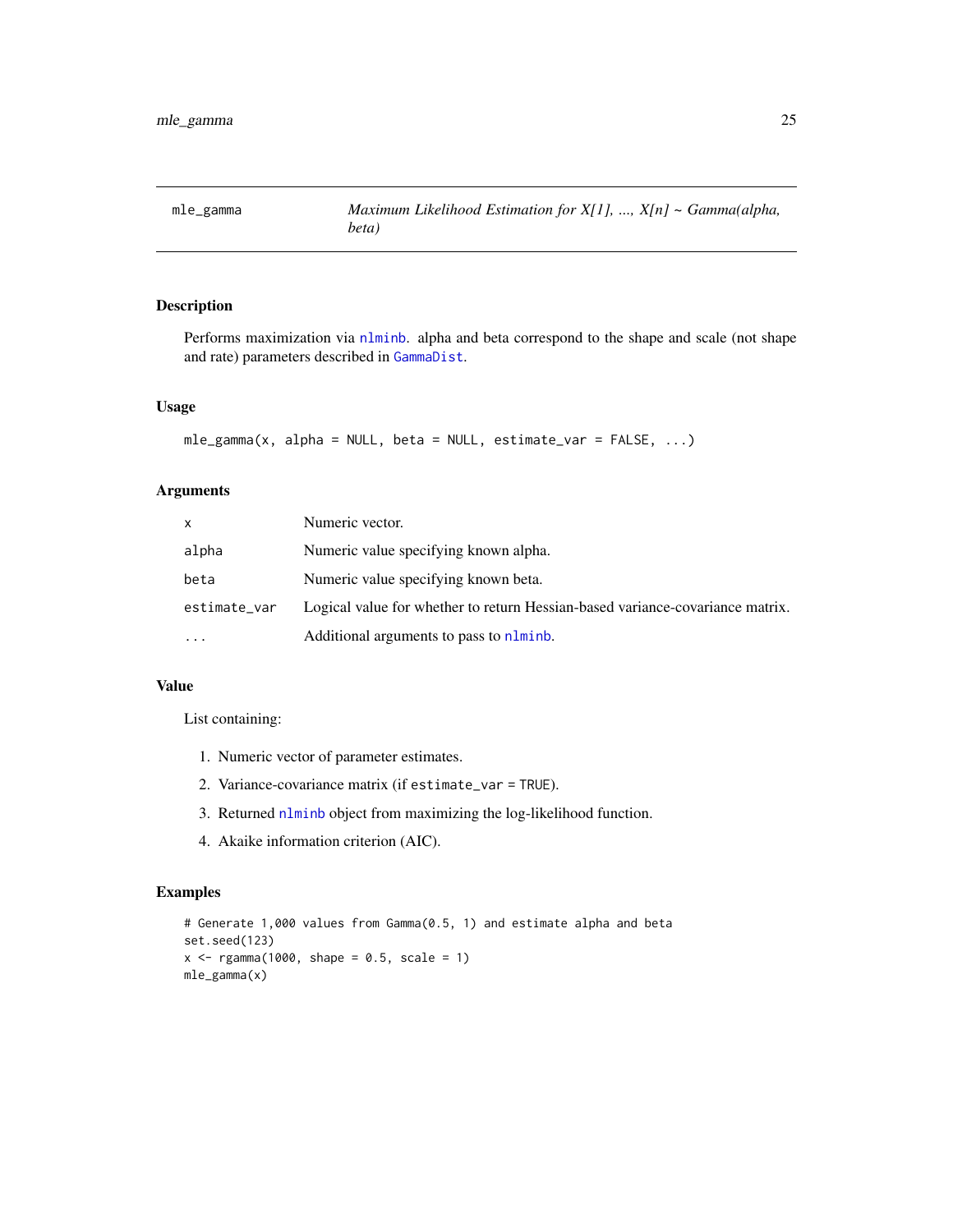<span id="page-24-0"></span>

Performs maximization via [nlminb](#page-0-0). alpha and beta correspond to the shape and scale (not shape and rate) parameters described in [GammaDist](#page-0-0).

#### Usage

```
mle_{gamma}(x, alpha = NULL, beta = NULL, estimate_{var} = FALSE, ...)
```
# Arguments

| x            | Numeric vector.                                                               |
|--------------|-------------------------------------------------------------------------------|
| alpha        | Numeric value specifying known alpha.                                         |
| beta         | Numeric value specifying known beta.                                          |
| estimate_var | Logical value for whether to return Hessian-based variance-covariance matrix. |
| .            | Additional arguments to pass to nlminb.                                       |

#### Value

List containing:

- 1. Numeric vector of parameter estimates.
- 2. Variance-covariance matrix (if estimate\_var = TRUE).
- 3. Returned [nlminb](#page-0-0) object from maximizing the log-likelihood function.
- 4. Akaike information criterion (AIC).

```
# Generate 1,000 values from Gamma(0.5, 1) and estimate alpha and beta
set.seed(123)
x \leq - rgamma(1000, shape = 0.5, scale = 1)
mle_gamma(x)
```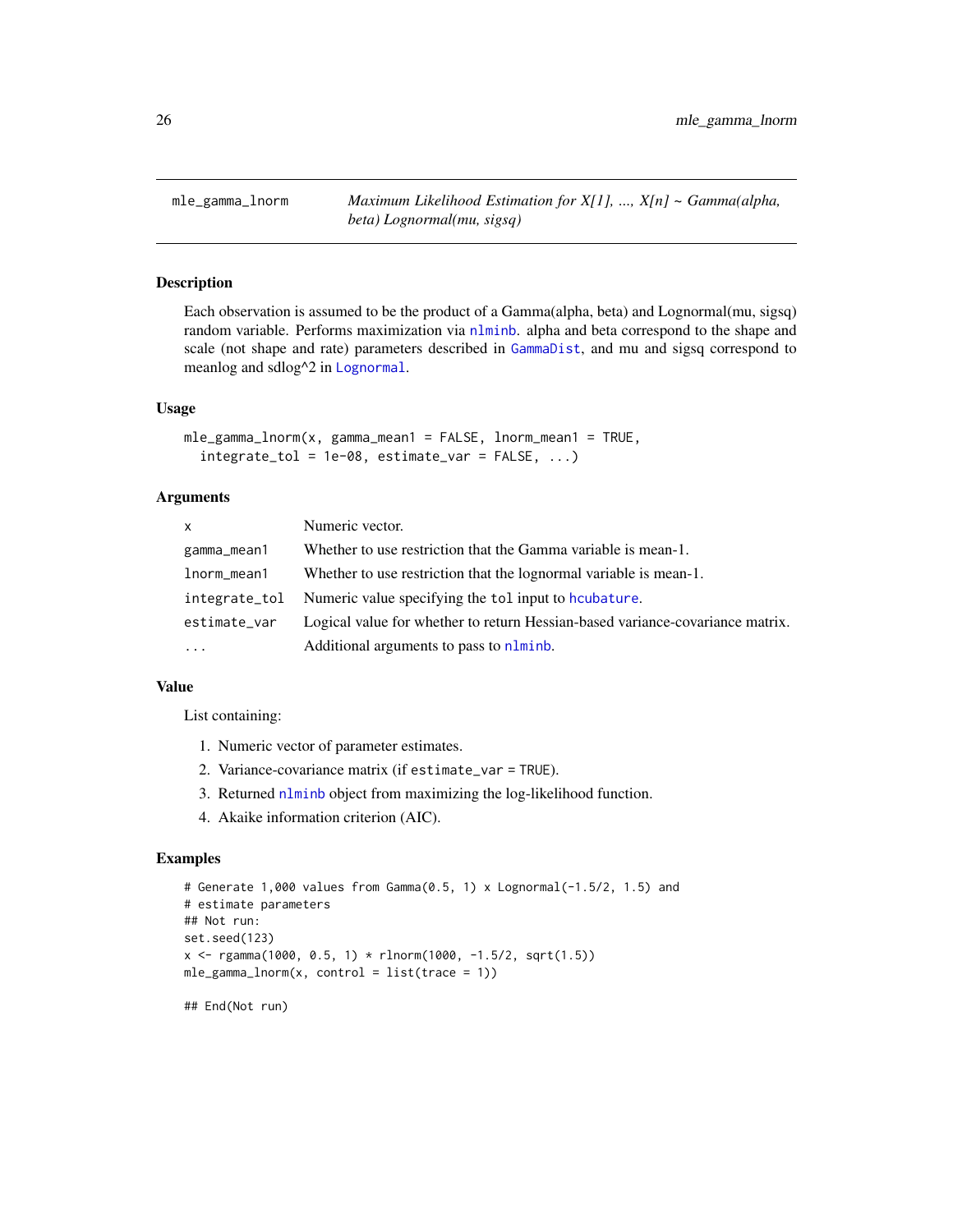<span id="page-25-0"></span>mle\_gamma\_lnorm *Maximum Likelihood Estimation for X[1], ..., X[n] ~ Gamma(alpha, beta) Lognormal(mu, sigsq)*

# Description

Each observation is assumed to be the product of a Gamma(alpha, beta) and Lognormal(mu, sigsq) random variable. Performs maximization via [nlminb](#page-0-0). alpha and beta correspond to the shape and scale (not shape and rate) parameters described in [GammaDist](#page-0-0), and mu and sigsq correspond to meanlog and sdlog^2 in [Lognormal](#page-0-0).

#### Usage

```
mle_gamma_lnorm(x, gamma_mean1 = FALSE, lnorm_mean1 = TRUE,
  integrate_to1 = 1e-08, estimate_var = FALSE, ...)
```
# Arguments

| $\mathsf{x}$ | Numeric vector.                                                               |
|--------------|-------------------------------------------------------------------------------|
| gamma_mean1  | Whether to use restriction that the Gamma variable is mean-1.                 |
| lnorm_mean1  | Whether to use restriction that the lognormal variable is mean-1.             |
|              | integrate_tol Numeric value specifying the tol input to houbature.            |
| estimate_var | Logical value for whether to return Hessian-based variance-covariance matrix. |
| $\cdot$      | Additional arguments to pass to nlminb.                                       |

#### Value

List containing:

- 1. Numeric vector of parameter estimates.
- 2. Variance-covariance matrix (if estimate\_var = TRUE).
- 3. Returned [nlminb](#page-0-0) object from maximizing the log-likelihood function.
- 4. Akaike information criterion (AIC).

#### Examples

```
# Generate 1,000 values from Gamma(0.5, 1) x Lognormal(-1.5/2, 1.5) and
# estimate parameters
## Not run:
set.seed(123)
x \leq rgamma(1000, 0.5, 1) * rlnorm(1000, -1.5/2, sqrt(1.5))
mle\_gamma\_norm(x, control = list(true = 1))
```
## End(Not run)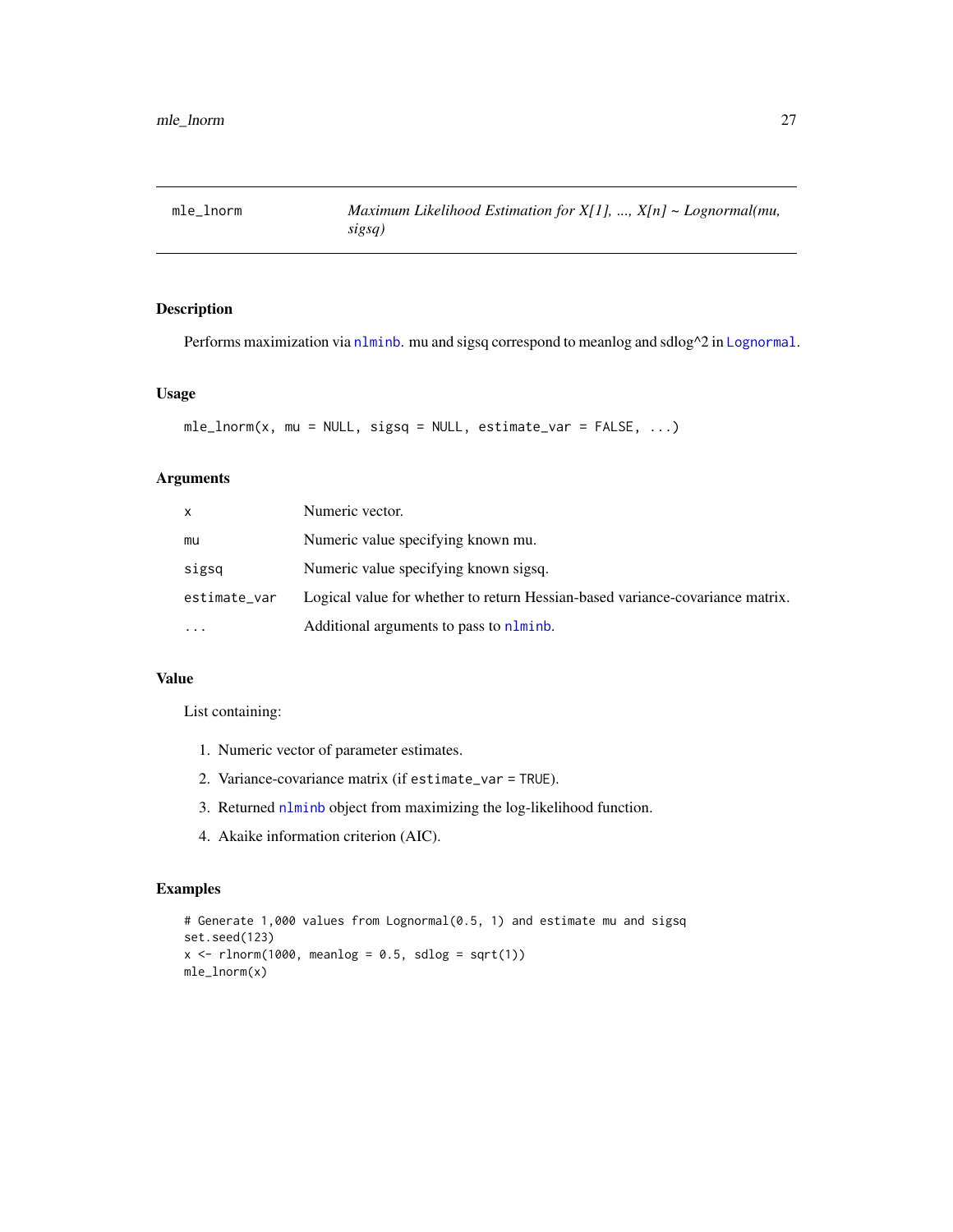<span id="page-26-0"></span>

Performs maximization via [nlminb](#page-0-0). mu and sigsq correspond to meanlog and sdlog^2 in [Lognormal](#page-0-0).

# Usage

```
mle_lnorm(x, mu = NULL, sigsq = NULL, estimate_lvar = FALSE, ...)
```
# Arguments

| x            | Numeric vector.                                                               |
|--------------|-------------------------------------------------------------------------------|
| mu           | Numeric value specifying known mu.                                            |
| sigsq        | Numeric value specifying known sigsq.                                         |
| estimate_var | Logical value for whether to return Hessian-based variance-covariance matrix. |
| $\ddotsc$    | Additional arguments to pass to nlminb.                                       |

# Value

List containing:

- 1. Numeric vector of parameter estimates.
- 2. Variance-covariance matrix (if estimate\_var = TRUE).
- 3. Returned [nlminb](#page-0-0) object from maximizing the log-likelihood function.
- 4. Akaike information criterion (AIC).

```
# Generate 1,000 values from Lognormal(0.5, 1) and estimate mu and sigsq
set.seed(123)
x \le rlnorm(1000, meanlog = 0.5, sdlog = sqrt(1))
mle_lnorm(x)
```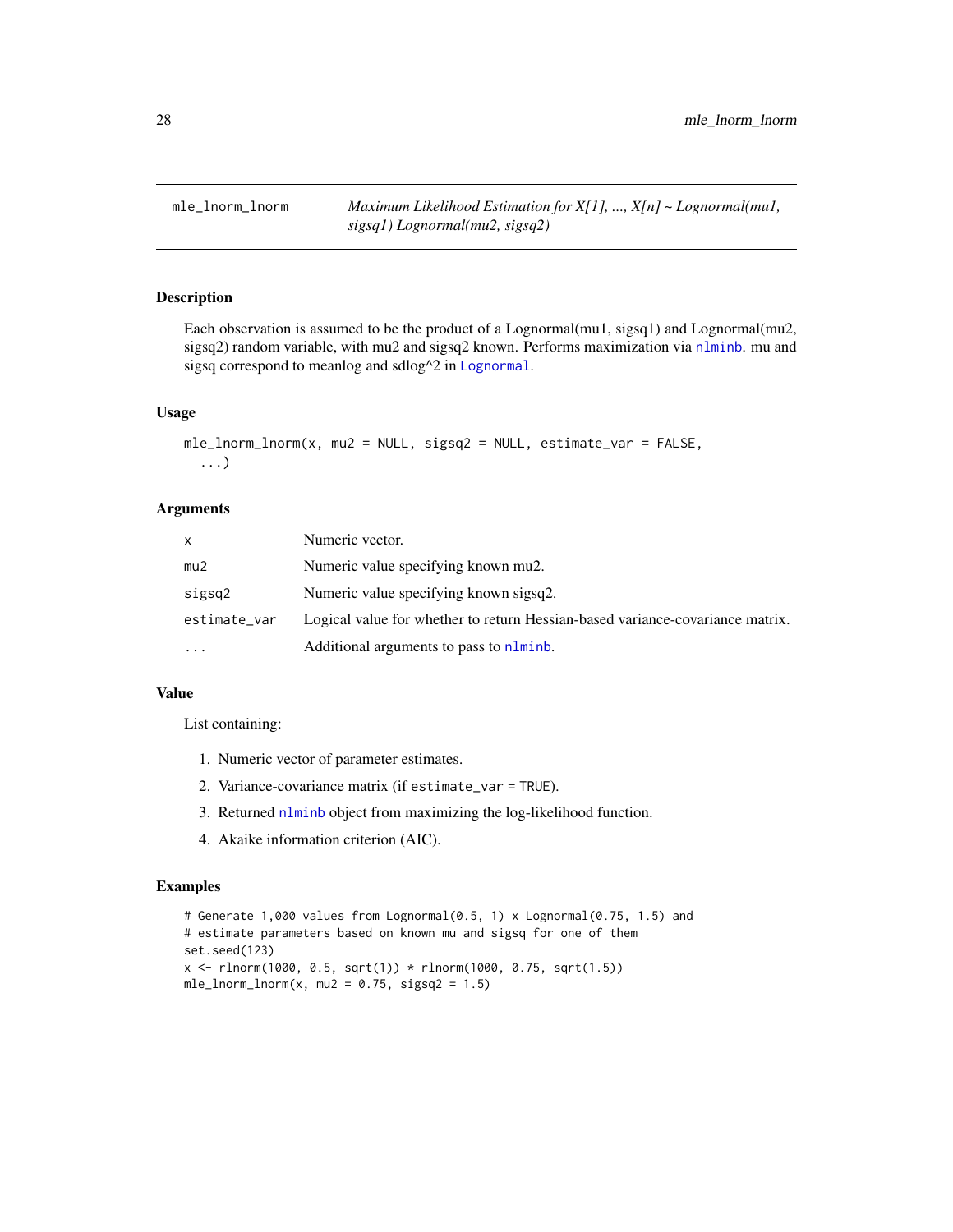<span id="page-27-0"></span>mle\_lnorm\_lnorm *Maximum Likelihood Estimation for X[1], ..., X[n] ~ Lognormal(mu1, sigsq1) Lognormal(mu2, sigsq2)*

# Description

Each observation is assumed to be the product of a Lognormal(mu1, sigsq1) and Lognormal(mu2, sigsq2) random variable, with mu2 and sigsq2 known. Performs maximization via [nlminb](#page-0-0). mu and sigsq correspond to meanlog and sdlog^2 in [Lognormal](#page-0-0).

# Usage

```
mle_lnorm_lnorm(x, mu2 = NULL, sigsq2 = NULL, estimate_lvar = FALSE,...)
```
# **Arguments**

| x            | Numeric vector.                                                               |
|--------------|-------------------------------------------------------------------------------|
| mu2          | Numeric value specifying known mu2.                                           |
| sigsq2       | Numeric value specifying known sigsq2.                                        |
| estimate_var | Logical value for whether to return Hessian-based variance-covariance matrix. |
| .            | Additional arguments to pass to nlminb.                                       |

#### Value

List containing:

- 1. Numeric vector of parameter estimates.
- 2. Variance-covariance matrix (if estimate\_var = TRUE).
- 3. Returned [nlminb](#page-0-0) object from maximizing the log-likelihood function.
- 4. Akaike information criterion (AIC).

```
# Generate 1,000 values from Lognormal(0.5, 1) x Lognormal(0.75, 1.5) and
# estimate parameters based on known mu and sigsq for one of them
set.seed(123)
x <- rlnorm(1000, 0.5, sqrt(1)) * rlnorm(1000, 0.75, sqrt(1.5))
mle\_lnorm\_lnorm(x, mu2 = 0.75, sigsq2 = 1.5)
```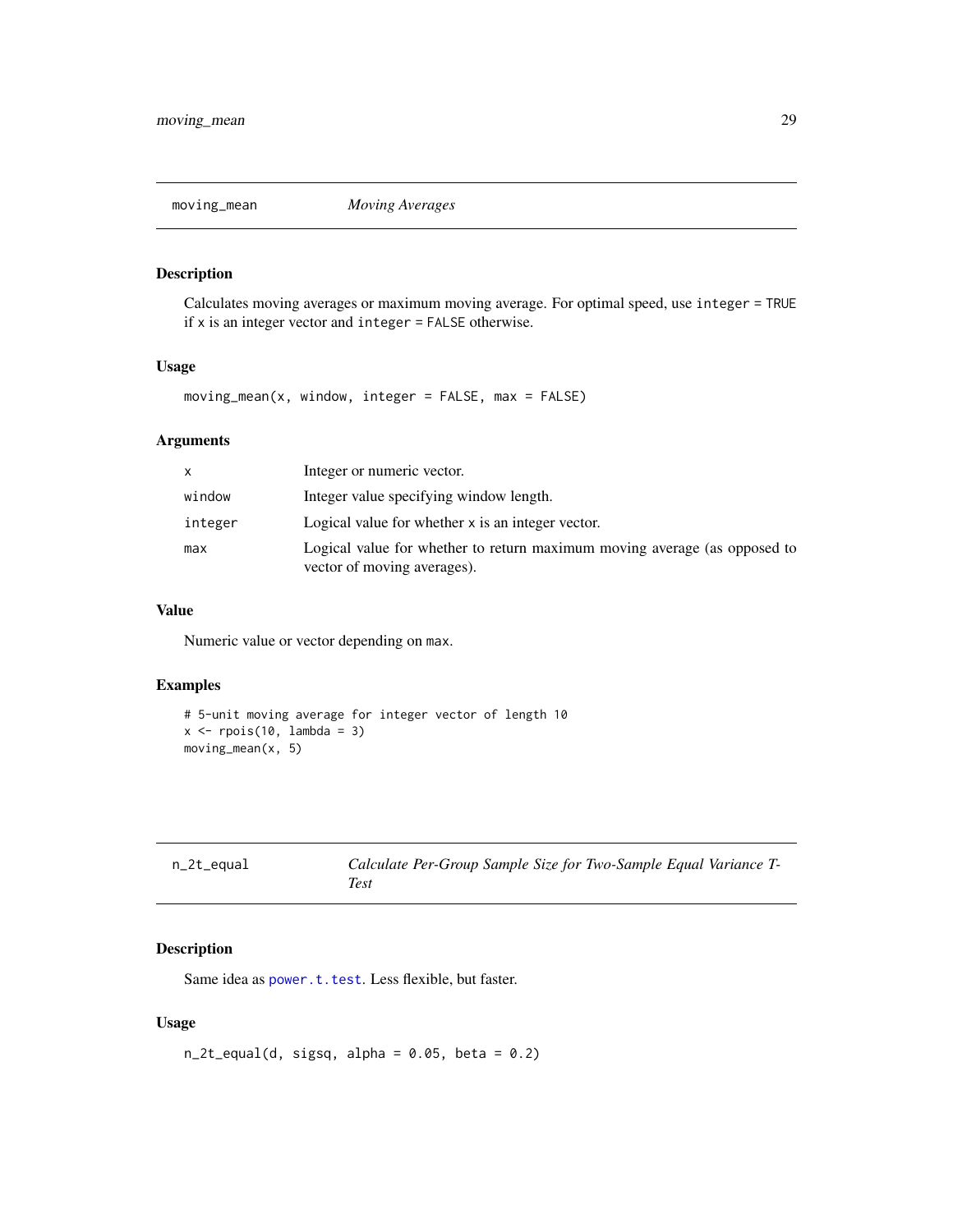<span id="page-28-0"></span>

Calculates moving averages or maximum moving average. For optimal speed, use integer = TRUE if x is an integer vector and integer = FALSE otherwise.

#### Usage

 $moving_mean(x, window, integer = FALSE, max = FALSE)$ 

# Arguments

|         | Integer or numeric vector.                                                                               |
|---------|----------------------------------------------------------------------------------------------------------|
| window  | Integer value specifying window length.                                                                  |
| integer | Logical value for whether x is an integer vector.                                                        |
| max     | Logical value for whether to return maximum moving average (as opposed to<br>vector of moving averages). |

# Value

Numeric value or vector depending on max.

# Examples

```
# 5-unit moving average for integer vector of length 10
x \leftarrow \text{rpois}(10, \text{ lambda = 3})moving_mean(x, 5)
```
<span id="page-28-1"></span>

| n_2t_equal | Calculate Per-Group Sample Size for Two-Sample Equal Variance T- |
|------------|------------------------------------------------------------------|
|            | Test                                                             |

# Description

Same idea as [power.t.test](#page-0-0). Less flexible, but faster.

```
n_2t_equal(d, sigsq, alpha = 0.05, beta = 0.2)
```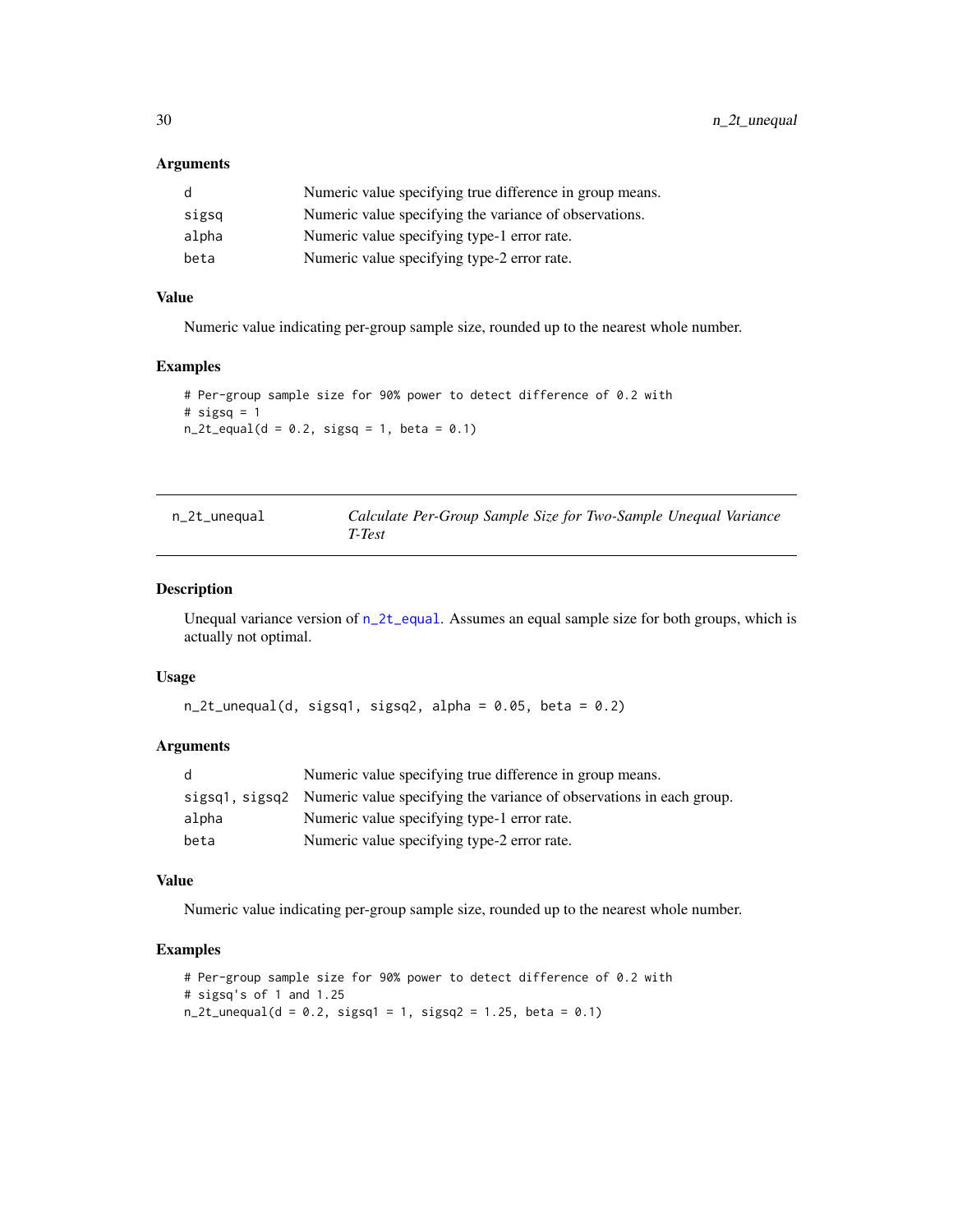# <span id="page-29-0"></span>Arguments

| d     | Numeric value specifying true difference in group means. |
|-------|----------------------------------------------------------|
| sigsq | Numeric value specifying the variance of observations.   |
| alpha | Numeric value specifying type-1 error rate.              |
| beta  | Numeric value specifying type-2 error rate.              |

# Value

Numeric value indicating per-group sample size, rounded up to the nearest whole number.

# Examples

```
# Per-group sample size for 90% power to detect difference of 0.2 with
# sigsq = 1n_2t_ equal(d = 0.2, sigsq = 1, beta = 0.1)
```

| n_2t_unequal | Calculate Per-Group Sample Size for Two-Sample Unequal Variance |  |  |
|--------------|-----------------------------------------------------------------|--|--|
|              | T-Test                                                          |  |  |

# Description

Unequal variance version of  $n_2t$  equal. Assumes an equal sample size for both groups, which is actually not optimal.

#### Usage

```
n_2t_unequal(d, sigsq1, sigsq2, alpha = 0.05, beta = 0.2)
```
# Arguments

| d     | Numeric value specifying true difference in group means.                            |
|-------|-------------------------------------------------------------------------------------|
|       | sigsq1, sigsq2 Numeric value specifying the variance of observations in each group. |
| alpha | Numeric value specifying type-1 error rate.                                         |
| beta  | Numeric value specifying type-2 error rate.                                         |

#### Value

Numeric value indicating per-group sample size, rounded up to the nearest whole number.

```
# Per-group sample size for 90% power to detect difference of 0.2 with
# sigsq's of 1 and 1.25
n_2t_unequal(d = 0.2, sigsq1 = 1, sigsq2 = 1.25, beta = 0.1)
```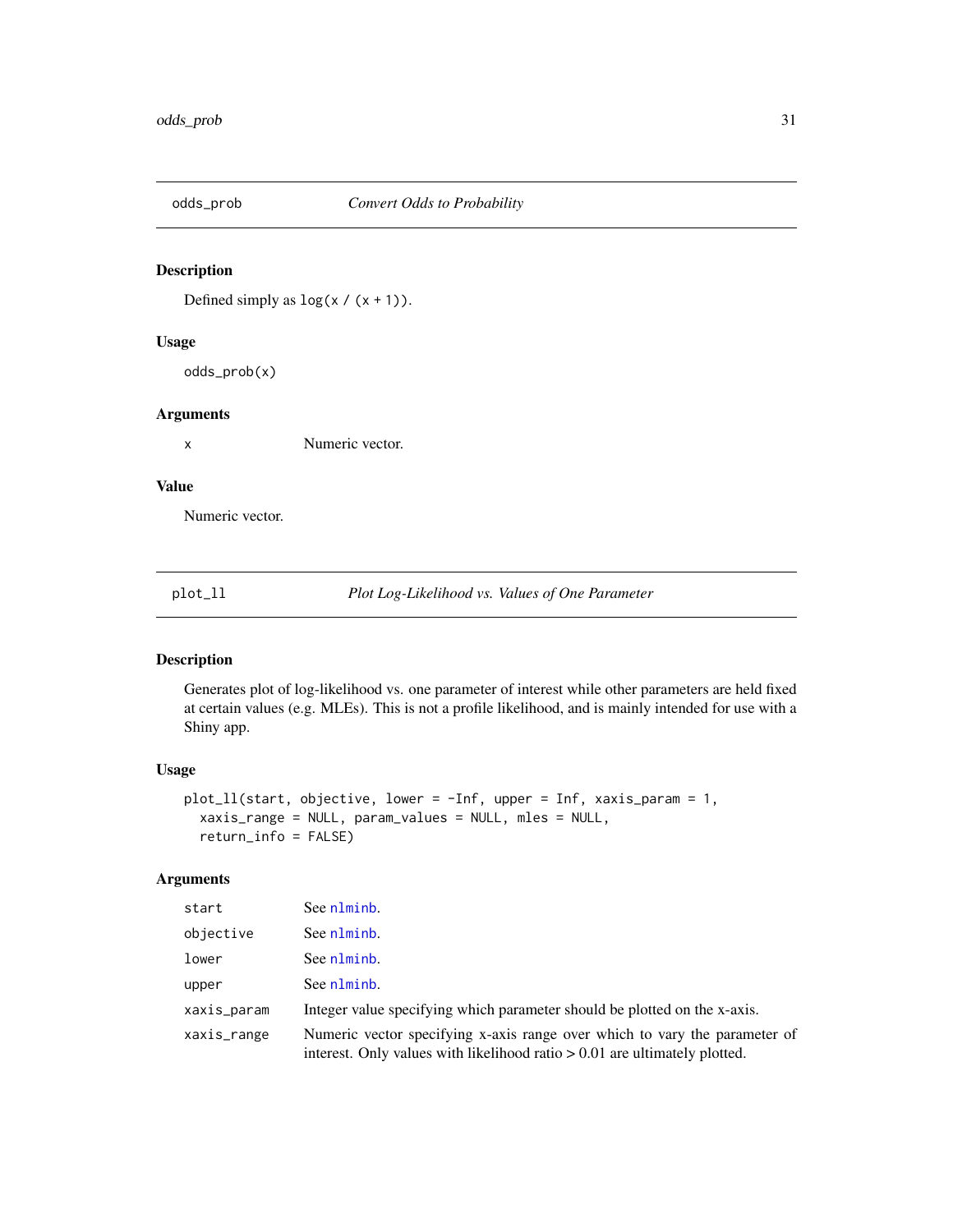<span id="page-30-0"></span>

Defined simply as  $\log(x / (x + 1))$ .

# Usage

odds\_prob(x)

#### Arguments

x Numeric vector.

# Value

Numeric vector.

plot\_ll *Plot Log-Likelihood vs. Values of One Parameter*

# Description

Generates plot of log-likelihood vs. one parameter of interest while other parameters are held fixed at certain values (e.g. MLEs). This is not a profile likelihood, and is mainly intended for use with a Shiny app.

# Usage

```
plot_ll(start, objective, lower = -Inf, upper = Inf, xaxis_param = 1,
  xaxis_range = NULL, param_values = NULL, mles = NULL,
  return_info = FALSE)
```
#### Arguments

| start       | See nlminb.                                                                                                                                                |
|-------------|------------------------------------------------------------------------------------------------------------------------------------------------------------|
| objective   | See nlminb.                                                                                                                                                |
| lower       | See nlminb.                                                                                                                                                |
| upper       | See nlminb.                                                                                                                                                |
| xaxis_param | Integer value specifying which parameter should be plotted on the x-axis.                                                                                  |
| xaxis_range | Numeric vector specifying x-axis range over which to vary the parameter of<br>interest. Only values with likelihood ratio $> 0.01$ are ultimately plotted. |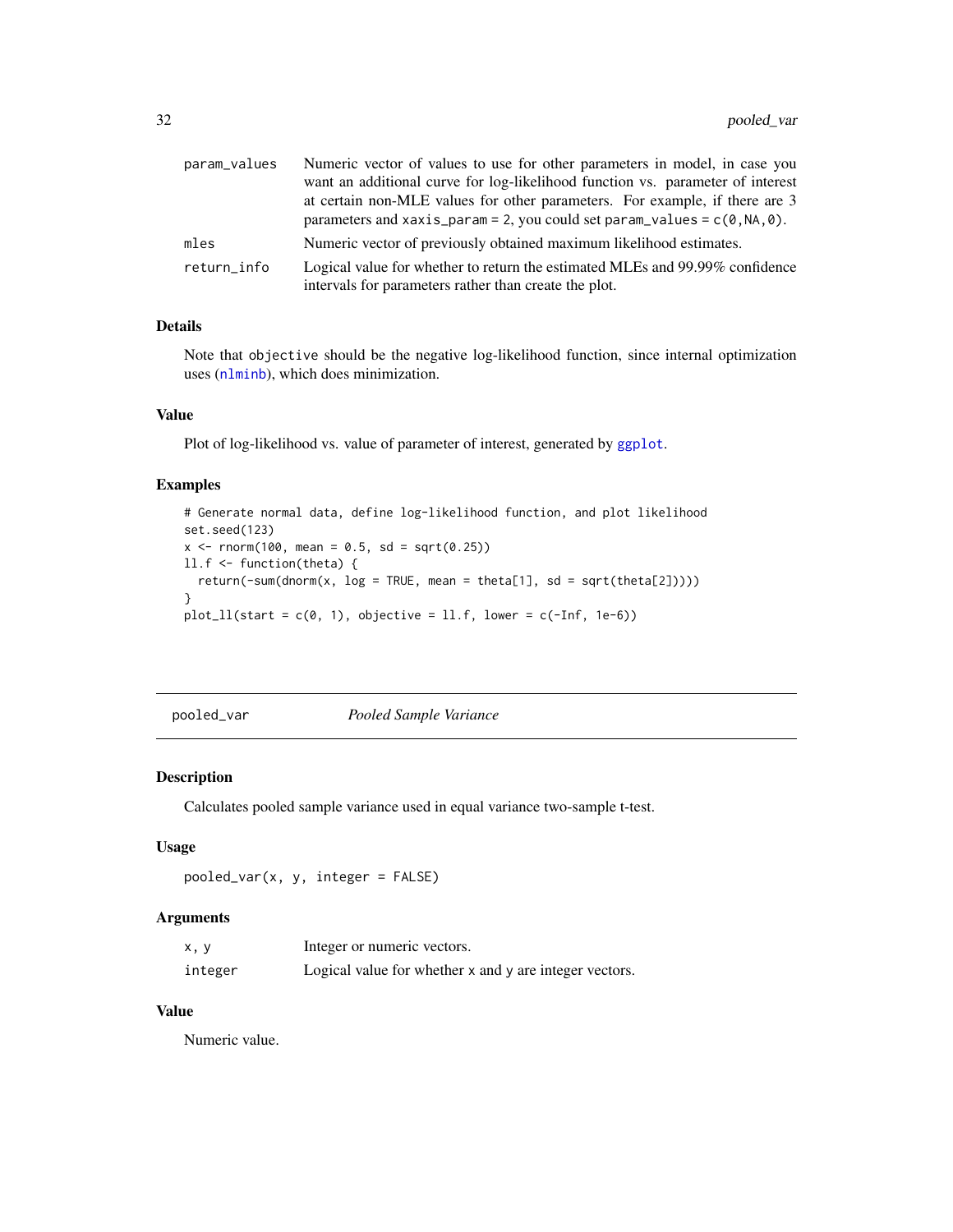<span id="page-31-0"></span>

| param_values | Numeric vector of values to use for other parameters in model, in case you     |
|--------------|--------------------------------------------------------------------------------|
|              | want an additional curve for log-likelihood function vs. parameter of interest |
|              | at certain non-MLE values for other parameters. For example, if there are 3    |
|              | parameters and xaxis_param = 2, you could set param_values = $c(0, NA, 0)$ .   |
| mles         | Numeric vector of previously obtained maximum likelihood estimates.            |
| return_info  | Logical value for whether to return the estimated MLEs and 99.99% confidence   |
|              | intervals for parameters rather than create the plot.                          |

# Details

Note that objective should be the negative log-likelihood function, since internal optimization uses ([nlminb](#page-0-0)), which does minimization.

#### Value

Plot of log-likelihood vs. value of parameter of interest, generated by [ggplot](#page-0-0).

#### Examples

```
# Generate normal data, define log-likelihood function, and plot likelihood
set.seed(123)
x \le rnorm(100, mean = 0.5, sd = sqrt(0.25))
ll.f <- function(theta) {
  return(-sum(dnorm(x, log = TRUE, mean = theta[1], sd = sqrt(theta[2]))))
}
plot\_ll(stat = c(0, 1), objective = ll.f, lower = c(-Inf, 1e-6))
```
pooled\_var *Pooled Sample Variance*

# Description

Calculates pooled sample variance used in equal variance two-sample t-test.

# Usage

```
pooled_var(x, y, integer = FALSE)
```
# Arguments

| x, y    | Integer or numeric vectors.                            |
|---------|--------------------------------------------------------|
| integer | Logical value for whether x and y are integer vectors. |

# Value

Numeric value.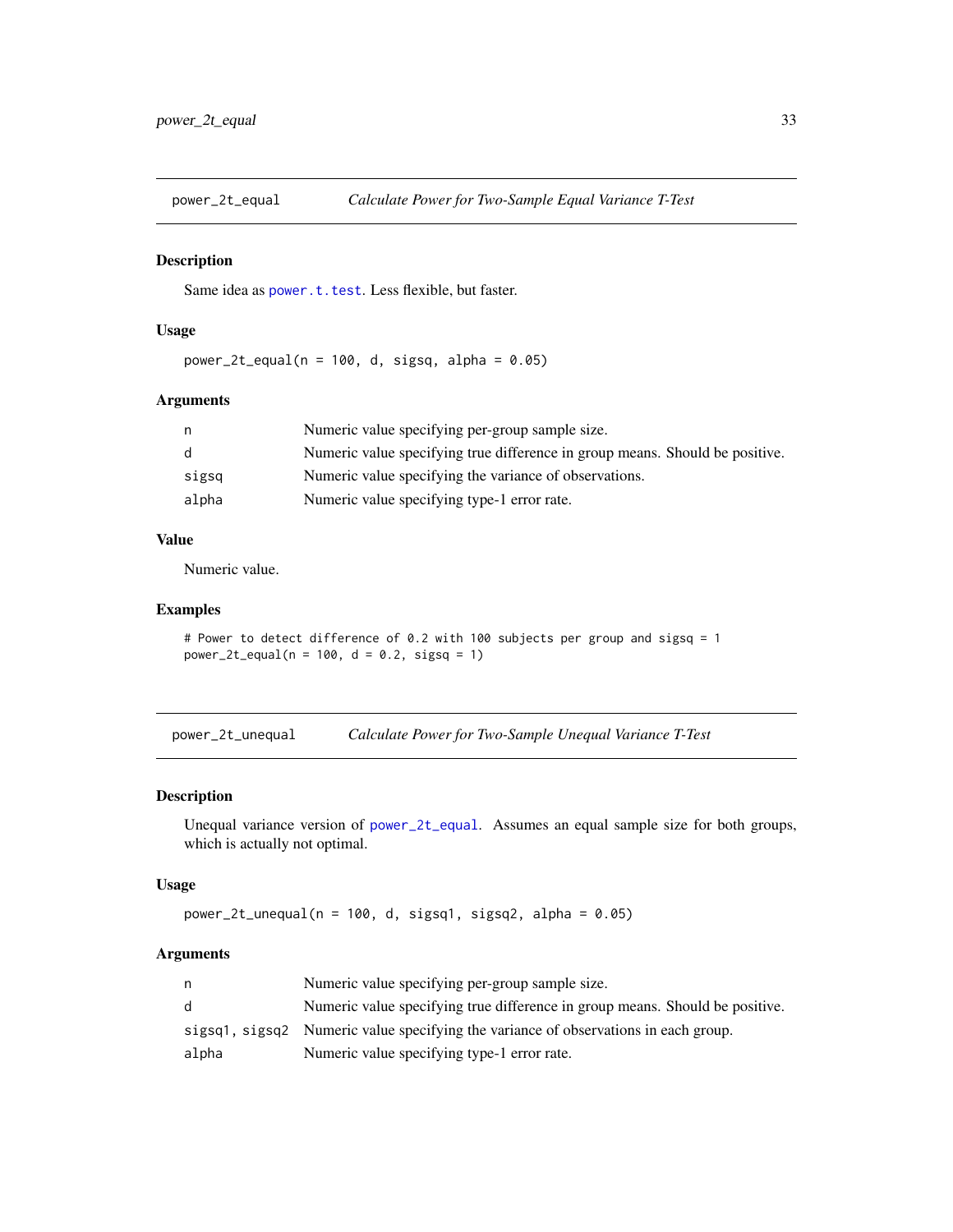<span id="page-32-1"></span><span id="page-32-0"></span>

Same idea as [power.t.test](#page-0-0). Less flexible, but faster.

#### Usage

 $power_2t_equal(n = 100, d, sigsq, alpha = 0.05)$ 

# Arguments

|       | Numeric value specifying per-group sample size.                              |
|-------|------------------------------------------------------------------------------|
|       | Numeric value specifying true difference in group means. Should be positive. |
| sigsq | Numeric value specifying the variance of observations.                       |
| alpha | Numeric value specifying type-1 error rate.                                  |

# Value

Numeric value.

#### Examples

```
# Power to detect difference of 0.2 with 100 subjects per group and sigsq = 1
power_2t_equal(n = 100, d = 0.2, sigsq = 1)
```
power\_2t\_unequal *Calculate Power for Two-Sample Unequal Variance T-Test*

# Description

Unequal variance version of [power\\_2t\\_equal](#page-32-1). Assumes an equal sample size for both groups, which is actually not optimal.

# Usage

```
power_2t_unequal(n = 100, d, sigsq1, sigsq2, alpha = 0.05)
```
# Arguments

|       | Numeric value specifying per-group sample size.                                     |
|-------|-------------------------------------------------------------------------------------|
| d.    | Numeric value specifying true difference in group means. Should be positive.        |
|       | sigsq1, sigsq2 Numeric value specifying the variance of observations in each group. |
| alpha | Numeric value specifying type-1 error rate.                                         |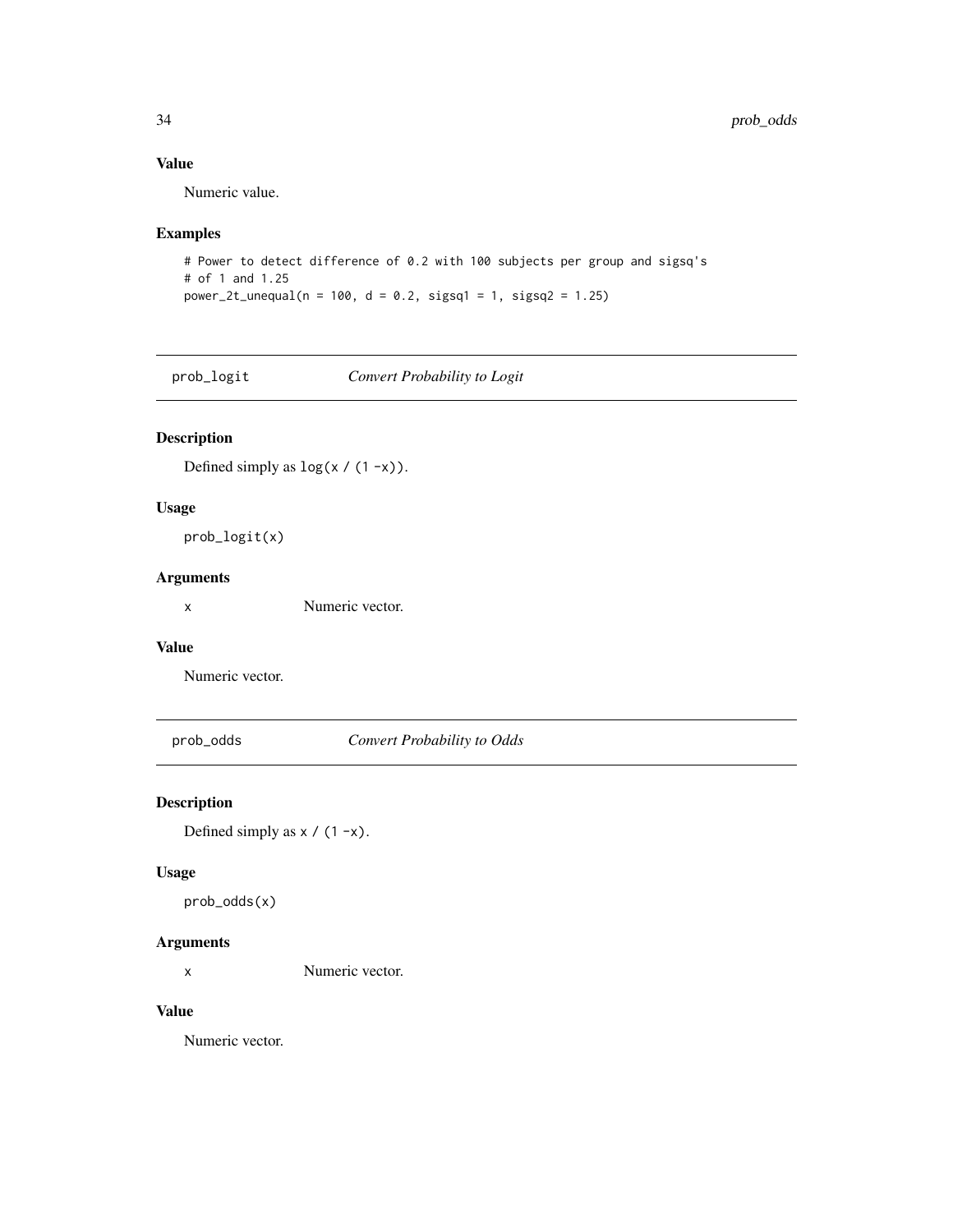# Value

Numeric value.

# Examples

```
# Power to detect difference of 0.2 with 100 subjects per group and sigsq's
# of 1 and 1.25
power_2t_unequal(n = 100, d = 0.2, sigsq1 = 1, sigsq2 = 1.25)
```
prob\_logit *Convert Probability to Logit*

# Description

Defined simply as  $\log(x / (1 - x))$ .

# Usage

prob\_logit(x)

# Arguments

x Numeric vector.

# Value

Numeric vector.

prob\_odds *Convert Probability to Odds*

# Description

Defined simply as  $x / (1 - x)$ .

# Usage

prob\_odds(x)

# Arguments

x Numeric vector.

# Value

Numeric vector.

<span id="page-33-0"></span>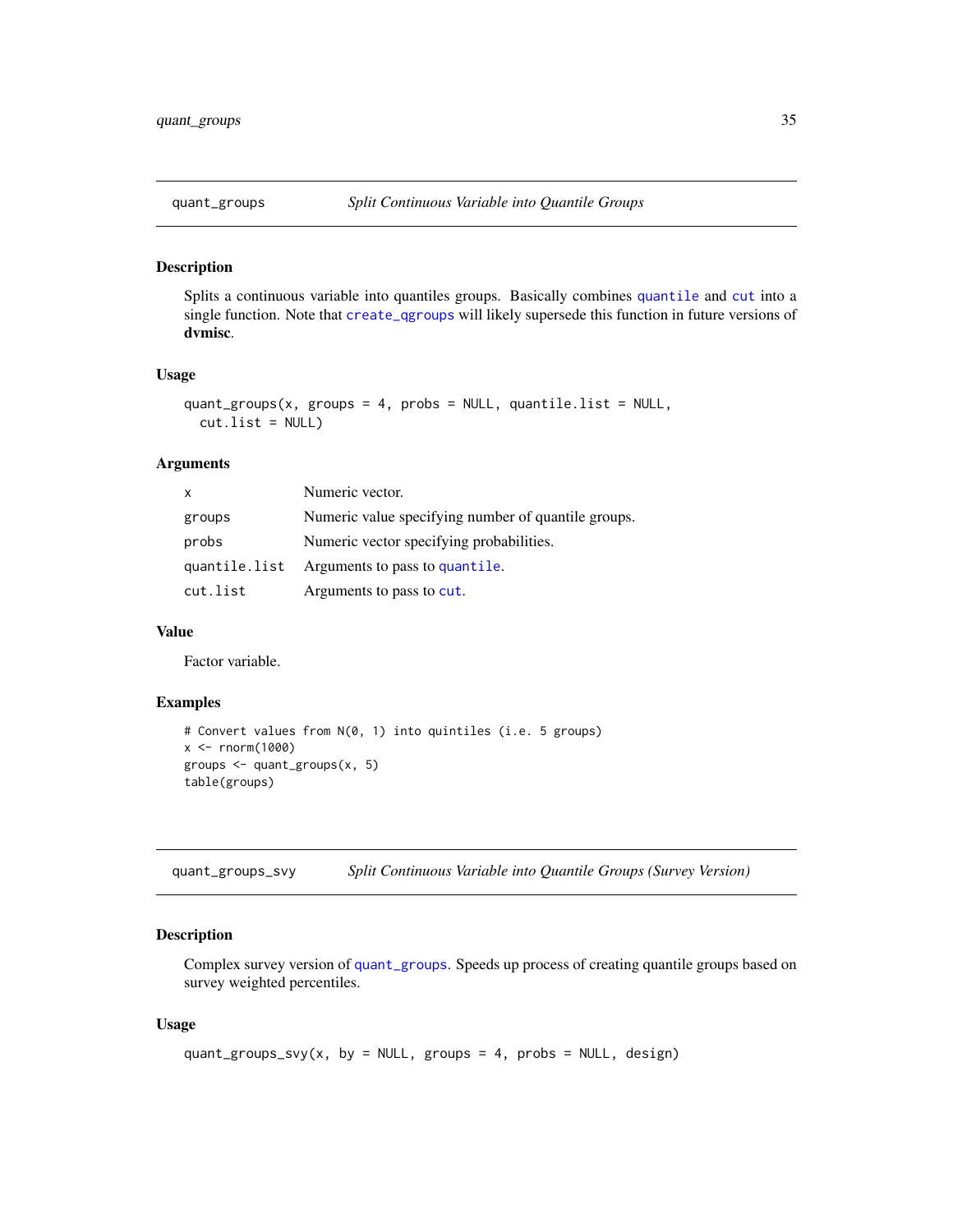<span id="page-34-1"></span><span id="page-34-0"></span>

Splits a continuous variable into quantiles groups. Basically combines [quantile](#page-0-0) and [cut](#page-0-0) into a single function. Note that [create\\_qgroups](#page-4-1) will likely supersede this function in future versions of dvmisc.

#### Usage

```
quant_groups(x, groups = 4, probs = NULL, quantile.list = NULL,
  cutu.list = NULL)
```
#### Arguments

| X             | Numeric vector.                                     |
|---------------|-----------------------------------------------------|
| groups        | Numeric value specifying number of quantile groups. |
| probs         | Numeric vector specifying probabilities.            |
| quantile.list | Arguments to pass to quantile.                      |
| cut.list      | Arguments to pass to cut.                           |

#### Value

Factor variable.

# Examples

```
# Convert values from N(0, 1) into quintiles (i.e. 5 groups)
x < - rnorm(1000)
groups <- quant_groups(x, 5)
table(groups)
```
quant\_groups\_svy *Split Continuous Variable into Quantile Groups (Survey Version)*

#### Description

Complex survey version of [quant\\_groups](#page-34-1). Speeds up process of creating quantile groups based on survey weighted percentiles.

```
quant_groups_svy(x, by = NULL, groups = 4, probs = NULL, design)
```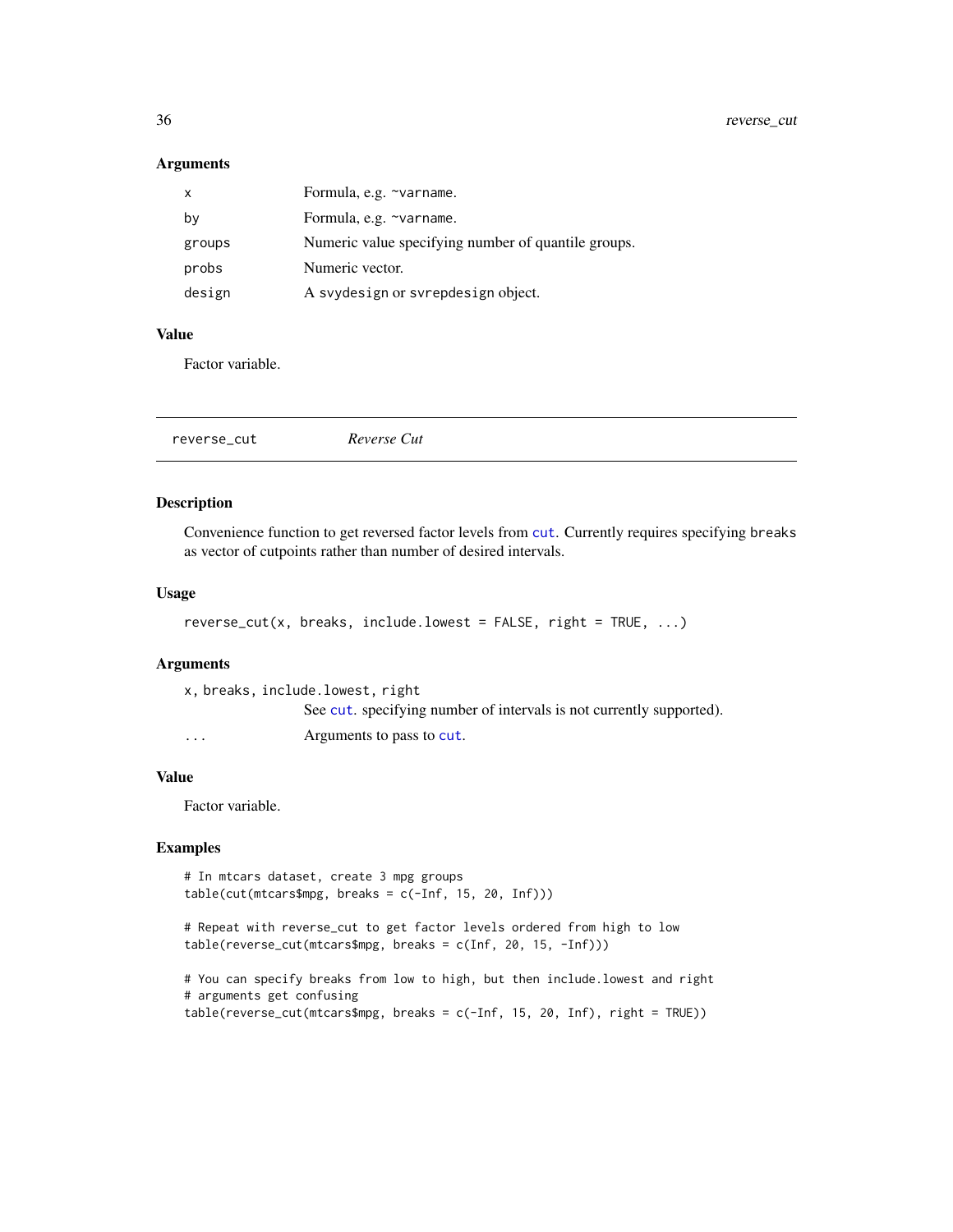# Arguments

| $\mathsf{x}$ | Formula, e.g. ~varname.                             |
|--------------|-----------------------------------------------------|
| by           | Formula, e.g. ~varname.                             |
| groups       | Numeric value specifying number of quantile groups. |
| probs        | Numeric vector.                                     |
| design       | A svydesign or svrepdesign object.                  |

# Value

Factor variable.

|--|

# Description

Convenience function to get reversed factor levels from [cut](#page-0-0). Currently requires specifying breaks as vector of cutpoints rather than number of desired intervals.

# Usage

```
reverse_cut(x, breaks, include.lowest = FALSE, right = TRUE, ...)
```
#### Arguments

|          | x, breaks, include.lowest, right                                     |
|----------|----------------------------------------------------------------------|
|          | See cut, specifying number of intervals is not currently supported). |
| $\cdots$ | Arguments to pass to cut.                                            |

#### Value

Factor variable.

```
# In mtcars dataset, create 3 mpg groups
table(cut(mtcars$mpg, breaks = c(-Inf, 15, 20, Inf)))
```

```
# Repeat with reverse_cut to get factor levels ordered from high to low
table(reverse_cut(mtcars$mpg, breaks = c(Inf, 20, 15, -Inf)))
```

```
# You can specify breaks from low to high, but then include.lowest and right
# arguments get confusing
table(reverse_cut(mtcars$mpg, breaks = c(-Inf, 15, 20, Inf), right = TRUE))
```
<span id="page-35-0"></span>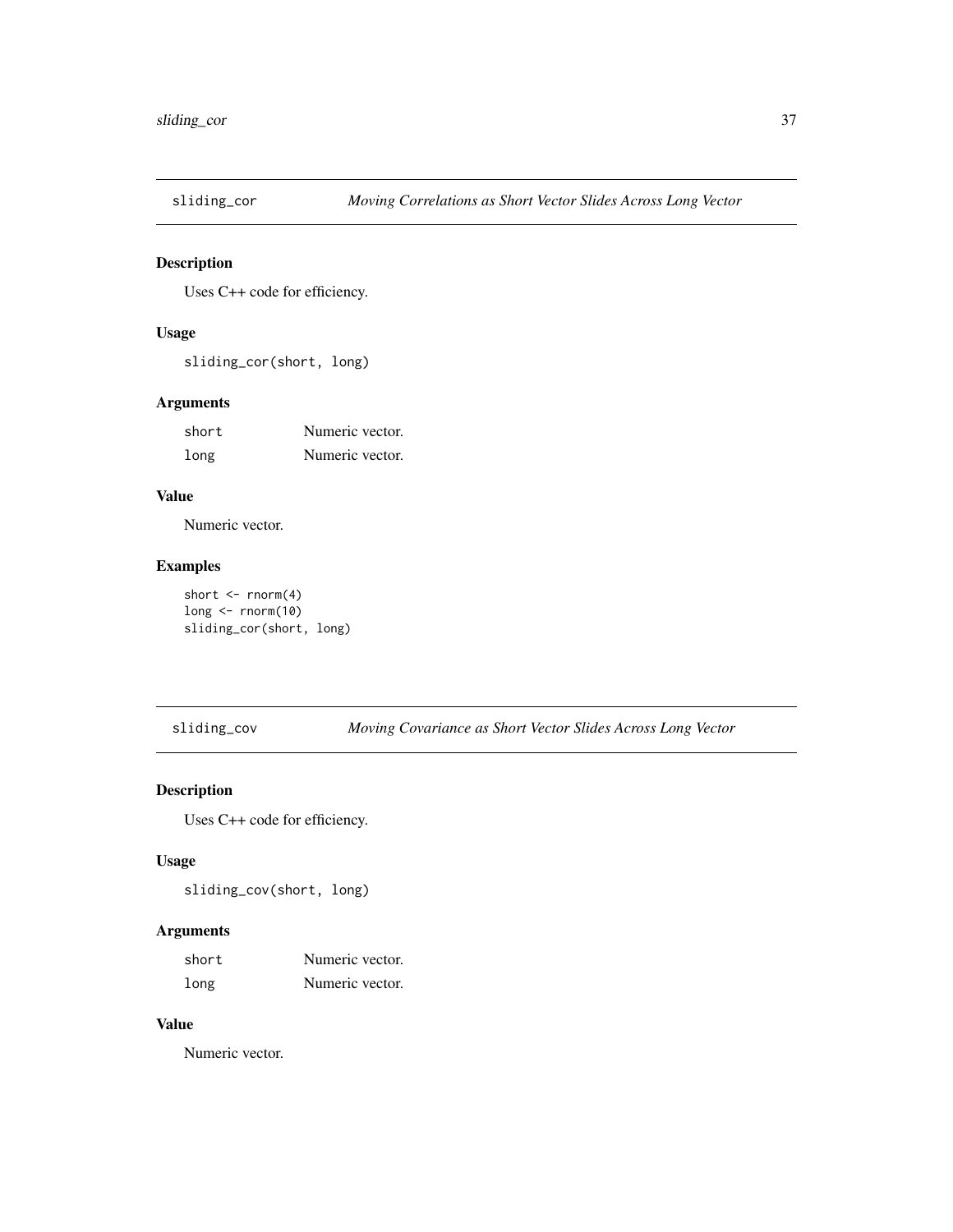<span id="page-36-0"></span>

Uses C++ code for efficiency.

# Usage

sliding\_cor(short, long)

# Arguments

| short | Numeric vector. |
|-------|-----------------|
| long  | Numeric vector. |

# Value

Numeric vector.

# Examples

```
short \leq rnorm(4)long \leftarrow \text{norm}(10)sliding_cor(short, long)
```
sliding\_cov *Moving Covariance as Short Vector Slides Across Long Vector*

# Description

Uses C++ code for efficiency.

# Usage

sliding\_cov(short, long)

# Arguments

| short | Numeric vector. |
|-------|-----------------|
| long  | Numeric vector. |

# Value

Numeric vector.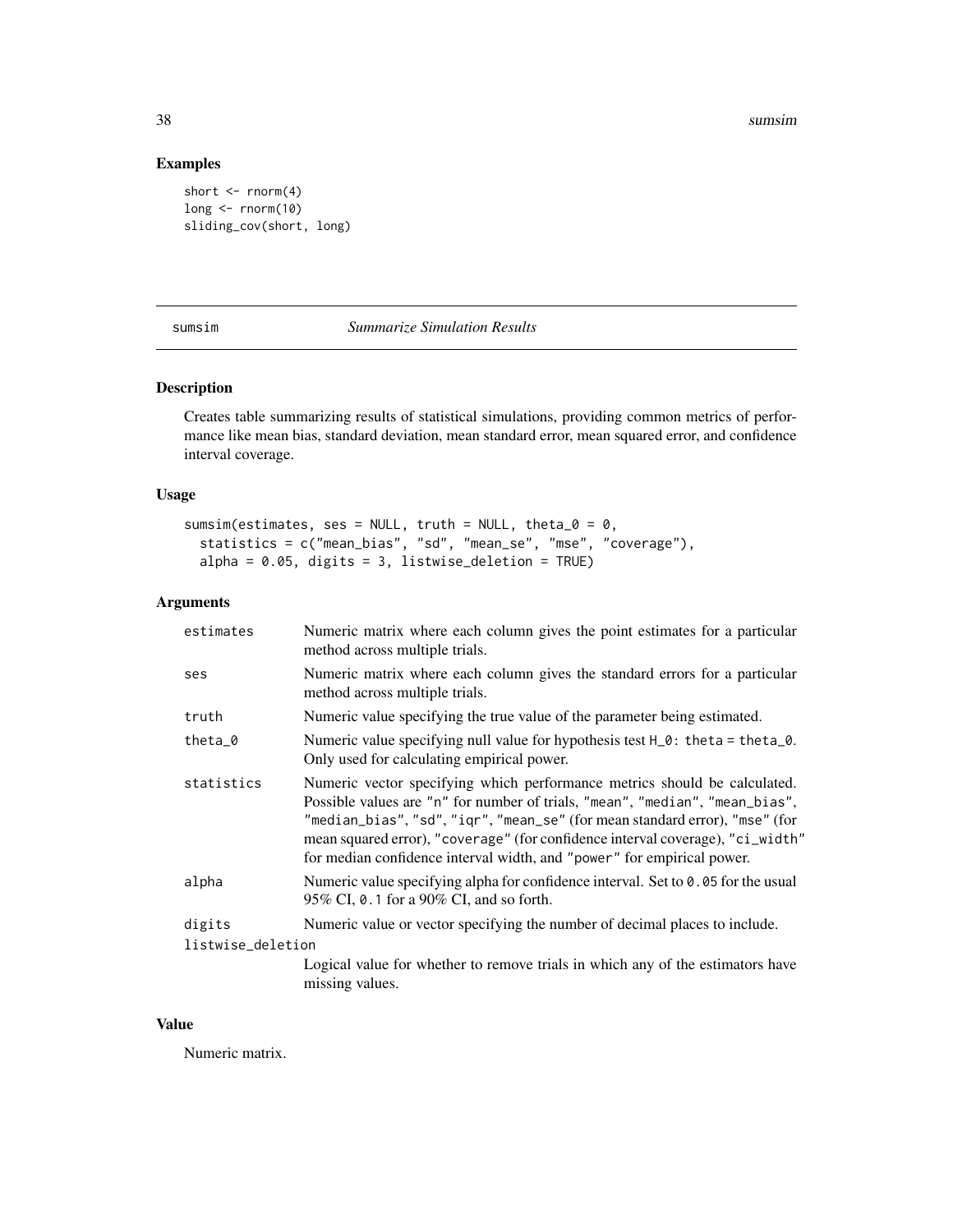38 sumsimum and the contract of the contract of the contract of the contract of the contract of the contract of the contract of the contract of the contract of the contract of the contract of the contract of the contract o

# Examples

```
short \leq rnorm(4)long <- rnorm(10)
sliding_cov(short, long)
```
sumsim *Summarize Simulation Results*

# Description

Creates table summarizing results of statistical simulations, providing common metrics of performance like mean bias, standard deviation, mean standard error, mean squared error, and confidence interval coverage.

# Usage

```
sumsim(estimates, ses = NULL, truth = NULL, theta_0 = 0,
 statistics = c("mean_bias", "sd", "mean_se", "mse", "coverage"),
 alpha = 0.05, digits = 3, listwise_deletion = TRUE)
```
# Arguments

| estimates         | Numeric matrix where each column gives the point estimates for a particular<br>method across multiple trials.                                                                                                                                                                                                                                                                                        |  |
|-------------------|------------------------------------------------------------------------------------------------------------------------------------------------------------------------------------------------------------------------------------------------------------------------------------------------------------------------------------------------------------------------------------------------------|--|
| ses               | Numeric matrix where each column gives the standard errors for a particular<br>method across multiple trials.                                                                                                                                                                                                                                                                                        |  |
| truth             | Numeric value specifying the true value of the parameter being estimated.                                                                                                                                                                                                                                                                                                                            |  |
| theta $_0$        | Numeric value specifying null value for hypothesis test $H_0$ : theta = theta_0.<br>Only used for calculating empirical power.                                                                                                                                                                                                                                                                       |  |
| statistics        | Numeric vector specifying which performance metrics should be calculated.<br>Possible values are "n" for number of trials, "mean", "median", "mean_bias",<br>"median_bias", "sd", "iqr", "mean_se" (for mean standard error), "mse" (for<br>mean squared error), "coverage" (for confidence interval coverage), "ci_width"<br>for median confidence interval width, and "power" for empirical power. |  |
| alpha             | Numeric value specifying alpha for confidence interval. Set to $0.05$ for the usual<br>95% CI, 0.1 for a 90% CI, and so forth.                                                                                                                                                                                                                                                                       |  |
| digits            | Numeric value or vector specifying the number of decimal places to include.                                                                                                                                                                                                                                                                                                                          |  |
| listwise_deletion |                                                                                                                                                                                                                                                                                                                                                                                                      |  |
|                   | Logical value for whether to remove trials in which any of the estimators have<br>missing values.                                                                                                                                                                                                                                                                                                    |  |

# Value

Numeric matrix.

<span id="page-37-0"></span>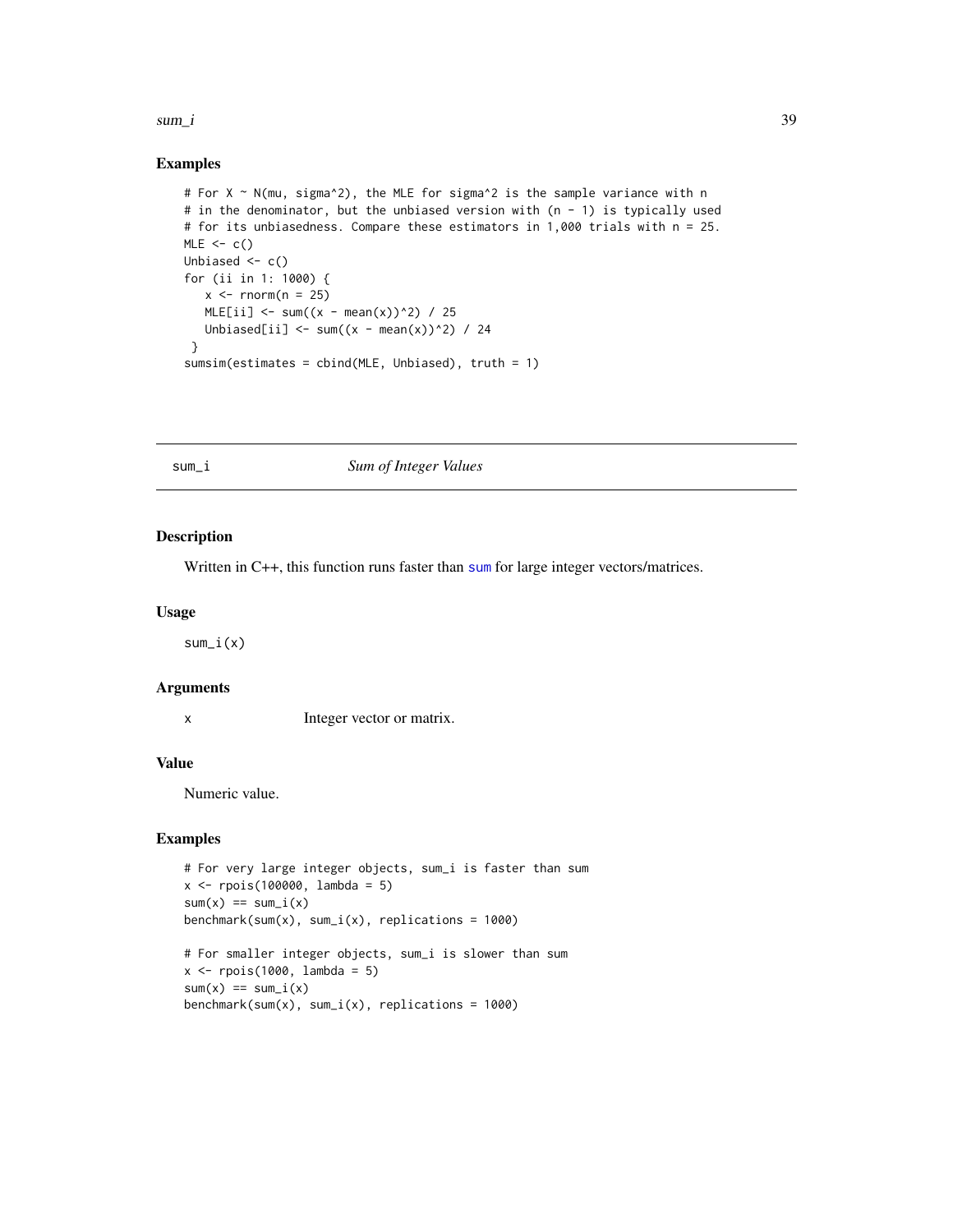#### <span id="page-38-0"></span> $sum_i$  39

#### Examples

```
# For X ~ N(mu, sigma^2), the MLE for sigma^2 is the sample variance with n
# in the denominator, but the unbiased version with (n - 1) is typically used
# for its unbiasedness. Compare these estimators in 1,000 trials with n = 25.
MLE < -c()Unbiased \leftarrow c()
for (ii in 1: 1000) {
   x \le rnorm(n = 25)
   MLE[i] <- sum((x - mean(x))^2) / 25
   Unbiased[ii] \leftarrow sum((x - mean(x))^2) / 24
 }
sumsim(estimates = cbind(MLE, Unbiased), truth = 1)
```
#### sum\_i *Sum of Integer Values*

#### Description

Written in C++, this function runs faster than [sum](#page-0-0) for large integer vectors/matrices.

# Usage

sum\_i(x)

#### Arguments

x Integer vector or matrix.

#### Value

Numeric value.

```
# For very large integer objects, sum_i is faster than sum
x <- rpois(100000, lambda = 5)
sum(x) == sum_i(x)benchmark(sum(x), sum_i(x), replications = 1000)
```

```
# For smaller integer objects, sum_i is slower than sum
x \leftarrow \text{rpois}(1000, \text{lambda} = 5)sum(x) == sum_i(x)benchmark(sum(x), sum_i(x), replications = 1000)
```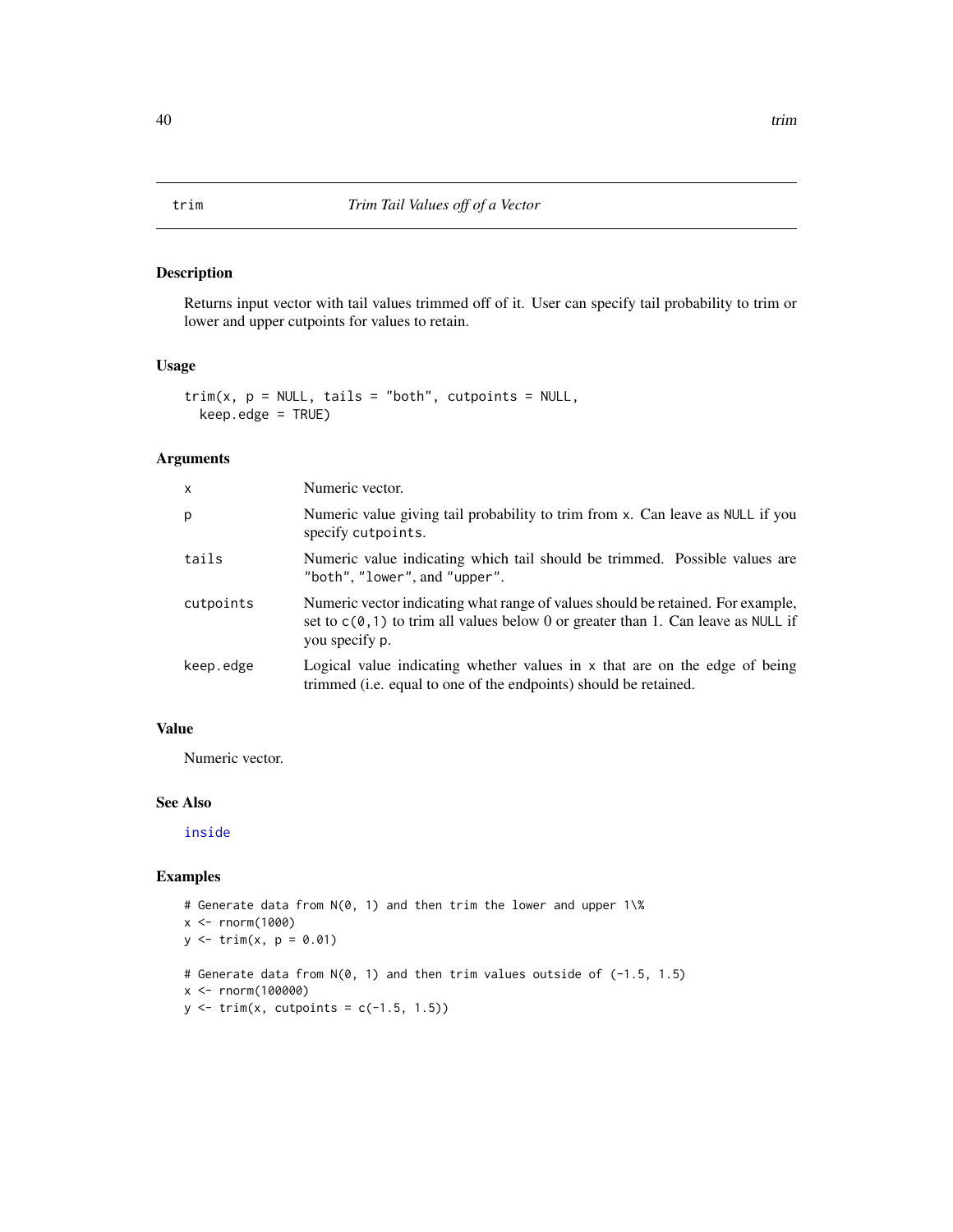Returns input vector with tail values trimmed off of it. User can specify tail probability to trim or lower and upper cutpoints for values to retain.

#### Usage

```
trim(x, p = NULL, tails = "both", cutpoints = NULL,keep.edge = TRUE)
```
# Arguments

| X         | Numeric vector.                                                                                                                                                                          |
|-----------|------------------------------------------------------------------------------------------------------------------------------------------------------------------------------------------|
| p         | Numeric value giving tail probability to trim from x. Can leave as NULL if you<br>specify cutpoints.                                                                                     |
| tails     | Numeric value indicating which tail should be trimmed. Possible values are<br>"both", "lower", and "upper".                                                                              |
| cutpoints | Numeric vector indicating what range of values should be retained. For example,<br>set to $c(0, 1)$ to trim all values below 0 or greater than 1. Can leave as NULL if<br>you specify p. |
| keep.edge | Logical value indicating whether values in $x$ that are on the edge of being<br>trimmed (i.e. equal to one of the endpoints) should be retained.                                         |

# Value

Numeric vector.

# See Also

[inside](#page-15-1)

```
# Generate data from N(0, 1) and then trim the lower and upper 1\%
x <- rnorm(1000)
y \le - \text{trim}(x, p = 0.01)# Generate data from N(0, 1) and then trim values outside of (-1.5, 1.5)
x <- rnorm(100000)
y \leftarrow \text{trim}(x, \text{ cutpoints} = c(-1.5, 1.5))
```
<span id="page-39-0"></span>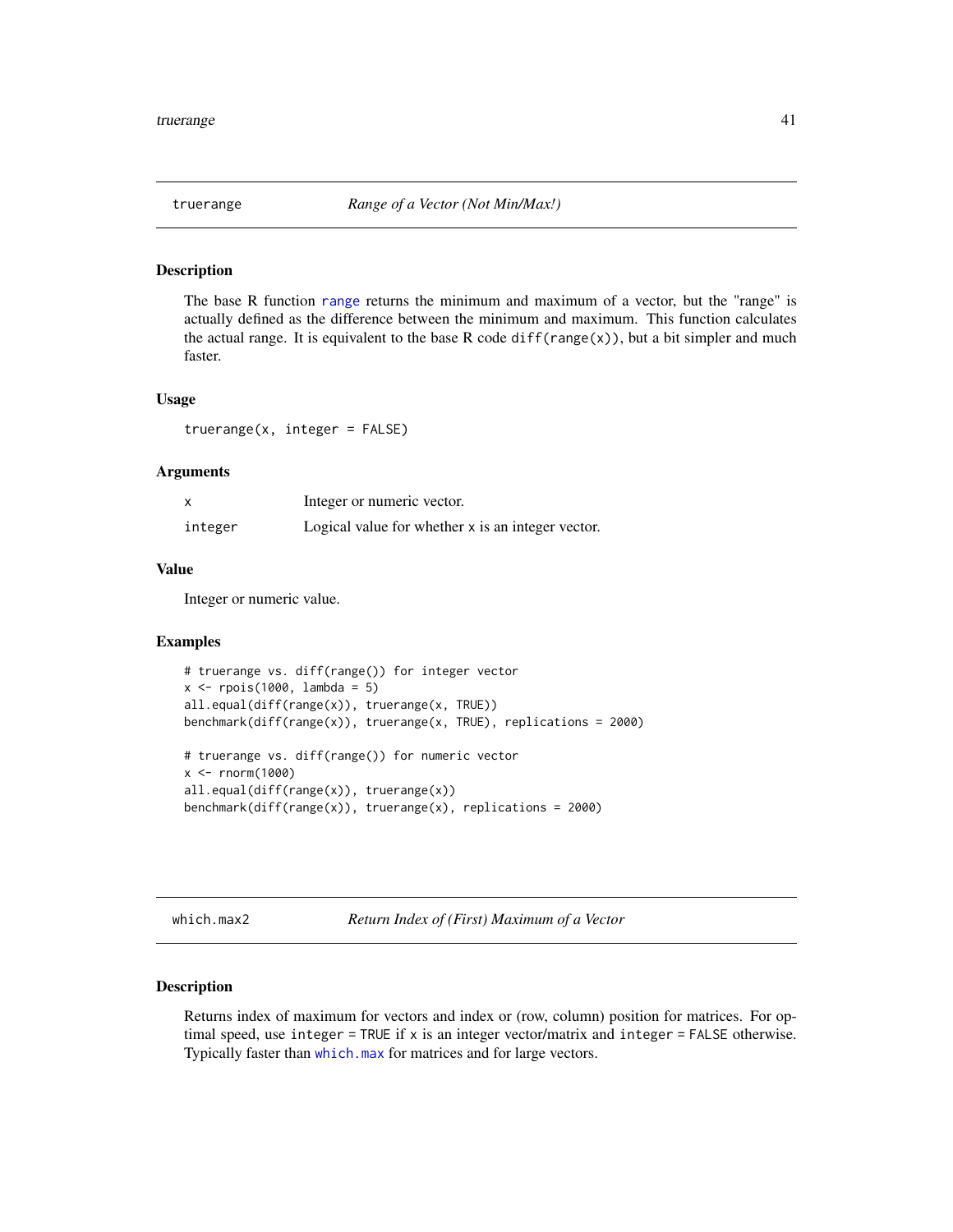<span id="page-40-0"></span>

The base R function [range](#page-0-0) returns the minimum and maximum of a vector, but the "range" is actually defined as the difference between the minimum and maximum. This function calculates the actual range. It is equivalent to the base R code diff(range(x)), but a bit simpler and much faster.

#### Usage

truerange(x, integer = FALSE)

#### Arguments

|         | Integer or numeric vector.                        |
|---------|---------------------------------------------------|
| integer | Logical value for whether x is an integer vector. |

#### Value

Integer or numeric value.

#### Examples

```
# truerange vs. diff(range()) for integer vector
x \leftarrow \text{rpois}(1000, \text{lambda} = 5)all.equal(diff(range(x)), truerange(x, TRUE))
benchmark(diff(range(x)), truerange(x, TRUE), replications = 2000)
# truerange vs. diff(range()) for numeric vector
x \leq -rnorm(1000)all.equal(diff(range(x)), truerange(x))
benchmark(diff(range(x)), truerange(x), replications = 2000)
```
which.max2 *Return Index of (First) Maximum of a Vector*

# Description

Returns index of maximum for vectors and index or (row, column) position for matrices. For optimal speed, use integer = TRUE if x is an integer vector/matrix and integer = FALSE otherwise. Typically faster than [which.max](#page-0-0) for matrices and for large vectors.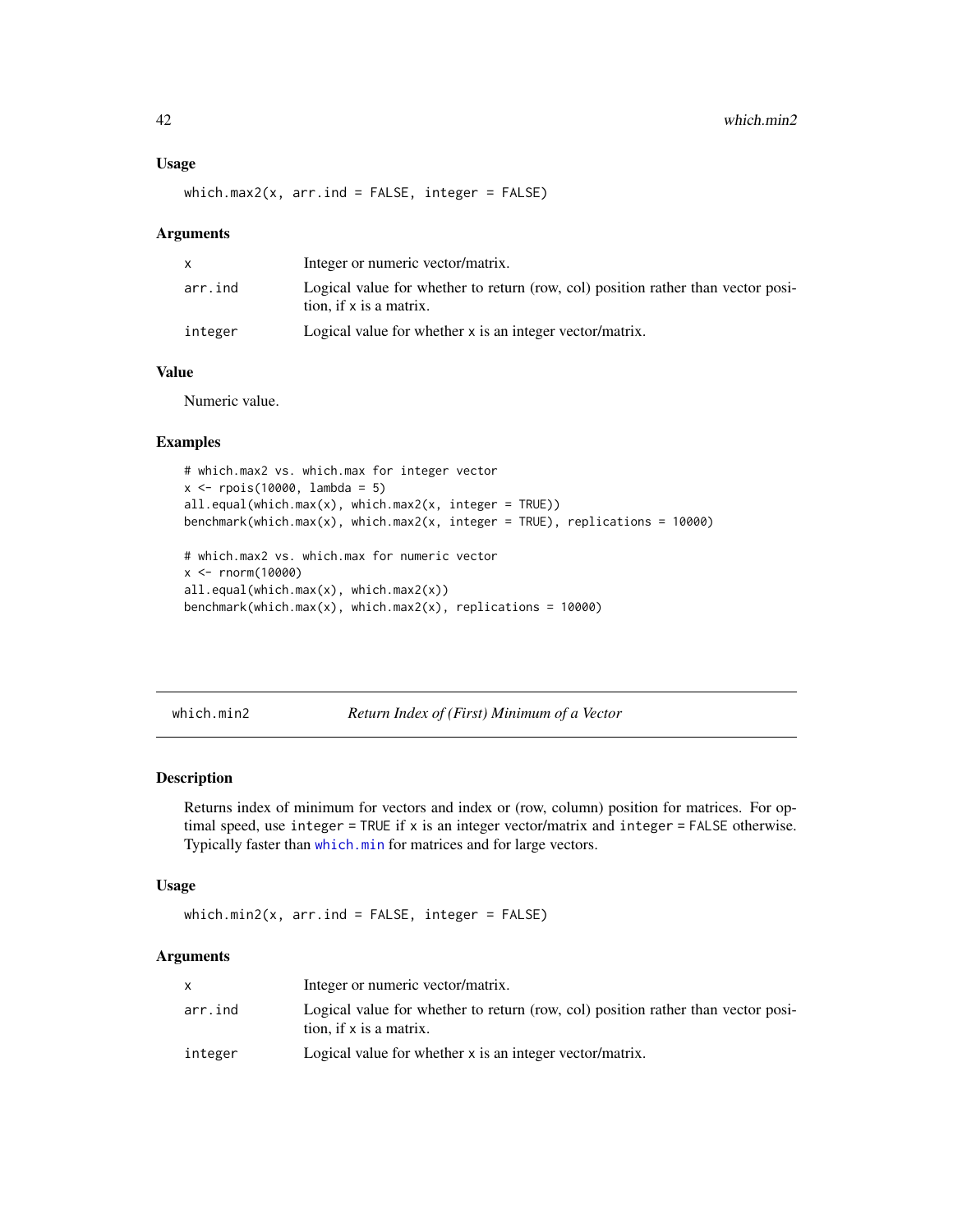#### <span id="page-41-0"></span>Usage

which.max2(x,  $arr$ .ind = FALSE, integer = FALSE)

#### Arguments

|         | Integer or numeric vector/matrix.                                                                           |
|---------|-------------------------------------------------------------------------------------------------------------|
| arr.ind | Logical value for whether to return (row, col) position rather than vector posi-<br>tion, if x is a matrix. |
| integer | Logical value for whether x is an integer vector/matrix.                                                    |

# Value

Numeric value.

#### Examples

```
# which.max2 vs. which.max for integer vector
x <- rpois(10000, lambda = 5)
all.equals(which.max(x), which.max2(x, integer = TRUE))benchmark(which.max(x), which.max2(x, integer = TRUE), replications = 10000)
# which.max2 vs. which.max for numeric vector
x <- rnorm(10000)
```

```
all.equal(which.max(x), which.max2(x))
benchmark(which.max(x), which.max2(x), replications = 10000)
```

```
which.min2 Return Index of (First) Minimum of a Vector
```
# Description

Returns index of minimum for vectors and index or (row, column) position for matrices. For optimal speed, use integer = TRUE if x is an integer vector/matrix and integer = FALSE otherwise. Typically faster than [which.min](#page-0-0) for matrices and for large vectors.

#### Usage

```
which.min2(x, arr.ind = FALSE, integer = FALSE)
```
#### Arguments

|         | Integer or numeric vector/matrix.                                                                           |
|---------|-------------------------------------------------------------------------------------------------------------|
| arr.ind | Logical value for whether to return (row, col) position rather than vector posi-<br>tion, if x is a matrix. |
| integer | Logical value for whether x is an integer vector/matrix.                                                    |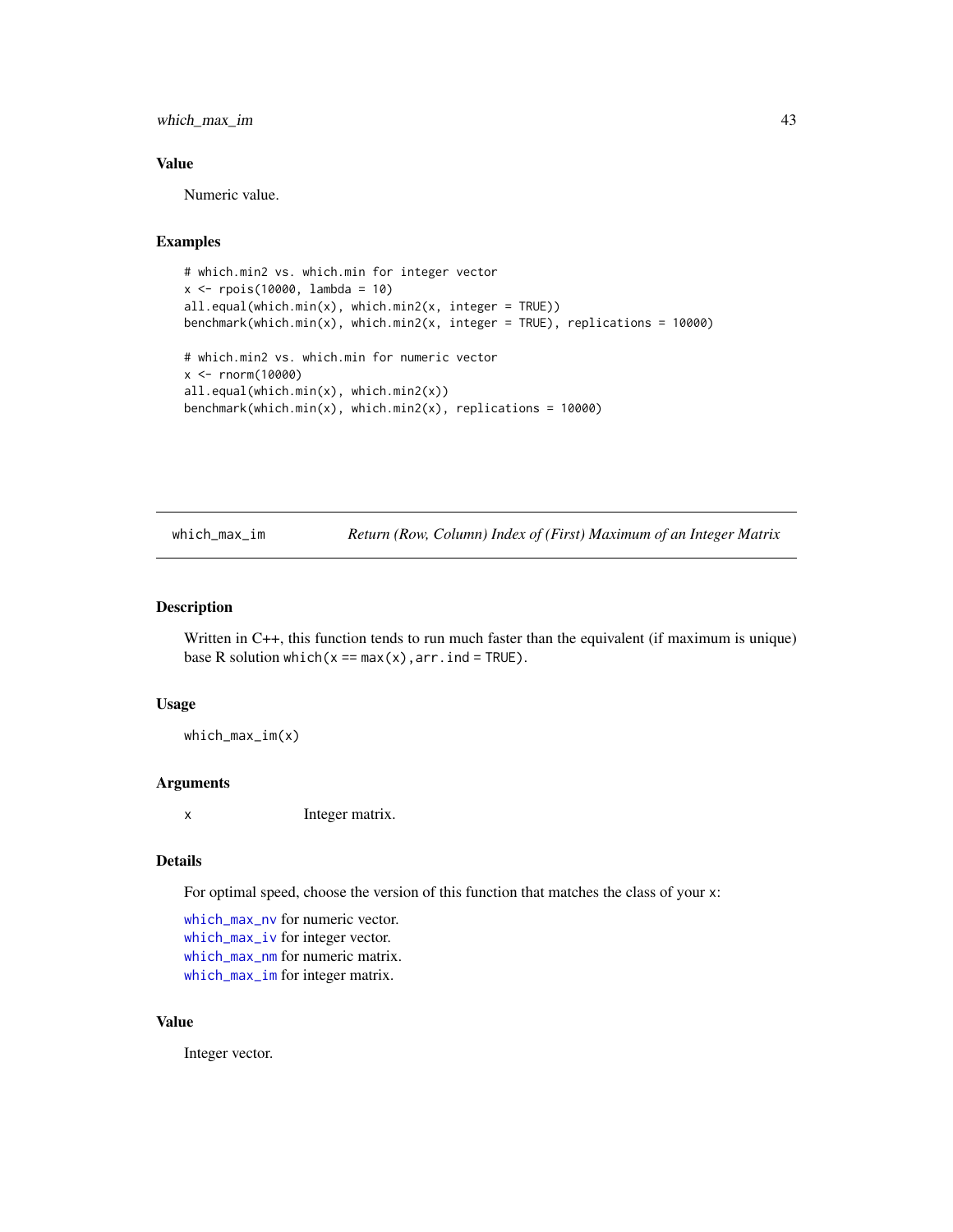<span id="page-42-0"></span>which\_max\_im 43

# Value

Numeric value.

#### Examples

```
# which.min2 vs. which.min for integer vector
x <- rpois(10000, lambda = 10)
all.equal(which.min(x), which.min2(x, integer = TRUE))
benchmark(which.min(x), which.min2(x, integer = TRUE), replications = 10000)
# which.min2 vs. which.min for numeric vector
x <- rnorm(10000)
all.equal(which.min(x), which.min2(x))
```

```
benchmark(which.min(x), which.min2(x), replications = 10000)
```
<span id="page-42-1"></span>which\_max\_im *Return (Row, Column) Index of (First) Maximum of an Integer Matrix*

# Description

Written in C++, this function tends to run much faster than the equivalent (if maximum is unique) base R solution which( $x == max(x)$ ,  $arr$ . ind = TRUE).

#### Usage

which\_max\_im(x)

#### Arguments

x Integer matrix.

#### Details

For optimal speed, choose the version of this function that matches the class of your x:

[which\\_max\\_nv](#page-45-1) for numeric vector. [which\\_max\\_iv](#page-43-1) for integer vector. [which\\_max\\_nm](#page-44-1) for numeric matrix. [which\\_max\\_im](#page-42-1) for integer matrix.

#### Value

Integer vector.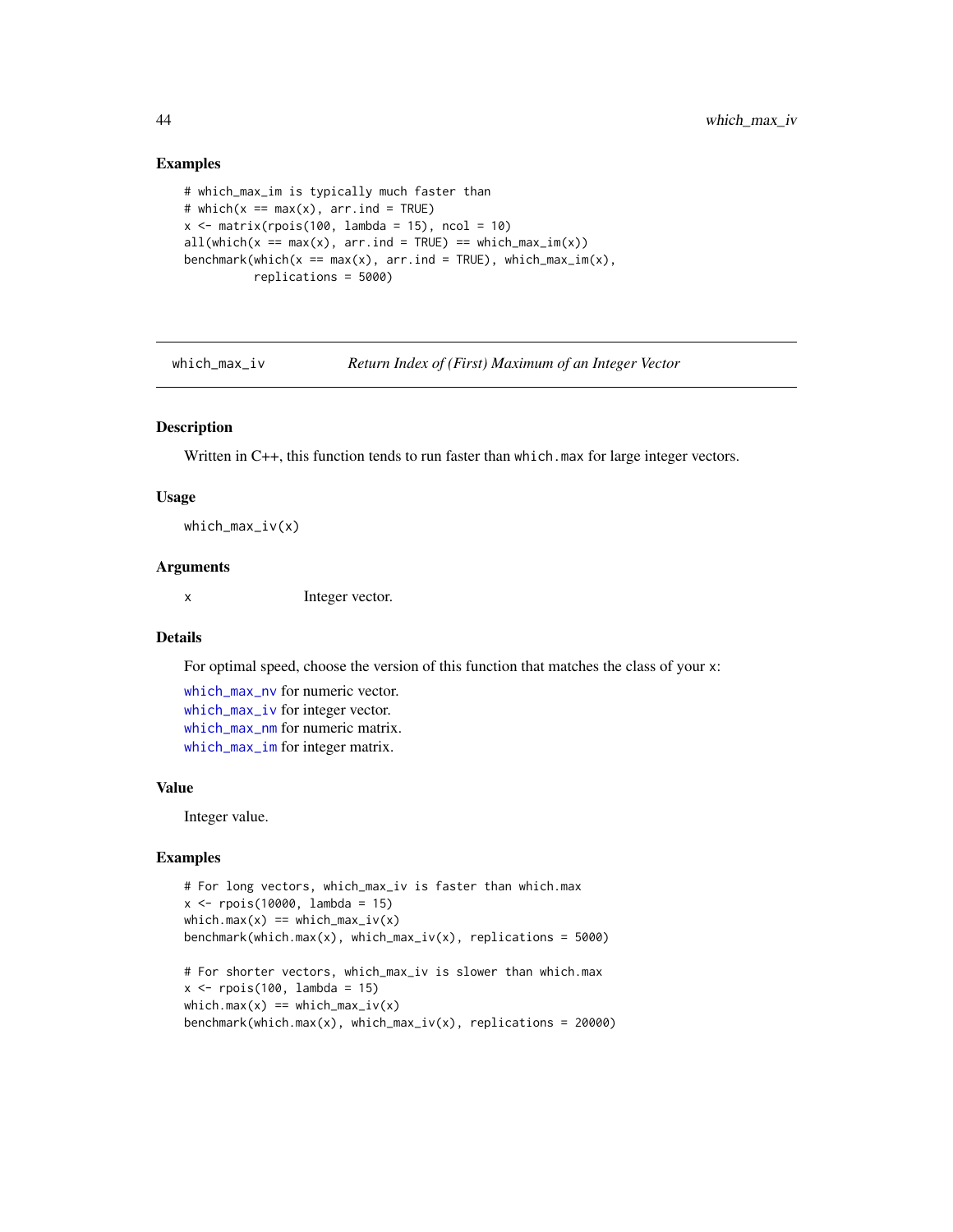#### Examples

```
# which_max_im is typically much faster than
# which(x == max(x), arr.ind = TRUE)
x \le matrix(rpois(100, lambda = 15), ncol = 10)
all(which(x == max(x), arr.info = TRUE) == which_max_in(x))benchmark(which(x == max(x), arr.ind = TRUE), which_max_im(x),
          replications = 5000)
```
<span id="page-43-1"></span>which\_max\_iv *Return Index of (First) Maximum of an Integer Vector*

#### Description

Written in C++, this function tends to run faster than which.max for large integer vectors.

#### Usage

 $which_max_i v(x)$ 

#### Arguments

x Integer vector.

# Details

For optimal speed, choose the version of this function that matches the class of your x:

[which\\_max\\_nv](#page-45-1) for numeric vector. [which\\_max\\_iv](#page-43-1) for integer vector. [which\\_max\\_nm](#page-44-1) for numeric matrix. [which\\_max\\_im](#page-42-1) for integer matrix.

#### Value

Integer value.

```
# For long vectors, which_max_iv is faster than which.max
x <- rpois(10000, lambda = 15)
which.max(x) == which_max_i v(x)benchmark(which.max(x), which_max_ix(x), replications = 5000)# For shorter vectors, which_max_iv is slower than which.max
x \leftarrow \text{rpois}(100, \text{lambda} = 15)which.max(x) == which_max_i v(x)benchmark(which.max(x), which_max_iv(x), replications = 20000)
```
<span id="page-43-0"></span>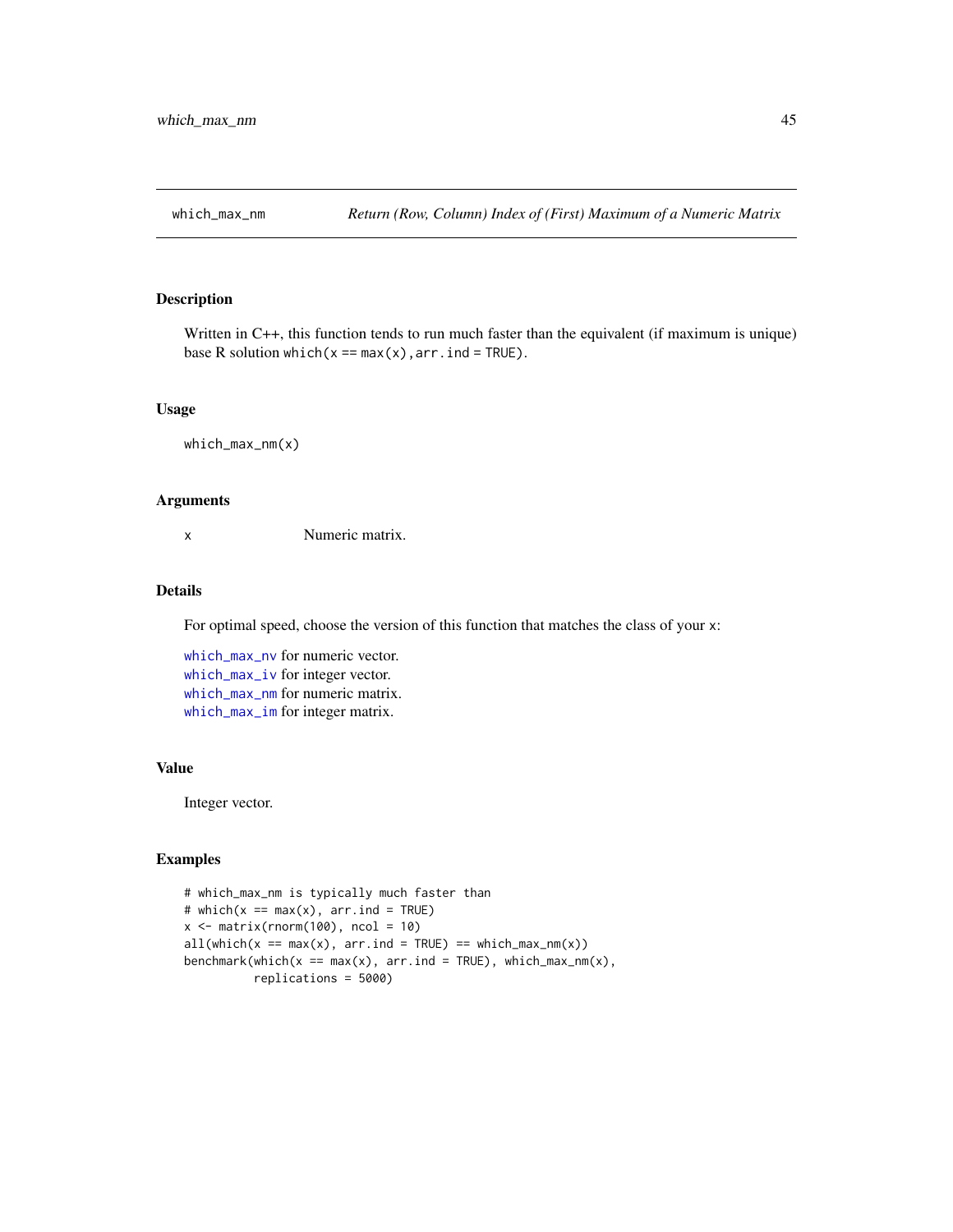<span id="page-44-1"></span><span id="page-44-0"></span>

Written in C++, this function tends to run much faster than the equivalent (if maximum is unique) base R solution which( $x == max(x)$ ,  $arr$ . ind = TRUE).

# Usage

which\_max\_nm(x)

#### Arguments

x Numeric matrix.

#### Details

For optimal speed, choose the version of this function that matches the class of your x:

[which\\_max\\_nv](#page-45-1) for numeric vector. [which\\_max\\_iv](#page-43-1) for integer vector. [which\\_max\\_nm](#page-44-1) for numeric matrix. [which\\_max\\_im](#page-42-1) for integer matrix.

#### Value

Integer vector.

```
# which_max_nm is typically much faster than
# which(x == max(x), arr.ind = TRUE)
x \le matrix(rnorm(100), ncol = 10)
all(\text{which}(x == \text{max}(x), \text{ arr.ind = TRUE}) == \text{which\_max\_nm}(x))benchmark(which(x == max(x), arr.ind = TRUE), which_max_nm(x),
           replications = 5000)
```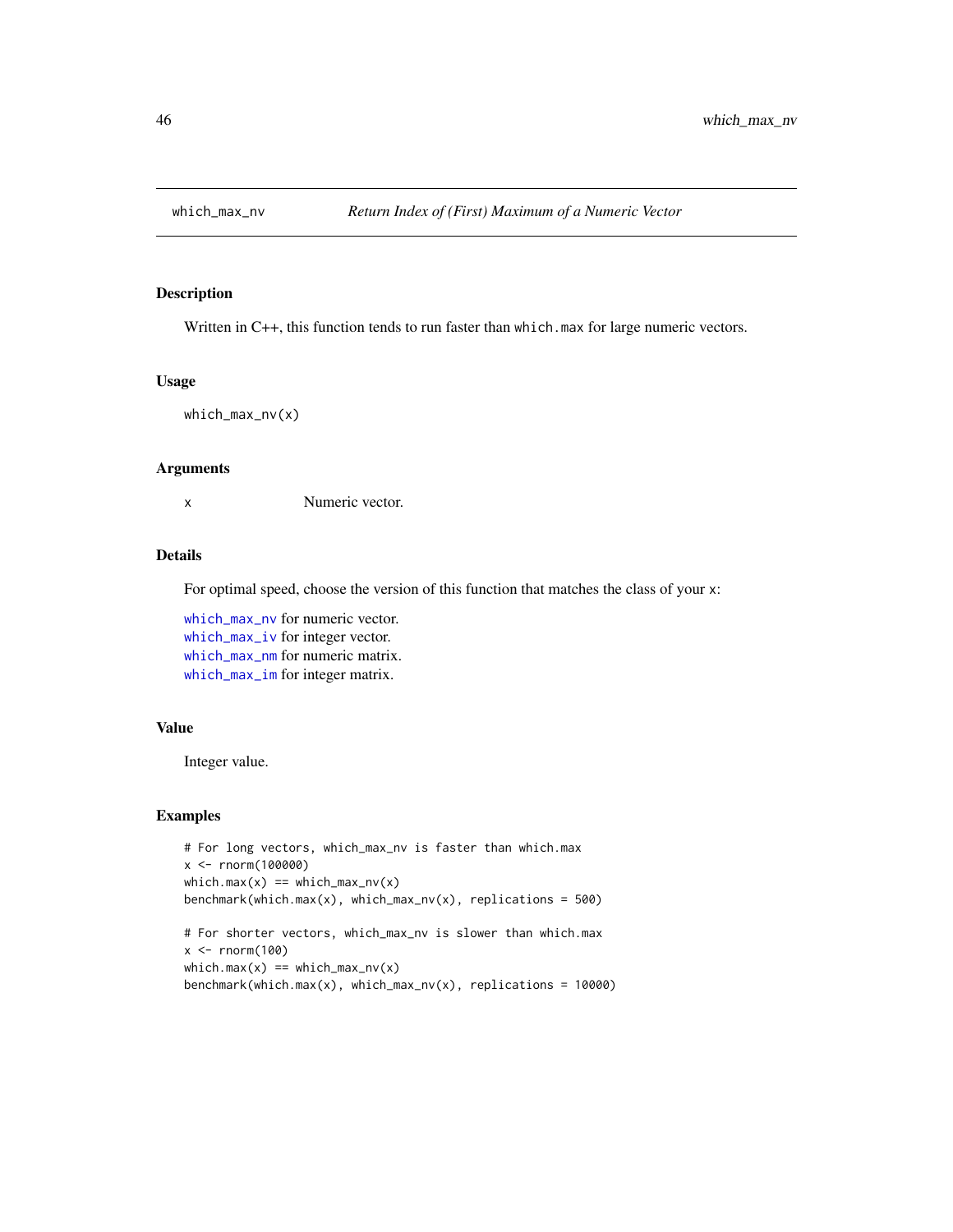<span id="page-45-1"></span><span id="page-45-0"></span>

Written in C++, this function tends to run faster than which.max for large numeric vectors.

#### Usage

which\_max\_nv(x)

#### Arguments

x Numeric vector.

# Details

For optimal speed, choose the version of this function that matches the class of your x:

[which\\_max\\_nv](#page-45-1) for numeric vector. [which\\_max\\_iv](#page-43-1) for integer vector. [which\\_max\\_nm](#page-44-1) for numeric matrix. [which\\_max\\_im](#page-42-1) for integer matrix.

# Value

Integer value.

```
# For long vectors, which_max_nv is faster than which.max
x <- rnorm(100000)
which.max(x) == which_max_nv(x)benchmark(which.max(x), which_max_nv(x), replications = 500)
# For shorter vectors, which_max_nv is slower than which.max
x < - rnorm(100)
which.max(x) == which_max_nv(x)benchmark(which.max(x), which_max_nv(x), replications = 10000)
```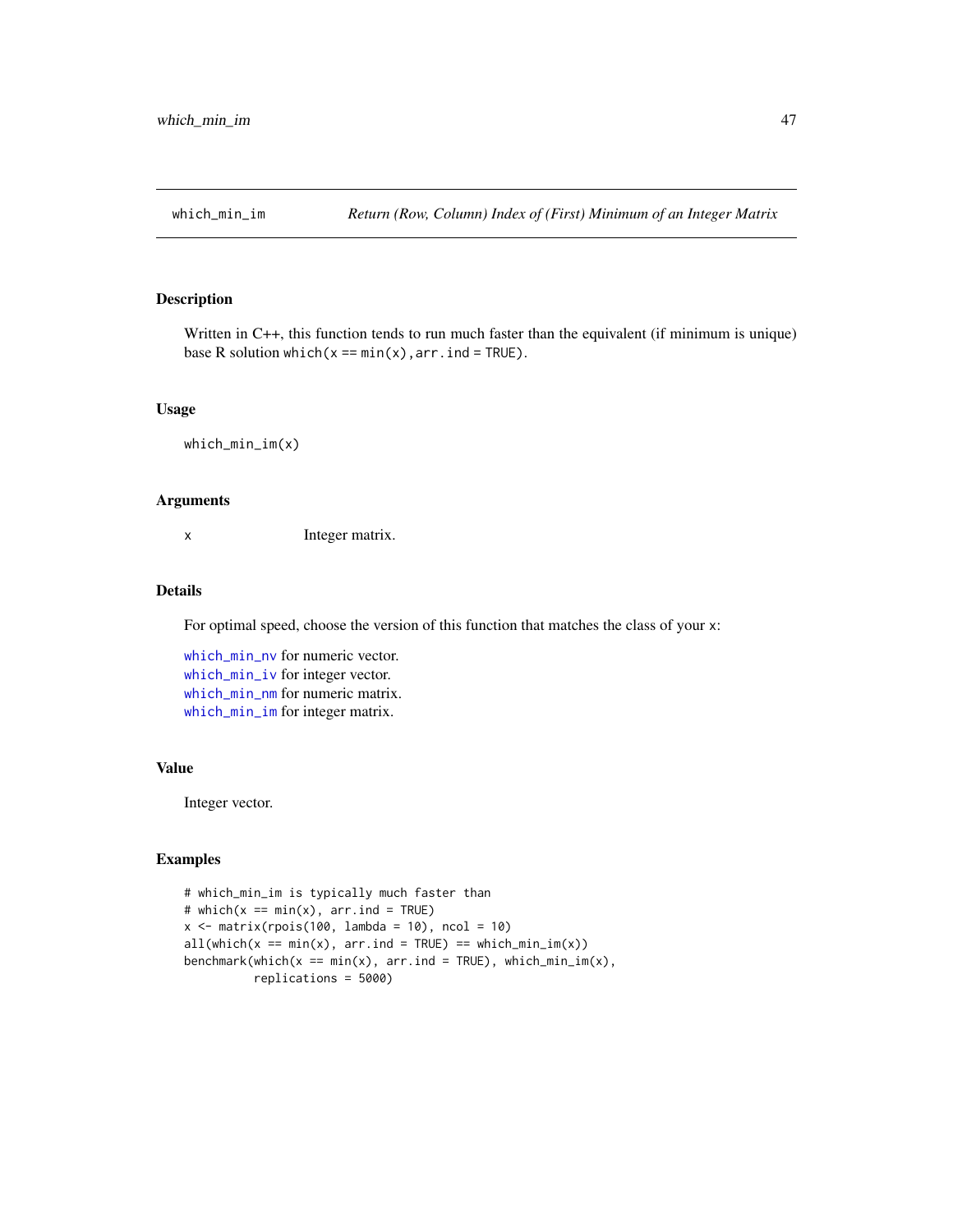<span id="page-46-1"></span><span id="page-46-0"></span>

Written in C++, this function tends to run much faster than the equivalent (if minimum is unique) base R solution which( $x == min(x)$ ,  $arr$ .  $ind = TRUE$ ).

# Usage

which\_min\_im(x)

#### Arguments

x Integer matrix.

#### Details

For optimal speed, choose the version of this function that matches the class of your x:

[which\\_min\\_nv](#page-49-1) for numeric vector. [which\\_min\\_iv](#page-47-1) for integer vector. [which\\_min\\_nm](#page-48-1) for numeric matrix. [which\\_min\\_im](#page-46-1) for integer matrix.

#### Value

Integer vector.

```
# which_min_im is typically much faster than
# which(x == min(x), arr-ind = TRUE)
x \le matrix(rpois(100, lambda = 10), ncol = 10)
all(\text{which}(x == \text{min}(x), \text{ arr.ind = TRUE}) == \text{which\_min\_im}(x))benchmark(which(x == min(x), arr.ind = TRUE), which_min_im(x),
           replications = 5000)
```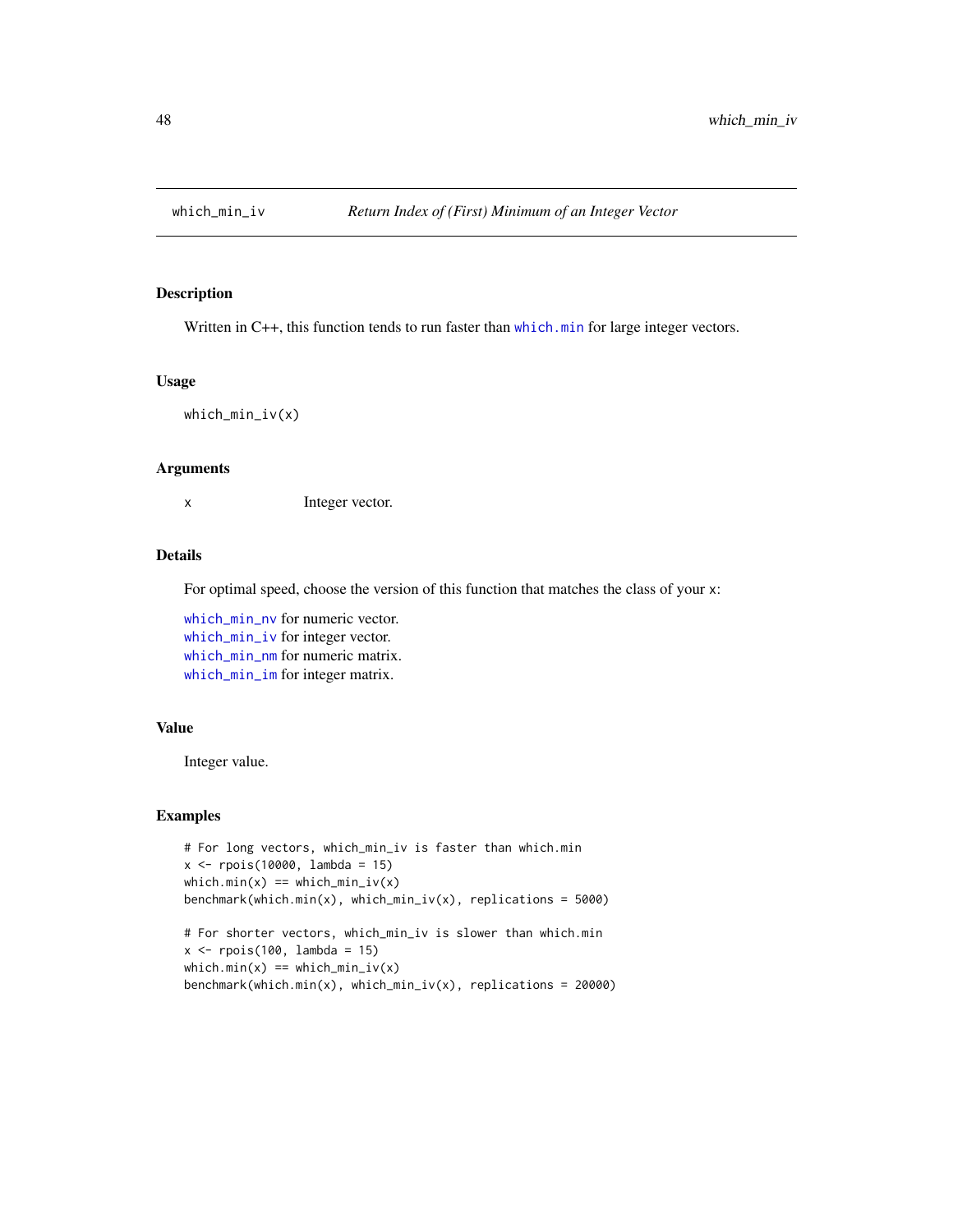<span id="page-47-1"></span><span id="page-47-0"></span>

Written in C++, this function tends to run faster than [which.min](#page-0-0) for large integer vectors.

#### Usage

which\_min\_iv(x)

#### Arguments

x Integer vector.

# Details

For optimal speed, choose the version of this function that matches the class of your x:

[which\\_min\\_nv](#page-49-1) for numeric vector. [which\\_min\\_iv](#page-47-1) for integer vector. [which\\_min\\_nm](#page-48-1) for numeric matrix. [which\\_min\\_im](#page-46-1) for integer matrix.

# Value

Integer value.

```
# For long vectors, which_min_iv is faster than which.min
x <- rpois(10000, lambda = 15)
which.min(x) == which.min_iv(x)benchmark(which.min(x), which_min_iv(x), replications = 5000)
# For shorter vectors, which_min_iv is slower than which.min
x \leftarrow \text{rpois}(100, \text{lambda} = 15)which.min(x) == which.min_iv(x)benchmark(which.min(x), which_min_iv(x), replications = 20000)
```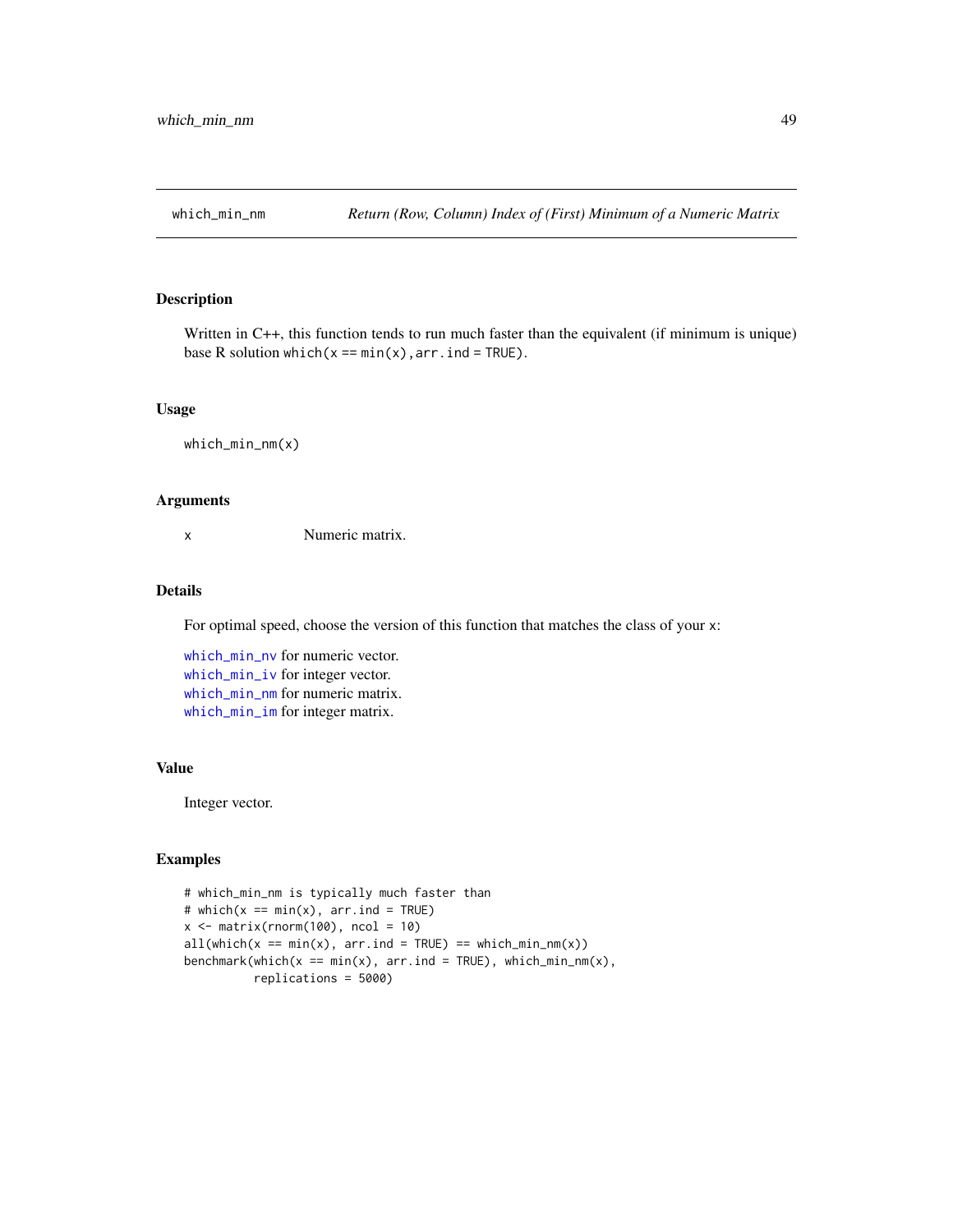<span id="page-48-1"></span><span id="page-48-0"></span>

Written in C++, this function tends to run much faster than the equivalent (if minimum is unique) base R solution which( $x == min(x)$ ,  $arr$ .  $ind = TRUE$ ).

# Usage

```
which_min_nm(x)
```
#### Arguments

x Numeric matrix.

# Details

For optimal speed, choose the version of this function that matches the class of your x:

[which\\_min\\_nv](#page-49-1) for numeric vector. [which\\_min\\_iv](#page-47-1) for integer vector. [which\\_min\\_nm](#page-48-1) for numeric matrix. [which\\_min\\_im](#page-46-1) for integer matrix.

#### Value

Integer vector.

```
# which_min_nm is typically much faster than
# which(x == min(x), arr-ind = TRUE)
x \le matrix(rnorm(100), ncol = 10)
all(which(x == min(x), arr.info = TRUE) == which.min_n(x))benchmark(which(x == min(x), arr.ind = TRUE), which_min_nm(x),
         replications = 5000)
```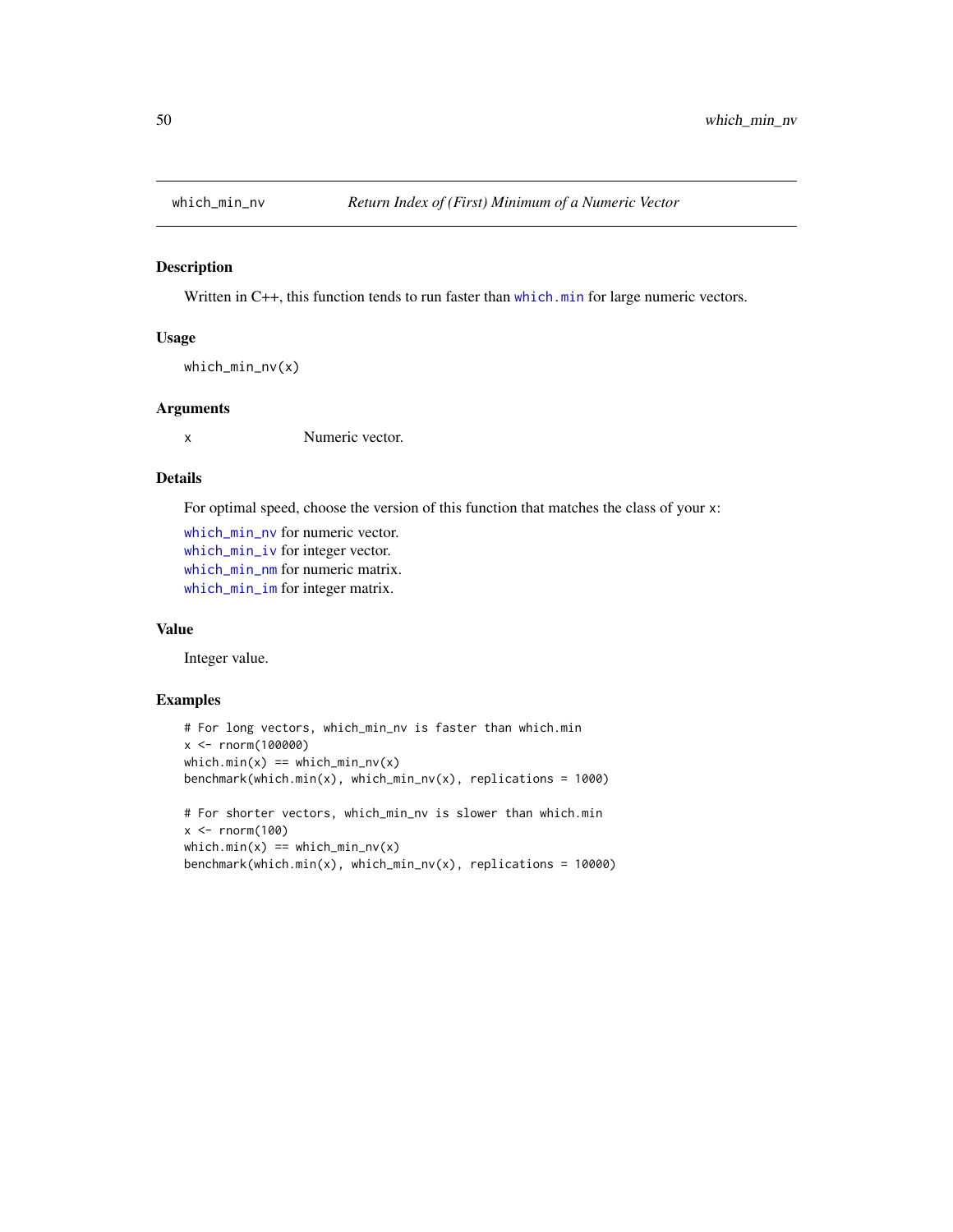<span id="page-49-1"></span><span id="page-49-0"></span>

Written in C++, this function tends to run faster than [which.min](#page-0-0) for large numeric vectors.

#### Usage

```
which_min_nv(x)
```
# Arguments

x Numeric vector.

# Details

For optimal speed, choose the version of this function that matches the class of your x:

[which\\_min\\_nv](#page-49-1) for numeric vector. [which\\_min\\_iv](#page-47-1) for integer vector. [which\\_min\\_nm](#page-48-1) for numeric matrix. [which\\_min\\_im](#page-46-1) for integer matrix.

#### Value

Integer value.

```
# For long vectors, which_min_nv is faster than which.min
x <- rnorm(100000)
which.min(x) == which_min_nv(x)
benchmark(which.min(x), which.min(x),# For shorter vectors, which_min_nv is slower than which.min
x < - rnorm(100)
which.min(x) == which.min_nv(x)benchmark(which.min(x), which_min_nv(x), replications = 10000)
```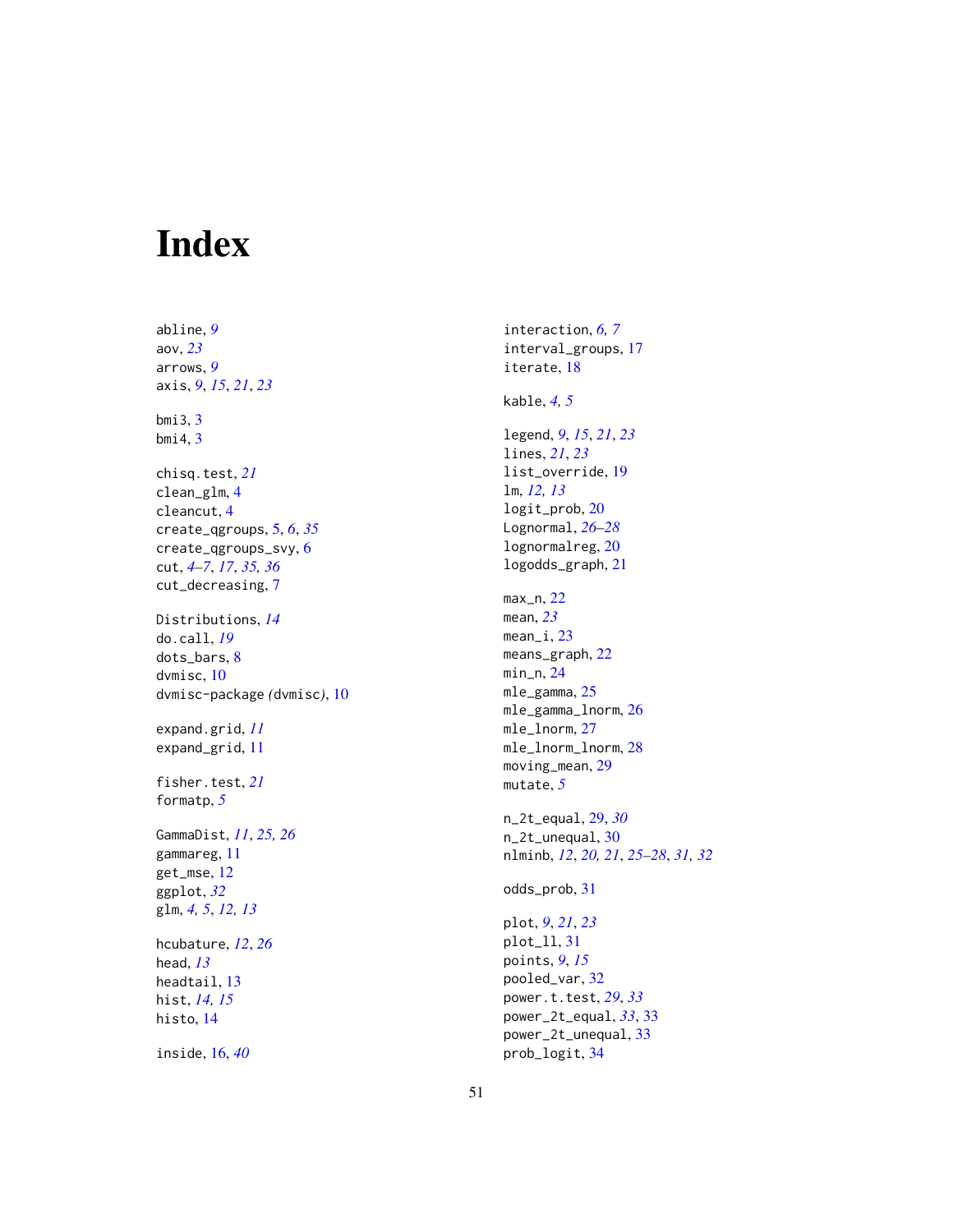# <span id="page-50-0"></span>Index

abline , *[9](#page-8-0)* aov , *[23](#page-22-0)* arrows , *[9](#page-8-0)* axis , *[9](#page-8-0)* , *[15](#page-14-0)* , *[21](#page-20-0)* , *[23](#page-22-0)* bmi3 , [3](#page-2-0) bmi4 , [3](#page-2-0) chisq.test , *[21](#page-20-0)* clean\_glm , [4](#page-3-0) cleancut , [4](#page-3-0) create\_qgroups , [5](#page-4-0) , *[6](#page-5-0)* , *[35](#page-34-0)* create\_qgroups\_svy , [6](#page-5-0) cut , *[4](#page-3-0) – [7](#page-6-0)* , *[17](#page-16-0)* , *[35](#page-34-0) , [36](#page-35-0)* cut\_decreasing , [7](#page-6-0) Distributions , *[14](#page-13-0)* do.call , *[19](#page-18-0)* dots\_bars , [8](#page-7-0) dvmisc , [10](#page-9-0) dvmisc-package *(*dvmisc *)* , [10](#page-9-0) expand.grid , *[11](#page-10-0)* expand\_grid , [11](#page-10-0) fisher.test , *[21](#page-20-0)* formatp , *[5](#page-4-0)* GammaDist , *[11](#page-10-0)* , *[25](#page-24-0) , [26](#page-25-0)* gammareg , [11](#page-10-0) get\_mse , [12](#page-11-0) ggplot , *[32](#page-31-0)* glm , *[4](#page-3-0) , [5](#page-4-0)* , *[12](#page-11-0) , [13](#page-12-0)* hcubature , *[12](#page-11-0)* , *[26](#page-25-0)* head , *[13](#page-12-0)* headtail , [13](#page-12-0) hist , *[14](#page-13-0) , [15](#page-14-0)* histo , [14](#page-13-0) inside , [16](#page-15-0) , *[40](#page-39-0)*

interaction , *[6,](#page-5-0) [7](#page-6-0)* interval\_groups , [17](#page-16-0) iterate , [18](#page-17-0) kable , *[4](#page-3-0) , [5](#page-4-0)* legend , *[9](#page-8-0)* , *[15](#page-14-0)* , *[21](#page-20-0)* , *[23](#page-22-0)* lines , *[21](#page-20-0)* , *[23](#page-22-0)* list\_override , [19](#page-18-0) lm , *[12](#page-11-0) , [13](#page-12-0)* logit\_prob , [20](#page-19-0) Lognormal , *[26](#page-25-0)[–28](#page-27-0)* lognormalreg , [20](#page-19-0) logodds\_graph , [21](#page-20-0) max\_n , [22](#page-21-0) mean , *[23](#page-22-0)* mean\_i,[23](#page-22-0) means\_graph, [22](#page-21-0) min\_n , [24](#page-23-0) mle\_gamma,2<mark>5</mark> mle\_gamma\_lnorm , [26](#page-25-0) mle\_lnorm , [27](#page-26-0) mle\_lnorm\_lnorm , [28](#page-27-0) moving\_mean, [29](#page-28-0) mutate , *[5](#page-4-0)* n\_2t\_equal , [29](#page-28-0) , *[30](#page-29-0)* n\_2t\_unequal , [30](#page-29-0) nlminb , *[12](#page-11-0)* , *[20](#page-19-0) , [21](#page-20-0)* , *[25](#page-24-0) [–28](#page-27-0)* , *[31](#page-30-0) , [32](#page-31-0)* odds\_prob , [31](#page-30-0) plot , *[9](#page-8-0)* , *[21](#page-20-0)* , *[23](#page-22-0)* plot\_ll , [31](#page-30-0) points , *[9](#page-8-0)* , *[15](#page-14-0)* pooled\_var , [32](#page-31-0) power.t.test , *[29](#page-28-0)* , *[33](#page-32-0)* power\_2t\_equal , *[33](#page-32-0)* , [33](#page-32-0) power\_2t\_unequal , [33](#page-32-0) prob\_logit , [34](#page-33-0)